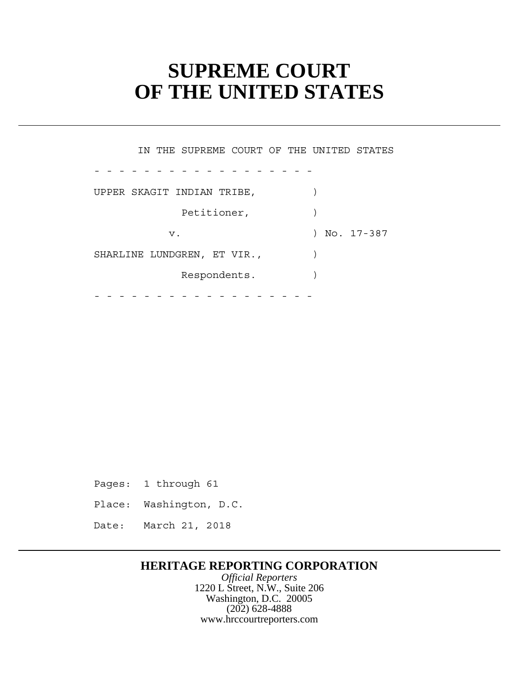# **SUPREME COURT OF THE UNITED STATES**

 UPPER SKAGIT INDIAN TRIBE, ) Petitioner, ) SHARLINE LUNDGREN, ET VIR.,  $\qquad \qquad$  Respondents. ) - - - - - - - - - - - - - - - - - - - - - - - - - - - - - - - - - - - - IN THE SUPREME COURT OF THE UNITED STATES  $\begin{array}{c} \hline \end{array}$ v. 17-387

Pages: 1 through 61

Place: Washington, D.C.

Date: March 21, 2018

# **HERITAGE REPORTING CORPORATION**

*Official Reporters* 1220 L Street, N.W., Suite 206 Washington, D.C. 20005 (202) 628-4888 www.hrccourtreporters.com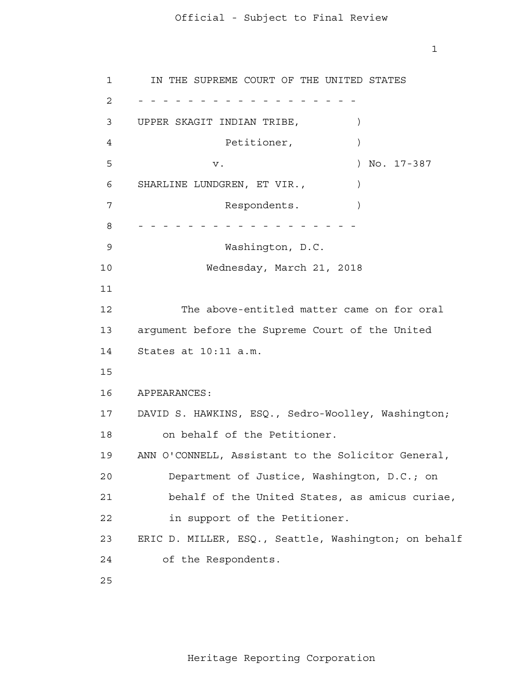1

 APPEARANCES: 1 2 - - - - - - - - - - - - - - - - - - 3 4 **5**  6 7 8 - - - - - - - - - - - - - - - - - - 9 10 11 12 13 14 15 16 17 18 19 20 21 22 23 24 25 IN THE SUPREME COURT OF THE UNITED STATES UPPER SKAGIT INDIAN TRIBE, ) Petitioner,  $)$ v. ) No. 17-387 SHARLINE LUNDGREN, ET VIR.,  $\qquad$ Respondents. Washington, D.C. Wednesday, March 21, 2018 The above-entitled matter came on for oral argument before the Supreme Court of the United States at 10:11 a.m. DAVID S. HAWKINS, ESQ., Sedro-Woolley, Washington; on behalf of the Petitioner. ANN O'CONNELL, Assistant to the Solicitor General, Department of Justice, Washington, D.C.; on behalf of the United States, as amicus curiae, in support of the Petitioner. ERIC D. MILLER, ESQ., Seattle, Washington; on behalf of the Respondents.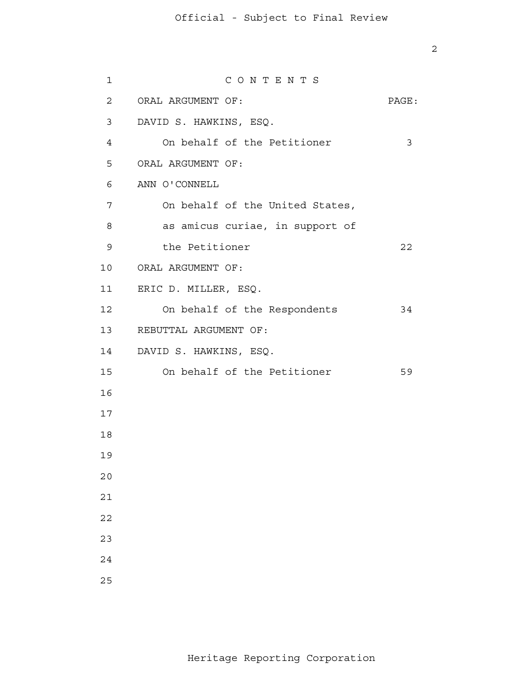| $\mathbf{1}$    | CONTENTS                        |       |
|-----------------|---------------------------------|-------|
| $\mathbf{2}$    | ORAL ARGUMENT OF:               | PAGE: |
| 3               | DAVID S. HAWKINS, ESQ.          |       |
| 4               | On behalf of the Petitioner     | 3     |
| 5               | ORAL ARGUMENT OF:               |       |
| 6               | ANN O'CONNELL                   |       |
| 7               | On behalf of the United States, |       |
| 8               | as amicus curiae, in support of |       |
| 9               | the Petitioner                  | 22    |
| 10              | ORAL ARGUMENT OF:               |       |
| 11              | ERIC D. MILLER, ESQ.            |       |
| 12 <sub>2</sub> | On behalf of the Respondents    | 34    |
| 13              | REBUTTAL ARGUMENT OF:           |       |
| 14              | DAVID S. HAWKINS, ESQ.          |       |
| 15 <sub>1</sub> | On behalf of the Petitioner     | 59    |
| 16              |                                 |       |
| 17              |                                 |       |
| 18              |                                 |       |
| 19              |                                 |       |
| 20              |                                 |       |
| 21              |                                 |       |
| 22              |                                 |       |
| 23              |                                 |       |
| 24              |                                 |       |
| 25              |                                 |       |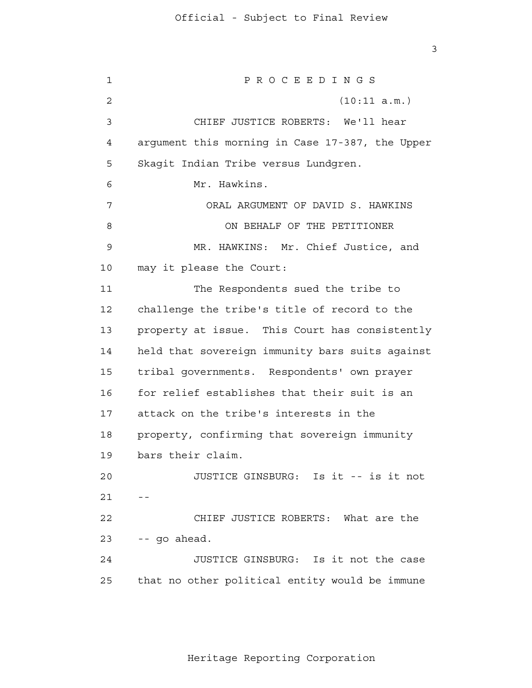3

 1 2 3 4 **5**  6 7 8 9 10 11 12 13 14 15 16 17 18 19 20  $21$  -- 22 23 24 25 P R O C E E D I N G S (10:11 a.m.) CHIEF JUSTICE ROBERTS: We'll hear argument this morning in Case 17-387, the Upper Skagit Indian Tribe versus Lundgren. Mr. Hawkins. ORAL ARGUMENT OF DAVID S. HAWKINS ON BEHALF OF THE PETITIONER MR. HAWKINS: Mr. Chief Justice, and may it please the Court: The Respondents sued the tribe to challenge the tribe's title of record to the property at issue. This Court has consistently held that sovereign immunity bars suits against tribal governments. Respondents' own prayer for relief establishes that their suit is an attack on the tribe's interests in the property, confirming that sovereign immunity bars their claim. JUSTICE GINSBURG: Is it -- is it not CHIEF JUSTICE ROBERTS: What are the -- go ahead. JUSTICE GINSBURG: Is it not the case that no other political entity would be immune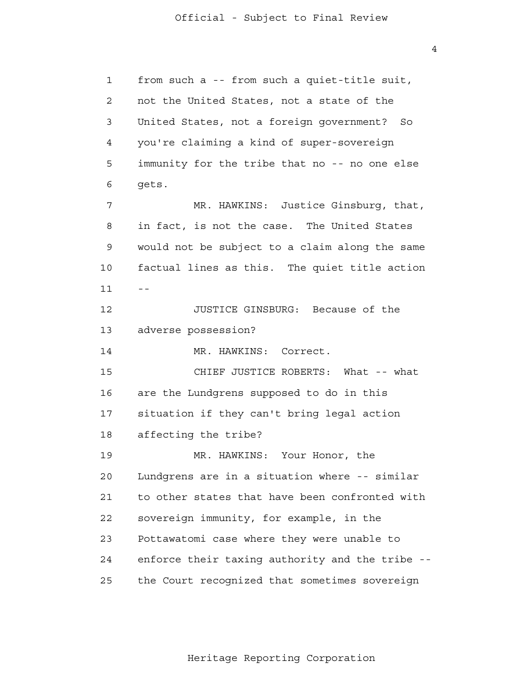1 2 3 4 **5**  6 7 8 9 10  $11$  -- 12 13 14 15 16 17 18 19 20 21 22 23 24 25 from such a -- from such a quiet-title suit, not the United States, not a state of the United States, not a foreign government? So you're claiming a kind of super-sovereign immunity for the tribe that no -- no one else gets. MR. HAWKINS: Justice Ginsburg, that, in fact, is not the case. The United States would not be subject to a claim along the same factual lines as this. The quiet title action JUSTICE GINSBURG: Because of the adverse possession? MR. HAWKINS: Correct. CHIEF JUSTICE ROBERTS: What -- what are the Lundgrens supposed to do in this situation if they can't bring legal action affecting the tribe? MR. HAWKINS: Your Honor, the Lundgrens are in a situation where -- similar to other states that have been confronted with sovereign immunity, for example, in the Pottawatomi case where they were unable to enforce their taxing authority and the tribe the Court recognized that sometimes sovereign

Heritage Reporting Corporation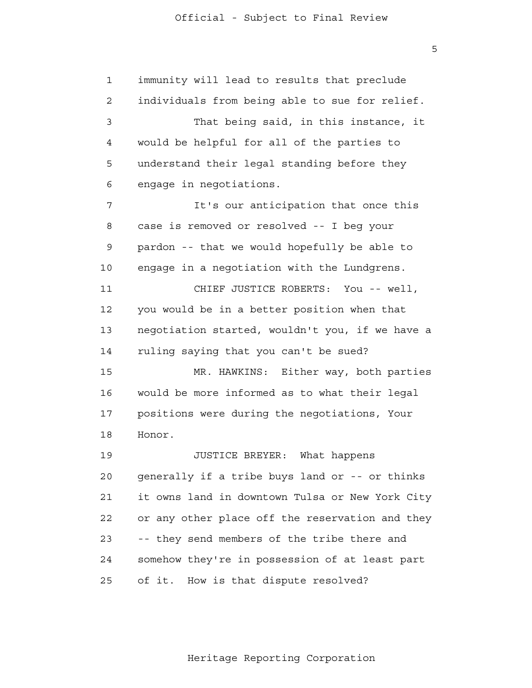1 2 3 4 **5**  6 7 8 9 10 11 12 13 14 15 16 17 18 19 20 21 22 23 24 <u>25</u> immunity will lead to results that preclude individuals from being able to sue for relief. That being said, in this instance, it would be helpful for all of the parties to understand their legal standing before they engage in negotiations. It's our anticipation that once this case is removed or resolved -- I beg your pardon -- that we would hopefully be able to engage in a negotiation with the Lundgrens. CHIEF JUSTICE ROBERTS: You -- well, you would be in a better position when that negotiation started, wouldn't you, if we have a ruling saying that you can't be sued? MR. HAWKINS: Either way, both parties would be more informed as to what their legal positions were during the negotiations, Your Honor. JUSTICE BREYER: What happens generally if a tribe buys land or -- or thinks it owns land in downtown Tulsa or New York City or any other place off the reservation and they -- they send members of the tribe there and somehow they're in possession of at least part of it. How is that dispute resolved?

Heritage Reporting Corporation

 $\overline{5}$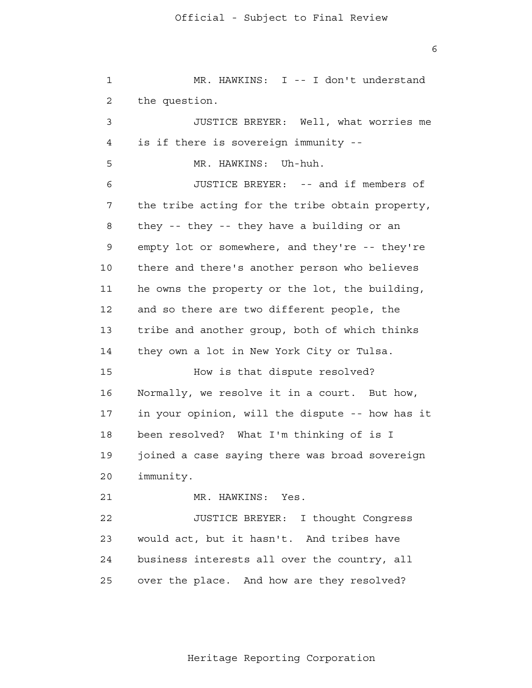1 2 3 4 **5**  6 7 8 9 10 11 12 13 14 15 16 17 18 19 20 21 22 23 24 25 MR. HAWKINS: I -- I don't understand the question. JUSTICE BREYER: Well, what worries me is if there is sovereign immunity - MR. HAWKINS: Uh-huh. JUSTICE BREYER: -- and if members of the tribe acting for the tribe obtain property, they -- they -- they have a building or an empty lot or somewhere, and they're -- they're there and there's another person who believes he owns the property or the lot, the building, and so there are two different people, the tribe and another group, both of which thinks they own a lot in New York City or Tulsa. How is that dispute resolved? Normally, we resolve it in a court. But how, in your opinion, will the dispute -- how has it been resolved? What I'm thinking of is I joined a case saying there was broad sovereign immunity. MR. HAWKINS: Yes. JUSTICE BREYER: I thought Congress would act, but it hasn't. And tribes have business interests all over the country, all over the place. And how are they resolved?

 $\overline{6}$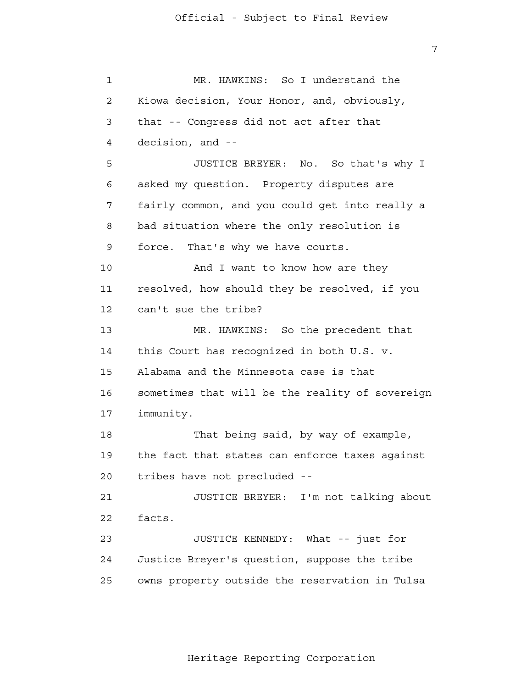1 2 3 4 **5**  6 7 8 9 10 11 12 13 14 15 16 17 18 19 20 21 22 23 24 25 MR. HAWKINS: So I understand the Kiowa decision, Your Honor, and, obviously, that -- Congress did not act after that decision, and - JUSTICE BREYER: No. So that's why I asked my question. Property disputes are fairly common, and you could get into really a bad situation where the only resolution is force. That's why we have courts. And I want to know how are they resolved, how should they be resolved, if you can't sue the tribe? MR. HAWKINS: So the precedent that this Court has recognized in both U.S. v. Alabama and the Minnesota case is that sometimes that will be the reality of sovereign immunity. That being said, by way of example, the fact that states can enforce taxes against tribes have not precluded - JUSTICE BREYER: I'm not talking about facts. JUSTICE KENNEDY: What -- just for Justice Breyer's question, suppose the tribe owns property outside the reservation in Tulsa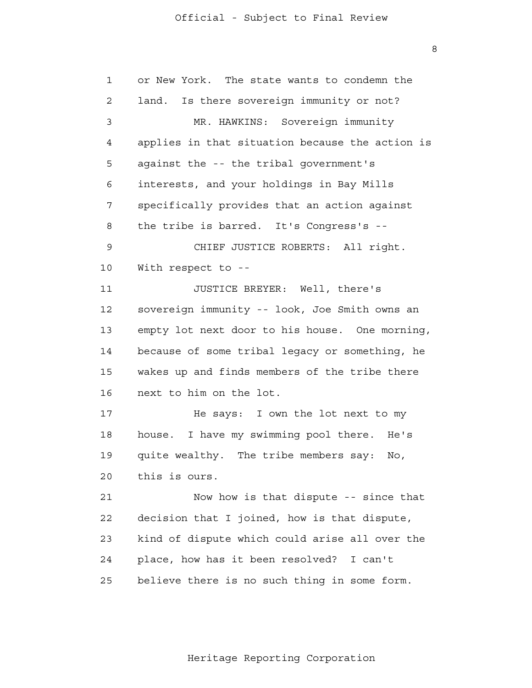8

| $\mathbf 1$ | or New York. The state wants to condemn the     |
|-------------|-------------------------------------------------|
| 2           | Is there sovereign immunity or not?<br>land.    |
| 3           | MR. HAWKINS: Sovereign immunity                 |
| 4           | applies in that situation because the action is |
| 5           | against the -- the tribal government's          |
| 6           | interests, and your holdings in Bay Mills       |
| 7           | specifically provides that an action against    |
| 8           | the tribe is barred. It's Congress's --         |
| 9           | CHIEF JUSTICE ROBERTS: All right.               |
| 10          | With respect to --                              |
| 11          | JUSTICE BREYER: Well, there's                   |
| 12          | sovereign immunity -- look, Joe Smith owns an   |
| 13          | empty lot next door to his house. One morning,  |
| 14          | because of some tribal legacy or something, he  |
| 15          | wakes up and finds members of the tribe there   |
| 16          | next to him on the lot.                         |
| 17          | He says: I own the lot next to my               |
| 18          | house. I have my swimming pool there.<br>He's   |
| 19          | quite wealthy. The tribe members say:<br>No,    |
| 20          | this is ours.                                   |
| 21          | Now how is that dispute -- since that           |
| 22          | decision that I joined, how is that dispute,    |
| 23          | kind of dispute which could arise all over the  |
| 24          | place, how has it been resolved? I can't        |
| 25          | believe there is no such thing in some form.    |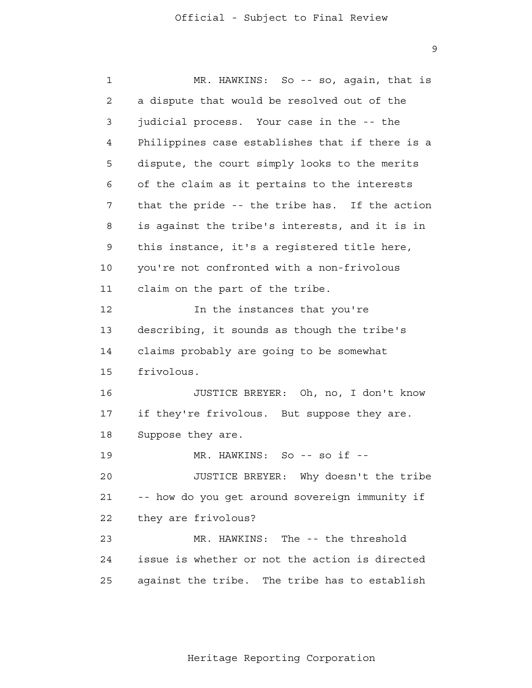9

| $\mathbf 1$ | MR. HAWKINS: So -- so, again, that is           |
|-------------|-------------------------------------------------|
| 2           | a dispute that would be resolved out of the     |
| 3           | judicial process. Your case in the -- the       |
| 4           | Philippines case establishes that if there is a |
| 5           | dispute, the court simply looks to the merits   |
| 6           | of the claim as it pertains to the interests    |
| 7           | that the pride -- the tribe has. If the action  |
| 8           | is against the tribe's interests, and it is in  |
| 9           | this instance, it's a registered title here,    |
| 10          | you're not confronted with a non-frivolous      |
| 11          | claim on the part of the tribe.                 |
| 12          | In the instances that you're                    |
| 13          | describing, it sounds as though the tribe's     |
| 14          | claims probably are going to be somewhat        |
| 15          | frivolous.                                      |
| 16          | JUSTICE BREYER: Oh, no, I don't know            |
| 17          | if they're frivolous. But suppose they are.     |
| 18          | Suppose they are.                               |
| 19          | MR. HAWKINS: So -- so if --                     |
| 20          | JUSTICE BREYER: Why doesn't the tribe           |
| 21          | -- how do you get around sovereign immunity if  |
| 22          | they are frivolous?                             |
| 23          | MR. HAWKINS: The -- the threshold               |
| 24          | issue is whether or not the action is directed  |
| 25          | against the tribe. The tribe has to establish   |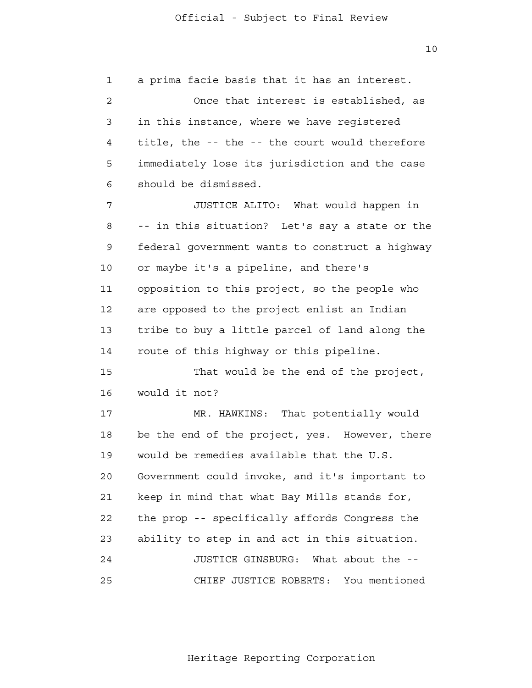10

 1 2 3 4 **5**  6 7 8 9 10 11 12 13 14 15 16 17 18 19 20 21 22 23 24 <u>25</u> a prima facie basis that it has an interest. Once that interest is established, as in this instance, where we have registered title, the -- the -- the court would therefore immediately lose its jurisdiction and the case should be dismissed. JUSTICE ALITO: What would happen in -- in this situation? Let's say a state or the federal government wants to construct a highway or maybe it's a pipeline, and there's opposition to this project, so the people who are opposed to the project enlist an Indian tribe to buy a little parcel of land along the route of this highway or this pipeline. That would be the end of the project, would it not? MR. HAWKINS: That potentially would be the end of the project, yes. However, there would be remedies available that the U.S. Government could invoke, and it's important to keep in mind that what Bay Mills stands for, the prop -- specifically affords Congress the ability to step in and act in this situation. JUSTICE GINSBURG: What about the - CHIEF JUSTICE ROBERTS: You mentioned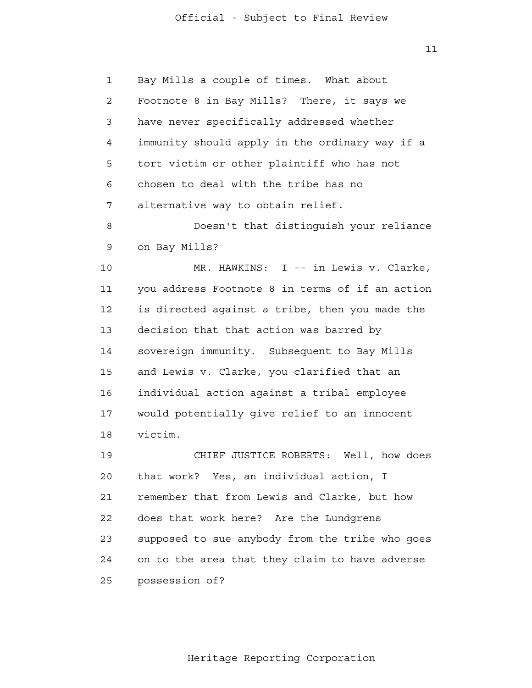$11$ 

 1 2 3 4 **5**  6 7 8 9 10 11 12 13 14 15 16 17 18 19 20 21 22 23 24 25 Bay Mills a couple of times. What about Footnote 8 in Bay Mills? There, it says we have never specifically addressed whether immunity should apply in the ordinary way if a tort victim or other plaintiff who has not chosen to deal with the tribe has no alternative way to obtain relief. Doesn't that distinguish your reliance on Bay Mills? MR. HAWKINS: I -- in Lewis v. Clarke, you address Footnote 8 in terms of if an action is directed against a tribe, then you made the decision that that action was barred by sovereign immunity. Subsequent to Bay Mills and Lewis v. Clarke, you clarified that an individual action against a tribal employee would potentially give relief to an innocent victim. CHIEF JUSTICE ROBERTS: Well, how does that work? Yes, an individual action, I remember that from Lewis and Clarke, but how does that work here? Are the Lundgrens supposed to sue anybody from the tribe who goes on to the area that they claim to have adverse possession of?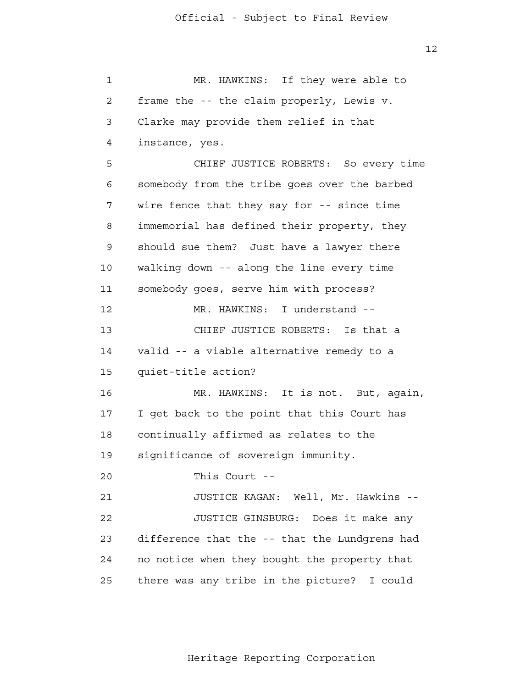1 2 3 4 **5**  6 7 8 9 10 11 12 13 14 15 16 17 18 19 20 21 22 23 24 25 MR. HAWKINS: If they were able to frame the -- the claim properly, Lewis v. Clarke may provide them relief in that instance, yes. CHIEF JUSTICE ROBERTS: So every time somebody from the tribe goes over the barbed wire fence that they say for -- since time immemorial has defined their property, they should sue them? Just have a lawyer there walking down -- along the line every time somebody goes, serve him with process? MR. HAWKINS: I understand - CHIEF JUSTICE ROBERTS: Is that a valid -- a viable alternative remedy to a quiet-title action? MR. HAWKINS: It is not. But, again, I get back to the point that this Court has continually affirmed as relates to the significance of sovereign immunity. This Court - JUSTICE KAGAN: Well, Mr. Hawkins - JUSTICE GINSBURG: Does it make any difference that the -- that the Lundgrens had no notice when they bought the property that there was any tribe in the picture? I could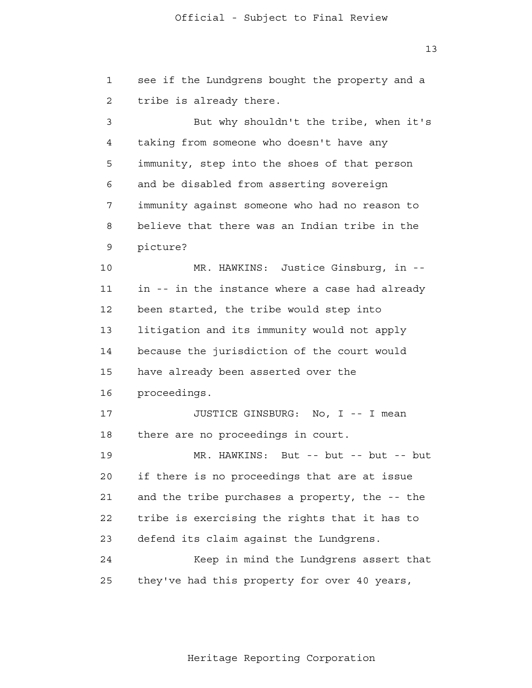13

 1 2 3 4 **5**  6 7 8 9 10 11 12 13 14 15 16 17 18 19 20 21 **22**  23 24 25 see if the Lundgrens bought the property and a tribe is already there. But why shouldn't the tribe, when it's taking from someone who doesn't have any immunity, step into the shoes of that person and be disabled from asserting sovereign immunity against someone who had no reason to believe that there was an Indian tribe in the picture? MR. HAWKINS: Justice Ginsburg, in in -- in the instance where a case had already been started, the tribe would step into litigation and its immunity would not apply because the jurisdiction of the court would have already been asserted over the proceedings. JUSTICE GINSBURG: No, I -- I mean there are no proceedings in court. MR. HAWKINS: But -- but -- but -- but if there is no proceedings that are at issue and the tribe purchases a property, the -- the tribe is exercising the rights that it has to defend its claim against the Lundgrens. Keep in mind the Lundgrens assert that they've had this property for over 40 years,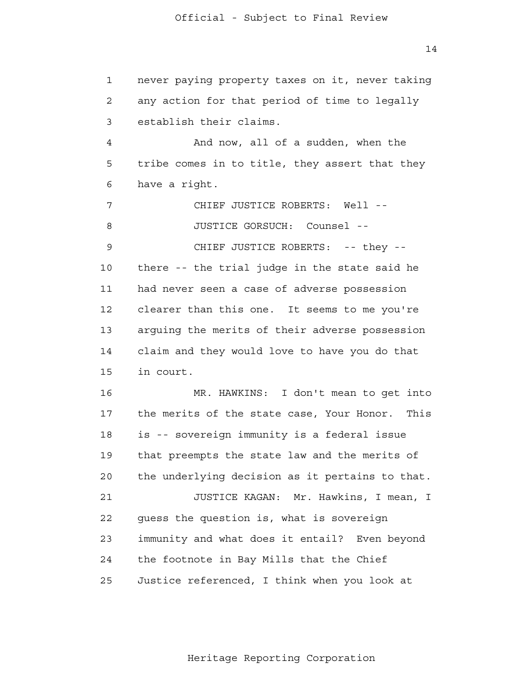1 2 3 4 **5**  6 7 8 9 10 11 12 13 14 15 16 17 18 19 20 21 **22**  23 24 25 never paying property taxes on it, never taking any action for that period of time to legally establish their claims. And now, all of a sudden, when the tribe comes in to title, they assert that they have a right. CHIEF JUSTICE ROBERTS: Well - JUSTICE GORSUCH: Counsel - CHIEF JUSTICE ROBERTS: -- they -there -- the trial judge in the state said he had never seen a case of adverse possession clearer than this one. It seems to me you're arguing the merits of their adverse possession claim and they would love to have you do that in court. MR. HAWKINS: I don't mean to get into the merits of the state case, Your Honor. This is -- sovereign immunity is a federal issue that preempts the state law and the merits of the underlying decision as it pertains to that. JUSTICE KAGAN: Mr. Hawkins, I mean, I guess the question is, what is sovereign immunity and what does it entail? Even beyond the footnote in Bay Mills that the Chief Justice referenced, I think when you look at

14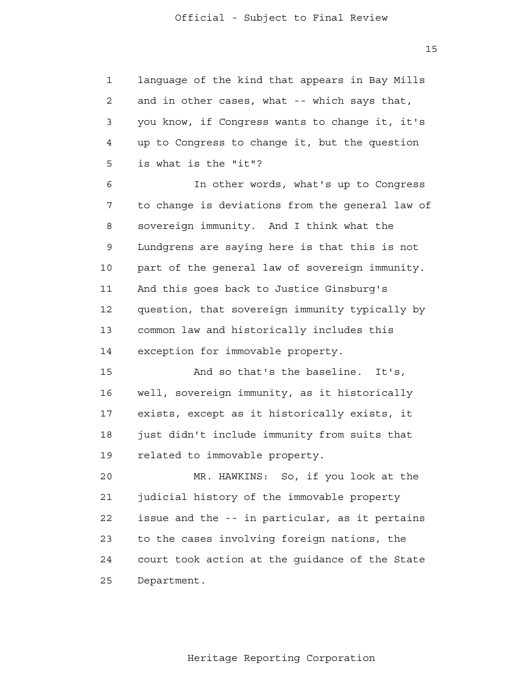1 2 3 4 **5** language of the kind that appears in Bay Mills and in other cases, what -- which says that, you know, if Congress wants to change it, it's up to Congress to change it, but the question is what is the "it"?

 6 7 8 9 10 11 12 13 14 In other words, what's up to Congress to change is deviations from the general law of sovereign immunity. And I think what the Lundgrens are saying here is that this is not part of the general law of sovereign immunity. And this goes back to Justice Ginsburg's question, that sovereign immunity typically by common law and historically includes this exception for immovable property.

> 15 16 17 18 19 And so that's the baseline. It's, well, sovereign immunity, as it historically exists, except as it historically exists, it just didn't include immunity from suits that related to immovable property.

 20 21 **22**  23 24 25 MR. HAWKINS: So, if you look at the judicial history of the immovable property issue and the -- in particular, as it pertains to the cases involving foreign nations, the court took action at the guidance of the State Department.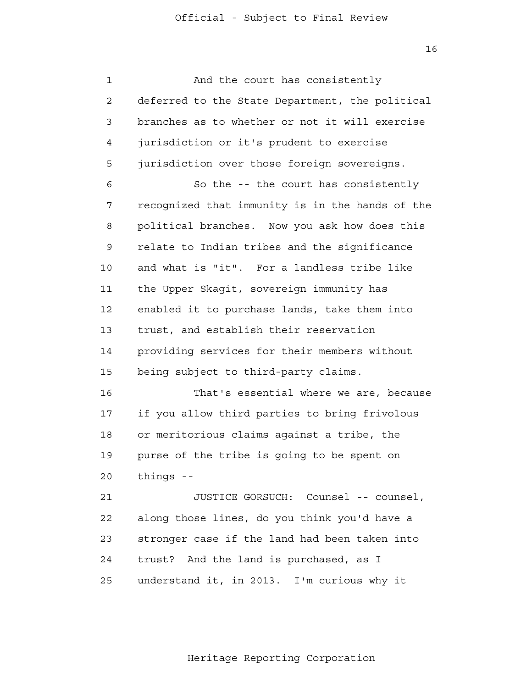16

 1 2 3 4 **5**  6 7 8 9 10 11 12 13 14 15 16 17 18 19 20 21 **22**  23 24 25 And the court has consistently deferred to the State Department, the political branches as to whether or not it will exercise jurisdiction or it's prudent to exercise jurisdiction over those foreign sovereigns. So the -- the court has consistently recognized that immunity is in the hands of the political branches. Now you ask how does this relate to Indian tribes and the significance and what is "it". For a landless tribe like the Upper Skagit, sovereign immunity has enabled it to purchase lands, take them into trust, and establish their reservation providing services for their members without being subject to third-party claims. That's essential where we are, because if you allow third parties to bring frivolous or meritorious claims against a tribe, the purse of the tribe is going to be spent on things - JUSTICE GORSUCH: Counsel -- counsel, along those lines, do you think you'd have a stronger case if the land had been taken into trust? And the land is purchased, as I understand it, in 2013. I'm curious why it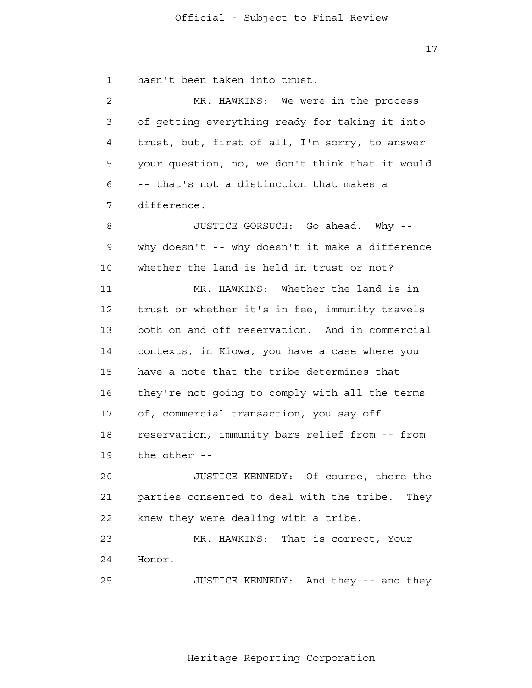17

 1 hasn't been taken into trust.

 2 3 4 **5**  6 7 8 9 10 11 12 13 14 15 16 17 18 19 20 21 **22** MR. HAWKINS: We were in the process of getting everything ready for taking it into trust, but, first of all, I'm sorry, to answer your question, no, we don't think that it would -- that's not a distinction that makes a difference. JUSTICE GORSUCH: Go ahead. Why why doesn't -- why doesn't it make a difference whether the land is held in trust or not? MR. HAWKINS: Whether the land is in trust or whether it's in fee, immunity travels both on and off reservation. And in commercial contexts, in Kiowa, you have a case where you have a note that the tribe determines that they're not going to comply with all the terms of, commercial transaction, you say off reservation, immunity bars relief from -- from the other - JUSTICE KENNEDY: Of course, there the parties consented to deal with the tribe. They knew they were dealing with a tribe.

> 23 24 MR. HAWKINS: That is correct, Your Honor.

 25 JUSTICE KENNEDY: And they -- and they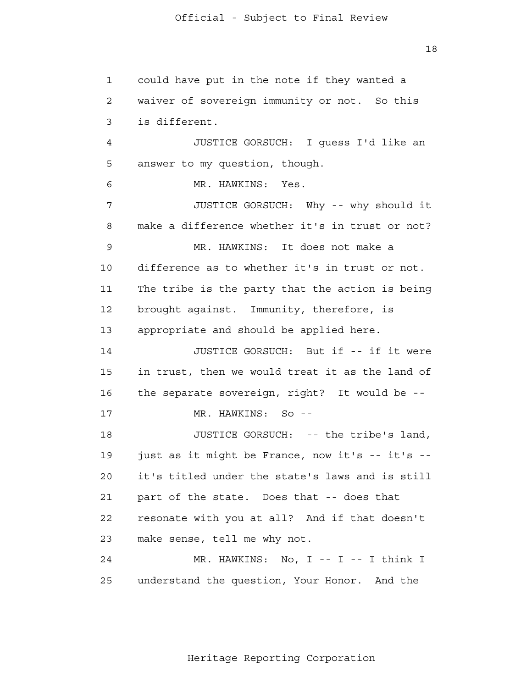18

 1 2 3 4 **5**  6 7 8 9 10 11 12 13 14 15 16 17 18 19 20 21 22 23 24 25 could have put in the note if they wanted a waiver of sovereign immunity or not. So this is different. JUSTICE GORSUCH: I guess I'd like an answer to my question, though. MR. HAWKINS: Yes. JUSTICE GORSUCH: Why -- why should it make a difference whether it's in trust or not? MR. HAWKINS: It does not make a difference as to whether it's in trust or not. The tribe is the party that the action is being brought against. Immunity, therefore, is appropriate and should be applied here. JUSTICE GORSUCH: But if -- if it were in trust, then we would treat it as the land of the separate sovereign, right? It would be - MR. HAWKINS: So --JUSTICE GORSUCH: -- the tribe's land, just as it might be France, now it's -- it's -it's titled under the state's laws and is still part of the state. Does that -- does that resonate with you at all? And if that doesn't make sense, tell me why not. MR. HAWKINS: No, I -- I -- I think I understand the question, Your Honor. And the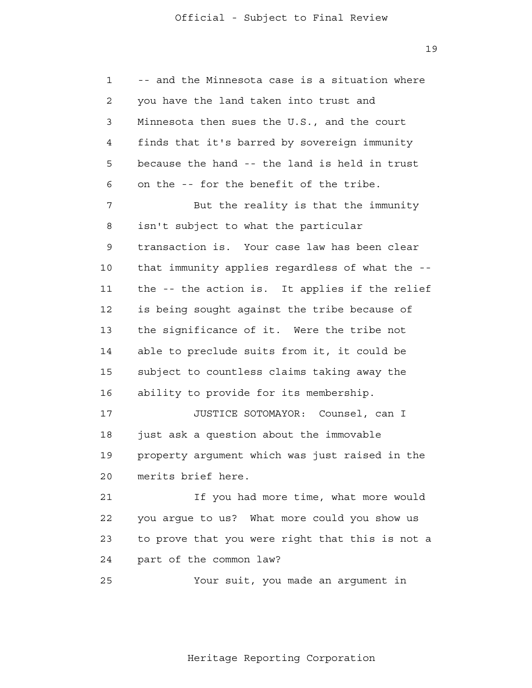1 2 3 4 **5**  6 7 8 9 10 11 12 13 14 15 16 17 18 19 20 21 **22**  23 24 -- and the Minnesota case is a situation where you have the land taken into trust and Minnesota then sues the U.S., and the court finds that it's barred by sovereign immunity because the hand -- the land is held in trust on the -- for the benefit of the tribe. But the reality is that the immunity isn't subject to what the particular transaction is. Your case law has been clear that immunity applies regardless of what the the -- the action is. It applies if the relief is being sought against the tribe because of the significance of it. Were the tribe not able to preclude suits from it, it could be subject to countless claims taking away the ability to provide for its membership. JUSTICE SOTOMAYOR: Counsel, can I just ask a question about the immovable property argument which was just raised in the merits brief here. If you had more time, what more would you argue to us? What more could you show us to prove that you were right that this is not a part of the common law?

<u>25</u> Your suit, you made an argument in

Heritage Reporting Corporation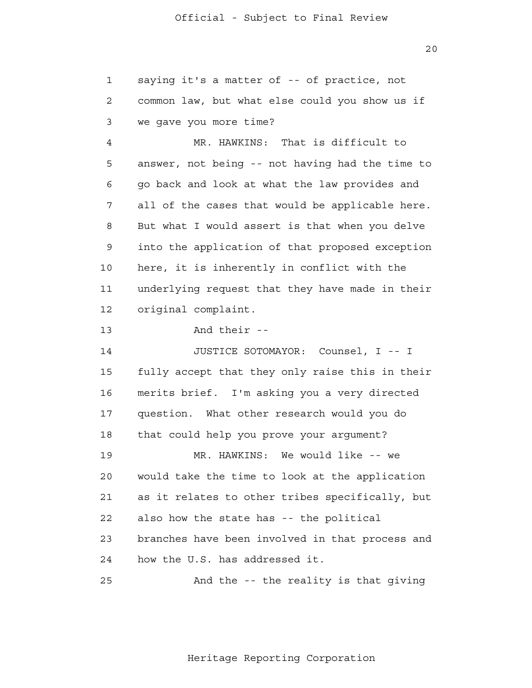saying it's a matter of -- of practice, not

1

20

 2 3 4 **5**  6 7 8 9 10 11 12 13 14 15 16 17 18 19 20 21 **22**  23 24 common law, but what else could you show us if we gave you more time? MR. HAWKINS: That is difficult to answer, not being -- not having had the time to go back and look at what the law provides and all of the cases that would be applicable here. But what I would assert is that when you delve into the application of that proposed exception here, it is inherently in conflict with the underlying request that they have made in their original complaint. And their - JUSTICE SOTOMAYOR: Counsel, I -- I fully accept that they only raise this in their merits brief. I'm asking you a very directed question. What other research would you do that could help you prove your argument? MR. HAWKINS: We would like -- we would take the time to look at the application as it relates to other tribes specifically, but also how the state has -- the political branches have been involved in that process and how the U.S. has addressed it.

<u>25</u> And the -- the reality is that giving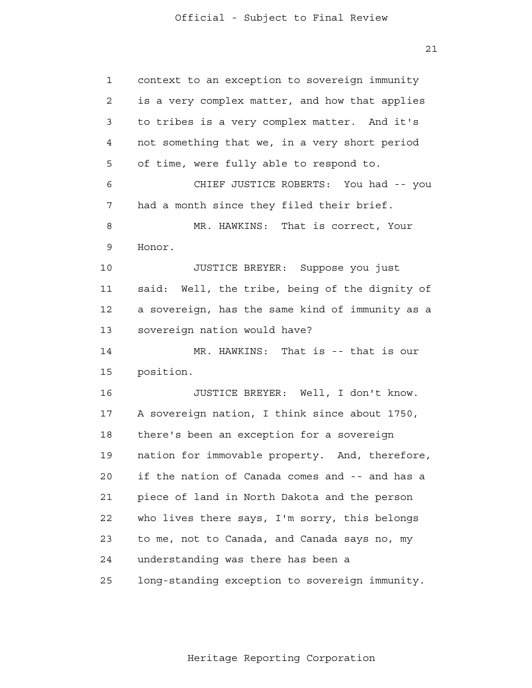21

| 1              | context to an exception to sovereign immunity   |
|----------------|-------------------------------------------------|
| $\overline{2}$ | is a very complex matter, and how that applies  |
| 3              | to tribes is a very complex matter. And it's    |
| 4              | not something that we, in a very short period   |
| 5              | of time, were fully able to respond to.         |
| 6              | CHIEF JUSTICE ROBERTS: You had -- you           |
| 7              | had a month since they filed their brief.       |
| 8              | MR. HAWKINS: That is correct, Your              |
| 9              | Honor.                                          |
| 10             | JUSTICE BREYER: Suppose you just                |
| 11             | said: Well, the tribe, being of the dignity of  |
| 12             | a sovereign, has the same kind of immunity as a |
| 13             | sovereign nation would have?                    |
| 14             | MR. HAWKINS: That is -- that is our             |
| 15             | position.                                       |
| 16             | JUSTICE BREYER: Well, I don't know.             |
| 17             | A sovereign nation, I think since about 1750,   |
| 18             | there's been an exception for a sovereign       |
| 19             | nation for immovable property. And, therefore,  |
| 20             | if the nation of Canada comes and -- and has a  |
| 21             | piece of land in North Dakota and the person    |
| 22             | who lives there says, I'm sorry, this belongs   |
| 23             | to me, not to Canada, and Canada says no, my    |
| 24             | understanding was there has been a              |
| 25             | long-standing exception to sovereign immunity.  |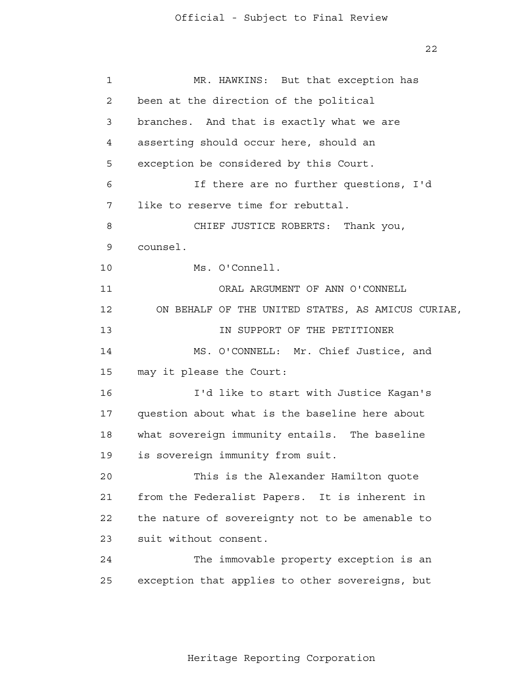22

| $\mathbf{1}$ | MR. HAWKINS: But that exception has               |
|--------------|---------------------------------------------------|
| $\mathbf{2}$ | been at the direction of the political            |
| 3            | branches. And that is exactly what we are         |
| 4            | asserting should occur here, should an            |
| 5            | exception be considered by this Court.            |
| 6            | If there are no further questions, I'd            |
| 7            | like to reserve time for rebuttal.                |
| 8            | CHIEF JUSTICE ROBERTS: Thank you,                 |
| 9            | counsel.                                          |
| 10           | Ms. O'Connell.                                    |
| 11           | ORAL ARGUMENT OF ANN O'CONNELL                    |
| 12           | ON BEHALF OF THE UNITED STATES, AS AMICUS CURIAE, |
| 13           | IN SUPPORT OF THE PETITIONER                      |
| 14           | MS. O'CONNELL: Mr. Chief Justice, and             |
| 15           | may it please the Court:                          |
| 16           | I'd like to start with Justice Kagan's            |
| 17           | question about what is the baseline here about    |
| 18           | what sovereign immunity entails. The baseline     |
| 19           | is sovereign immunity from suit.                  |
| 20           | This is the Alexander Hamilton quote              |
| 21           | from the Federalist Papers. It is inherent in     |
| 22           | the nature of sovereignty not to be amenable to   |
| 23           | suit without consent.                             |
| 24           | The immovable property exception is an            |
| 25           | exception that applies to other sovereigns, but   |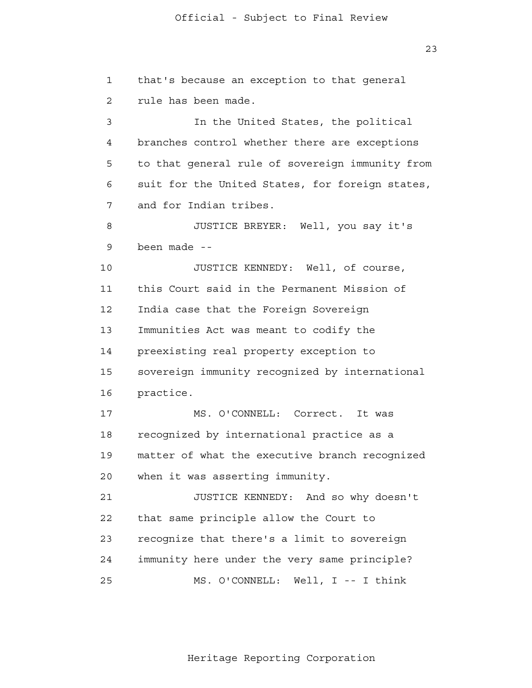1 2 3 4 **5**  6 7 8 9 10 11 12 13 14 15 16 17 18 19 20 21 **22**  23 that's because an exception to that general rule has been made. In the United States, the political branches control whether there are exceptions to that general rule of sovereign immunity from suit for the United States, for foreign states, and for Indian tribes. JUSTICE BREYER: Well, you say it's been made - JUSTICE KENNEDY: Well, of course, this Court said in the Permanent Mission of India case that the Foreign Sovereign Immunities Act was meant to codify the preexisting real property exception to sovereign immunity recognized by international practice. MS. O'CONNELL: Correct. It was recognized by international practice as a matter of what the executive branch recognized when it was asserting immunity. JUSTICE KENNEDY: And so why doesn't that same principle allow the Court to recognize that there's a limit to sovereign

> 25 MS. O'CONNELL: Well, I -- I think

24

Heritage Reporting Corporation

immunity here under the very same principle?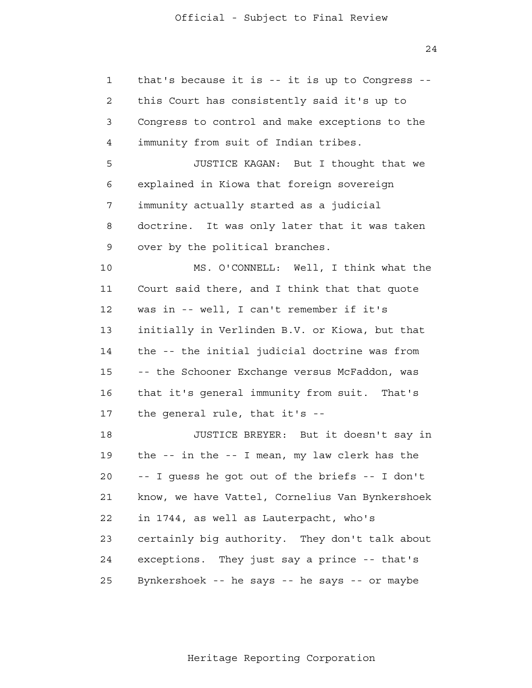24

 1 2 3 4 **5**  6 7 8 9 10 11 12 13 14 15 16 17 18 19 20 21 **22**  23 24 25 that's because it is -- it is up to Congress this Court has consistently said it's up to Congress to control and make exceptions to the immunity from suit of Indian tribes. JUSTICE KAGAN: But I thought that we explained in Kiowa that foreign sovereign immunity actually started as a judicial doctrine. It was only later that it was taken over by the political branches. MS. O'CONNELL: Well, I think what the Court said there, and I think that that quote was in -- well, I can't remember if it's initially in Verlinden B.V. or Kiowa, but that the -- the initial judicial doctrine was from -- the Schooner Exchange versus McFaddon, was that it's general immunity from suit. That's the general rule, that it's - JUSTICE BREYER: But it doesn't say in the -- in the -- I mean, my law clerk has the -- I guess he got out of the briefs -- I don't know, we have Vattel, Cornelius Van Bynkershoek in 1744, as well as Lauterpacht, who's certainly big authority. They don't talk about exceptions. They just say a prince -- that's Bynkershoek -- he says -- he says -- or maybe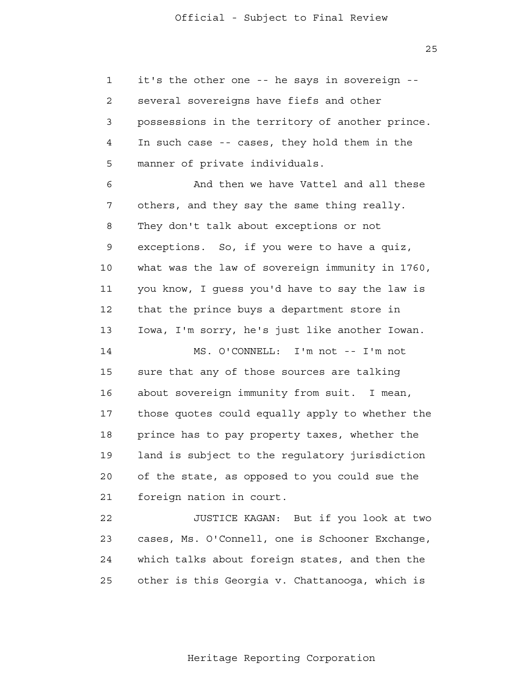1 2 3 4 **5** it's the other one -- he says in sovereign several sovereigns have fiefs and other possessions in the territory of another prince. In such case -- cases, they hold them in the manner of private individuals.

 6 7 8 9 10 11 12 13 And then we have Vattel and all these others, and they say the same thing really. They don't talk about exceptions or not exceptions. So, if you were to have a quiz, what was the law of sovereign immunity in 1760, you know, I guess you'd have to say the law is that the prince buys a department store in Iowa, I'm sorry, he's just like another Iowan.

 14 15 16 17 18 19 20 21 MS. O'CONNELL: I'm not -- I'm not sure that any of those sources are talking about sovereign immunity from suit. I mean, those quotes could equally apply to whether the prince has to pay property taxes, whether the land is subject to the regulatory jurisdiction of the state, as opposed to you could sue the foreign nation in court.

 22 23 24 25 JUSTICE KAGAN: But if you look at two cases, Ms. O'Connell, one is Schooner Exchange, which talks about foreign states, and then the other is this Georgia v. Chattanooga, which is

Heritage Reporting Corporation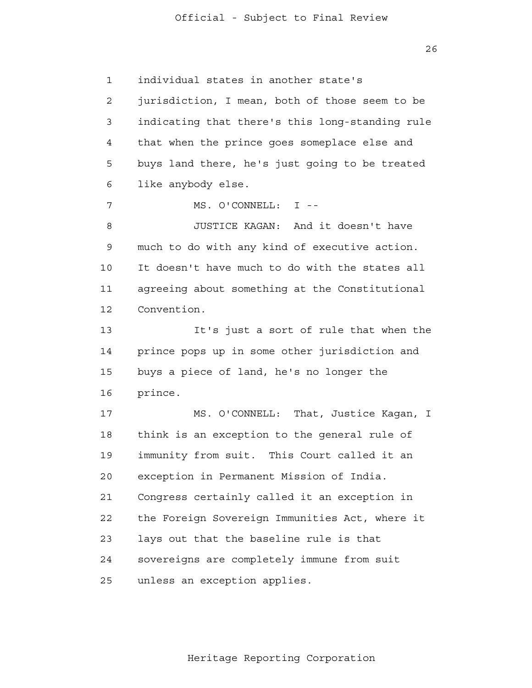26

 1 2 3 4 **5**  6 7 8 9 10 11 12 13 14 15 16 17 18 19 20 21 22 23 24 25 individual states in another state's jurisdiction, I mean, both of those seem to be indicating that there's this long-standing rule that when the prince goes someplace else and buys land there, he's just going to be treated like anybody else. MS. O'CONNELL: I - JUSTICE KAGAN: And it doesn't have much to do with any kind of executive action. It doesn't have much to do with the states all agreeing about something at the Constitutional Convention. It's just a sort of rule that when the prince pops up in some other jurisdiction and buys a piece of land, he's no longer the prince. MS. O'CONNELL: That, Justice Kagan, I think is an exception to the general rule of immunity from suit. This Court called it an exception in Permanent Mission of India. Congress certainly called it an exception in the Foreign Sovereign Immunities Act, where it lays out that the baseline rule is that sovereigns are completely immune from suit unless an exception applies.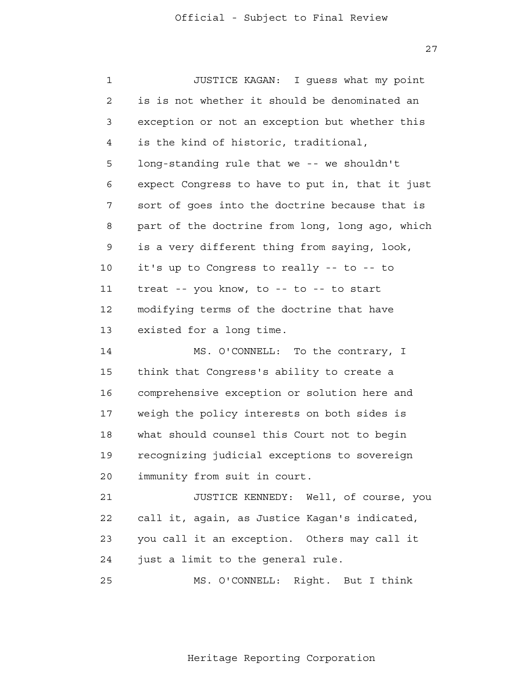27

| $\mathbf 1$    | JUSTICE KAGAN: I guess what my point            |
|----------------|-------------------------------------------------|
| $\overline{2}$ | is is not whether it should be denominated an   |
| 3              | exception or not an exception but whether this  |
| 4              | is the kind of historic, traditional,           |
| 5              | long-standing rule that we -- we shouldn't      |
| 6              | expect Congress to have to put in, that it just |
| 7              | sort of goes into the doctrine because that is  |
| 8              | part of the doctrine from long, long ago, which |
| 9              | is a very different thing from saying, look,    |
| 10             | it's up to Congress to really -- to -- to       |
| 11             | treat -- you know, to -- to -- to start         |
| 12             | modifying terms of the doctrine that have       |
| 13             | existed for a long time.                        |
| 14             | MS. O'CONNELL: To the contrary, I               |
| 15             | think that Congress's ability to create a       |
| 16             | comprehensive exception or solution here and    |
| 17             | weigh the policy interests on both sides is     |
| 18             | what should counsel this Court not to begin     |
| 19             | recognizing judicial exceptions to sovereign    |
| 20             | immunity from suit in court.                    |
| 21             | JUSTICE KENNEDY: Well, of course, you           |
| 22             | call it, again, as Justice Kagan's indicated,   |
| 23             | you call it an exception. Others may call it    |
| 24             | just a limit to the general rule.               |
| 25             | Right. But I think<br>MS. O'CONNELL:            |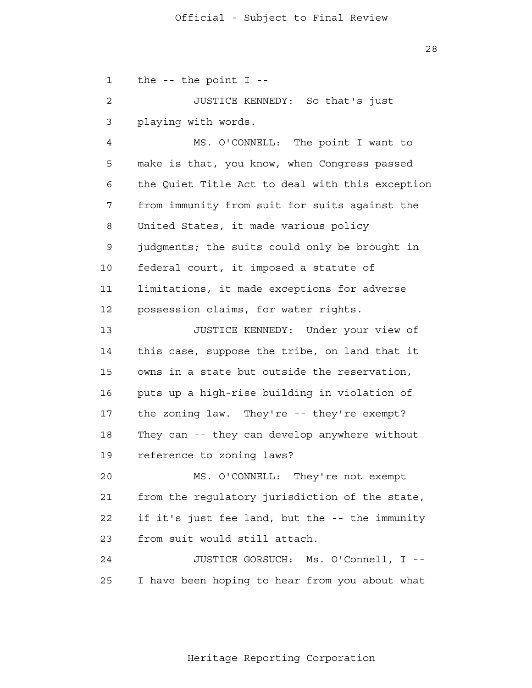1 2 3 the  $-$ - the point  $I$   $-$ JUSTICE KENNEDY: So that's just playing with words.

 4 **5**  6 7 8 9 10 11 12 MS. O'CONNELL: The point I want to make is that, you know, when Congress passed the Quiet Title Act to deal with this exception from immunity from suit for suits against the United States, it made various policy judgments; the suits could only be brought in federal court, it imposed a statute of limitations, it made exceptions for adverse possession claims, for water rights.

 13 14 15 16 17 18 19 JUSTICE KENNEDY: Under your view of this case, suppose the tribe, on land that it owns in a state but outside the reservation, puts up a high-rise building in violation of the zoning law. They're -- they're exempt? They can -- they can develop anywhere without reference to zoning laws?

 20 21 **22**  23 MS. O'CONNELL: They're not exempt from the regulatory jurisdiction of the state, if it's just fee land, but the -- the immunity from suit would still attach.

> 24 25 JUSTICE GORSUCH: Ms. O'Connell, I --I have been hoping to hear from you about what

> > Heritage Reporting Corporation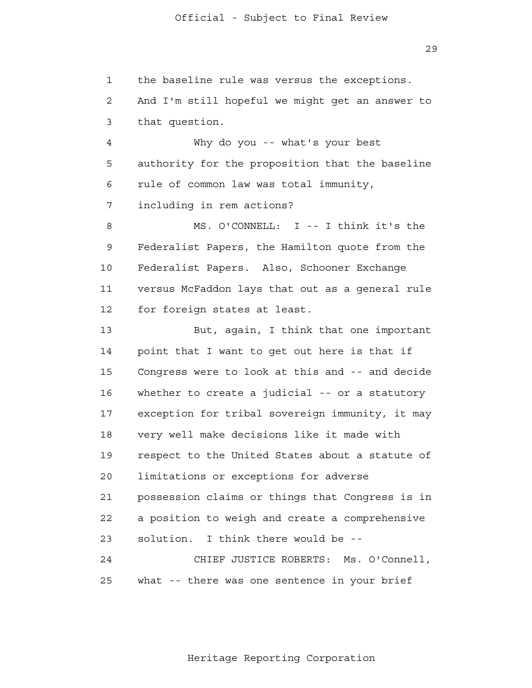29

 1 2 3 4 **5**  6 7 8 9 10 11 12 13 14 15 16 17 18 19 20 21 **22**  23 24 25 the baseline rule was versus the exceptions. And I'm still hopeful we might get an answer to that question. Why do you -- what's your best authority for the proposition that the baseline rule of common law was total immunity, including in rem actions? MS. O'CONNELL: I -- I think it's the Federalist Papers, the Hamilton quote from the Federalist Papers. Also, Schooner Exchange versus McFaddon lays that out as a general rule for foreign states at least. But, again, I think that one important point that I want to get out here is that if Congress were to look at this and -- and decide whether to create a judicial -- or a statutory exception for tribal sovereign immunity, it may very well make decisions like it made with respect to the United States about a statute of limitations or exceptions for adverse possession claims or things that Congress is in a position to weigh and create a comprehensive solution. I think there would be - CHIEF JUSTICE ROBERTS: Ms. O'Connell, what -- there was one sentence in your brief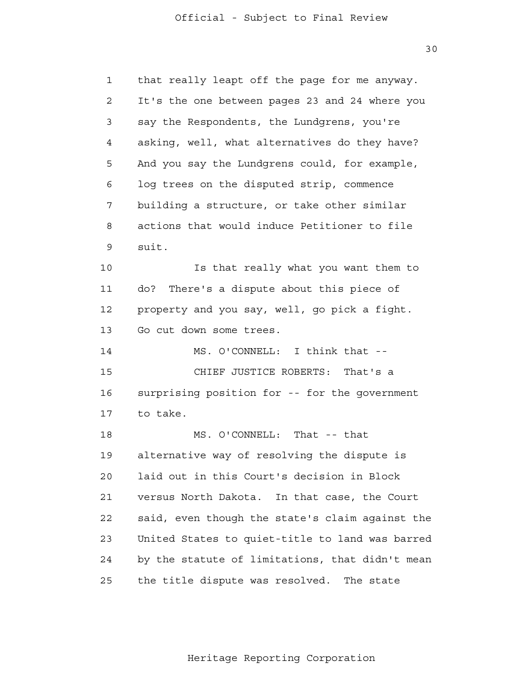30

 1 2 3 4 **5**  6 7 8 9 10 11 12 13 14 15 16 17 18 19 20 21 **22**  23 24 25 that really leapt off the page for me anyway. It's the one between pages 23 and 24 where you say the Respondents, the Lundgrens, you're asking, well, what alternatives do they have? And you say the Lundgrens could, for example, log trees on the disputed strip, commence building a structure, or take other similar actions that would induce Petitioner to file suit. Is that really what you want them to do? There's a dispute about this piece of property and you say, well, go pick a fight. Go cut down some trees. MS. O'CONNELL: I think that - CHIEF JUSTICE ROBERTS: That's a surprising position for -- for the government to take. MS. O'CONNELL: That -- that alternative way of resolving the dispute is laid out in this Court's decision in Block versus North Dakota. In that case, the Court said, even though the state's claim against the United States to quiet-title to land was barred by the statute of limitations, that didn't mean the title dispute was resolved. The state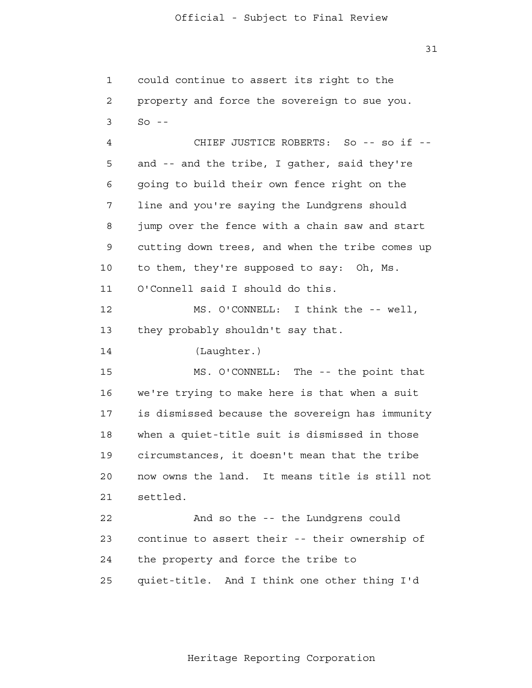31

 1 2 3 4 **5**  6 7 8 9 10 11 12 13 14 15 16 17 18 19 20 21 22 23 24 25 could continue to assert its right to the property and force the sovereign to sue you.  $SO = -$ CHIEF JUSTICE ROBERTS: So -- so if -and -- and the tribe, I gather, said they're going to build their own fence right on the line and you're saying the Lundgrens should jump over the fence with a chain saw and start cutting down trees, and when the tribe comes up to them, they're supposed to say: Oh, Ms. O'Connell said I should do this. MS. O'CONNELL: I think the -- well, they probably shouldn't say that. (Laughter.) MS. O'CONNELL: The -- the point that we're trying to make here is that when a suit is dismissed because the sovereign has immunity when a quiet-title suit is dismissed in those circumstances, it doesn't mean that the tribe now owns the land. It means title is still not settled. And so the -- the Lundgrens could continue to assert their -- their ownership of the property and force the tribe to quiet-title. And I think one other thing I'd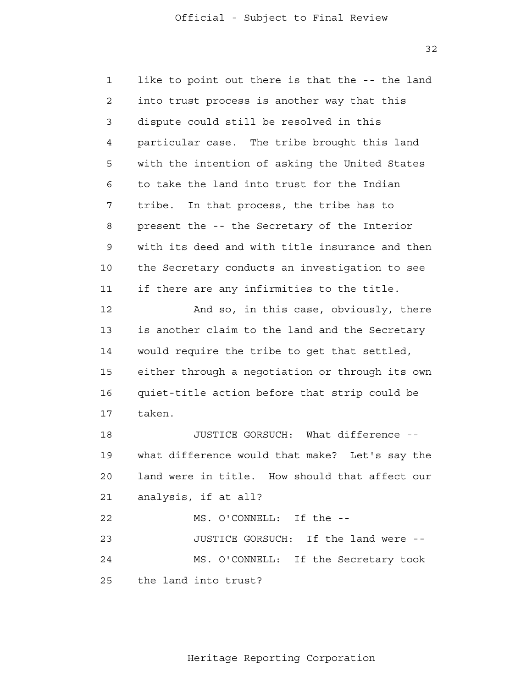32

 1 2 3 4 **5**  6 7 8 9 10 11 12 13 14 15 16 17 18 19 20 21 22 23 24 25 like to point out there is that the -- the land into trust process is another way that this dispute could still be resolved in this particular case. The tribe brought this land with the intention of asking the United States to take the land into trust for the Indian tribe. In that process, the tribe has to present the -- the Secretary of the Interior with its deed and with title insurance and then the Secretary conducts an investigation to see if there are any infirmities to the title. And so, in this case, obviously, there is another claim to the land and the Secretary would require the tribe to get that settled, either through a negotiation or through its own quiet-title action before that strip could be taken. JUSTICE GORSUCH: What difference what difference would that make? Let's say the land were in title. How should that affect our analysis, if at all? MS. O'CONNELL: If the - JUSTICE GORSUCH: If the land were - MS. O'CONNELL: If the Secretary took the land into trust?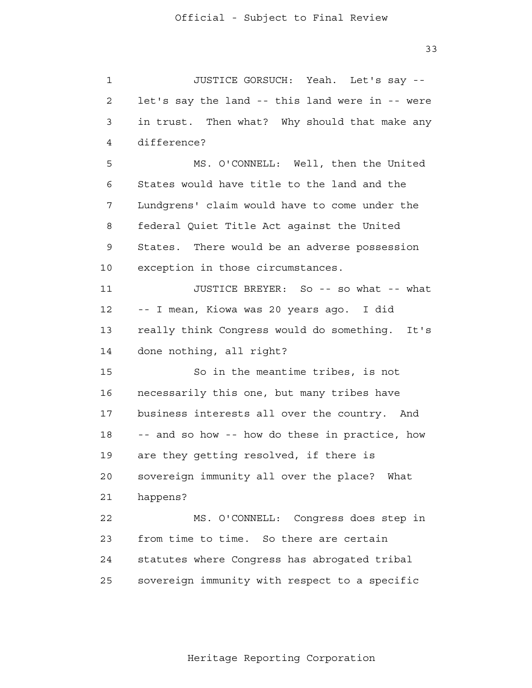33

 1 2 3 4 **5**  6 7 8 9 10 11 12 13 14 15 16 17 18 19 20 21 22 23 24 25 JUSTICE GORSUCH: Yeah. Let's say let's say the land -- this land were in -- were in trust. Then what? Why should that make any difference? MS. O'CONNELL: Well, then the United States would have title to the land and the Lundgrens' claim would have to come under the federal Quiet Title Act against the United States. There would be an adverse possession exception in those circumstances. JUSTICE BREYER: So -- so what -- what -- I mean, Kiowa was 20 years ago. I did really think Congress would do something. It's done nothing, all right? So in the meantime tribes, is not necessarily this one, but many tribes have business interests all over the country. And -- and so how -- how do these in practice, how are they getting resolved, if there is sovereign immunity all over the place? What happens? MS. O'CONNELL: Congress does step in from time to time. So there are certain statutes where Congress has abrogated tribal sovereign immunity with respect to a specific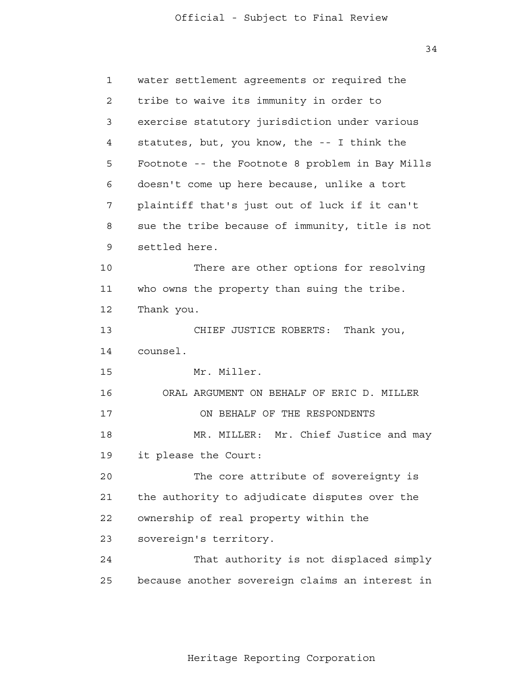34

| 1  | water settlement agreements or required the     |
|----|-------------------------------------------------|
| 2  | tribe to waive its immunity in order to         |
| 3  | exercise statutory jurisdiction under various   |
| 4  | statutes, but, you know, the -- I think the     |
| 5  | Footnote -- the Footnote 8 problem in Bay Mills |
| 6  | doesn't come up here because, unlike a tort     |
| 7  | plaintiff that's just out of luck if it can't   |
| 8  | sue the tribe because of immunity, title is not |
| 9  | settled here.                                   |
| 10 | There are other options for resolving           |
| 11 | who owns the property than suing the tribe.     |
| 12 | Thank you.                                      |
| 13 | CHIEF JUSTICE ROBERTS: Thank you,               |
| 14 | counsel.                                        |
| 15 | Mr. Miller.                                     |
| 16 | ORAL ARGUMENT ON BEHALF OF ERIC D. MILLER       |
| 17 | ON BEHALF OF THE RESPONDENTS                    |
| 18 | MR. MILLER: Mr. Chief Justice and may           |
| 19 | it please the Court:                            |
| 20 | The core attribute of sovereignty is            |
| 21 | the authority to adjudicate disputes over the   |
| 22 | ownership of real property within the           |
| 23 | sovereign's territory.                          |
| 24 | That authority is not displaced simply          |
| 25 | because another sovereign claims an interest in |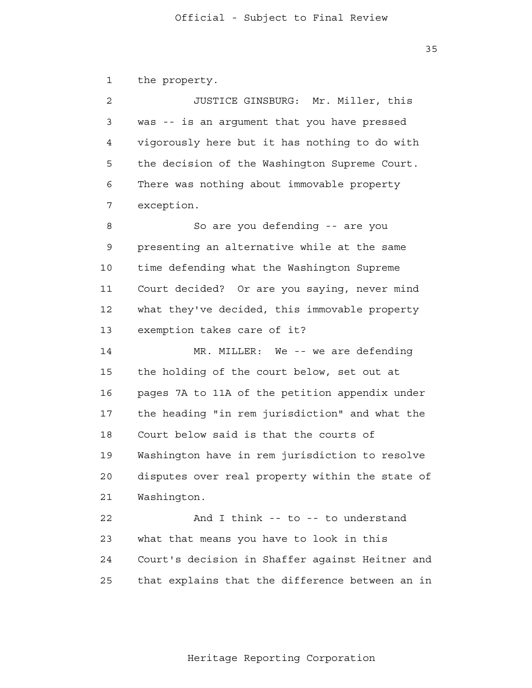1 the property.

 2 3 4 **5**  6 7 JUSTICE GINSBURG: Mr. Miller, this was -- is an argument that you have pressed vigorously here but it has nothing to do with the decision of the Washington Supreme Court. There was nothing about immovable property exception.

 8 9 10 11 12 13 So are you defending -- are you presenting an alternative while at the same time defending what the Washington Supreme Court decided? Or are you saying, never mind what they've decided, this immovable property exemption takes care of it?

> 14 15 16 17 18 19 20 21 MR. MILLER: We -- we are defending the holding of the court below, set out at pages 7A to 11A of the petition appendix under the heading "in rem jurisdiction" and what the Court below said is that the courts of Washington have in rem jurisdiction to resolve disputes over real property within the state of Washington.

> 22 23 24 25 And I think -- to -- to understand what that means you have to look in this Court's decision in Shaffer against Heitner and that explains that the difference between an in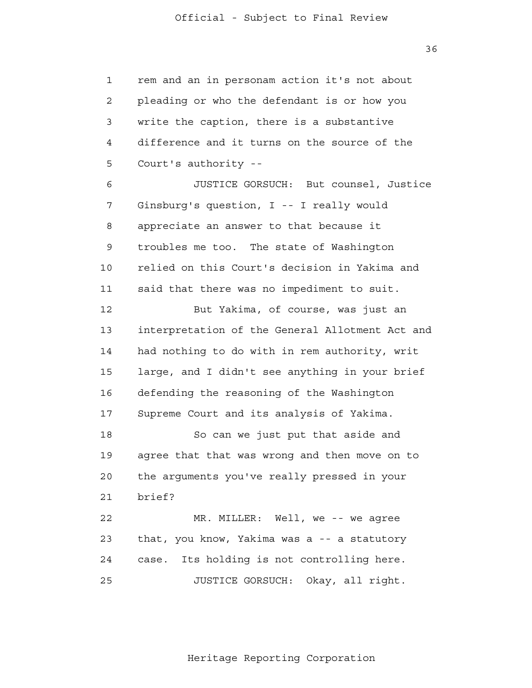36

 1 2 3 4 **5** rem and an in personam action it's not about pleading or who the defendant is or how you write the caption, there is a substantive difference and it turns on the source of the Court's authority -

 6 7 8 9 10 11 JUSTICE GORSUCH: But counsel, Justice Ginsburg's question, I -- I really would appreciate an answer to that because it troubles me too. The state of Washington relied on this Court's decision in Yakima and said that there was no impediment to suit.

 12 13 14 15 16 17 But Yakima, of course, was just an interpretation of the General Allotment Act and had nothing to do with in rem authority, writ large, and I didn't see anything in your brief defending the reasoning of the Washington Supreme Court and its analysis of Yakima.

> 18 19 20 21 So can we just put that aside and agree that that was wrong and then move on to the arguments you've really pressed in your brief?

 22 23 24 25 MR. MILLER: Well, we -- we agree that, you know, Yakima was a -- a statutory case. Its holding is not controlling here. JUSTICE GORSUCH: Okay, all right.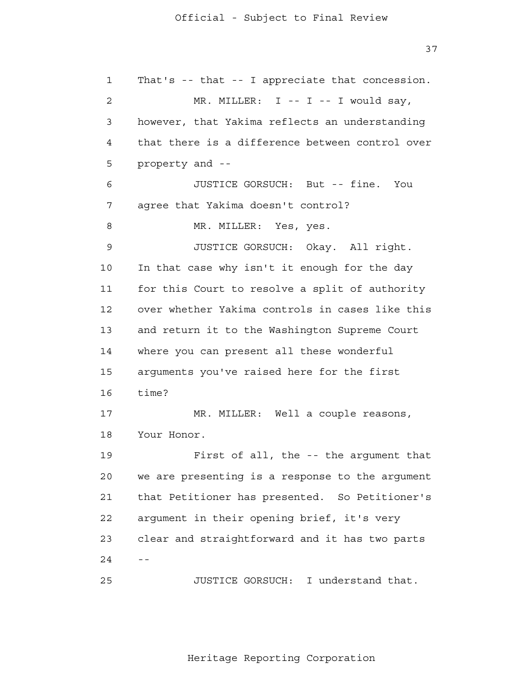37

 1 2 3 4 **5**  6 7 8 9 10 11 12 13 14 15 16 17 18 19 20 21 22 23  $24 - -$  25 That's -- that -- I appreciate that concession. MR. MILLER:  $I - - I - - I$  would say, however, that Yakima reflects an understanding that there is a difference between control over property and - JUSTICE GORSUCH: But -- fine. You agree that Yakima doesn't control? MR. MILLER: Yes, yes. JUSTICE GORSUCH: Okay. All right. In that case why isn't it enough for the day for this Court to resolve a split of authority over whether Yakima controls in cases like this and return it to the Washington Supreme Court where you can present all these wonderful arguments you've raised here for the first time? MR. MILLER: Well a couple reasons, Your Honor. First of all, the -- the argument that we are presenting is a response to the argument that Petitioner has presented. So Petitioner's argument in their opening brief, it's very clear and straightforward and it has two parts JUSTICE GORSUCH: I understand that.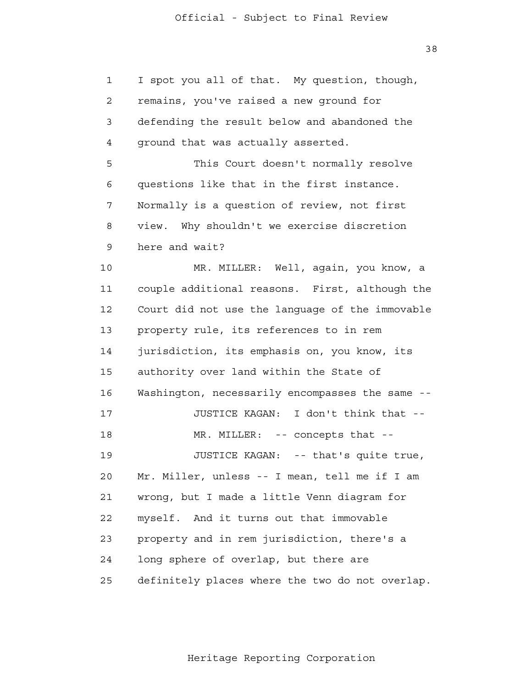38

| $\mathbf{1}$   | I spot you all of that. My question, though,    |
|----------------|-------------------------------------------------|
| $\overline{2}$ | remains, you've raised a new ground for         |
| 3              | defending the result below and abandoned the    |
| 4              | ground that was actually asserted.              |
| 5              | This Court doesn't normally resolve             |
| 6              | questions like that in the first instance.      |
| 7              | Normally is a question of review, not first     |
| 8              | Why shouldn't we exercise discretion<br>view.   |
| 9              | here and wait?                                  |
| 10             | MR. MILLER: Well, again, you know, a            |
| 11             | couple additional reasons. First, although the  |
| 12             | Court did not use the language of the immovable |
| 13             | property rule, its references to in rem         |
| 14             | jurisdiction, its emphasis on, you know, its    |
| 15             | authority over land within the State of         |
| 16             | Washington, necessarily encompasses the same -- |
| 17             | JUSTICE KAGAN: I don't think that --            |
| 18             | MR. MILLER: -- concepts that --                 |
| 19             | JUSTICE KAGAN: -- that's quite true,            |
| 20             | Mr. Miller, unless -- I mean, tell me if I am   |
| 21             | wrong, but I made a little Venn diagram for     |
| 22             | And it turns out that immovable<br>myself.      |
| 23             | property and in rem jurisdiction, there's a     |
| 24             | long sphere of overlap, but there are           |
| 25             | definitely places where the two do not overlap. |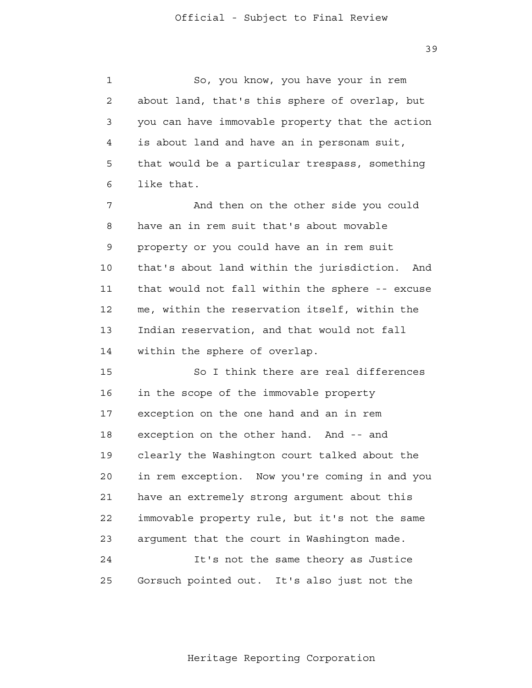39

 1 2 3 4 **5**  6 So, you know, you have your in rem about land, that's this sphere of overlap, but you can have immovable property that the action is about land and have an in personam suit, that would be a particular trespass, something like that.

 7 8 9 10 11 12 13 14 And then on the other side you could have an in rem suit that's about movable property or you could have an in rem suit that's about land within the jurisdiction. And that would not fall within the sphere -- excuse me, within the reservation itself, within the Indian reservation, and that would not fall within the sphere of overlap.

> 15 16 17 18 19 20 21 22 23 24 25 So I think there are real differences in the scope of the immovable property exception on the one hand and an in rem exception on the other hand. And -- and clearly the Washington court talked about the in rem exception. Now you're coming in and you have an extremely strong argument about this immovable property rule, but it's not the same argument that the court in Washington made. It's not the same theory as Justice Gorsuch pointed out. It's also just not the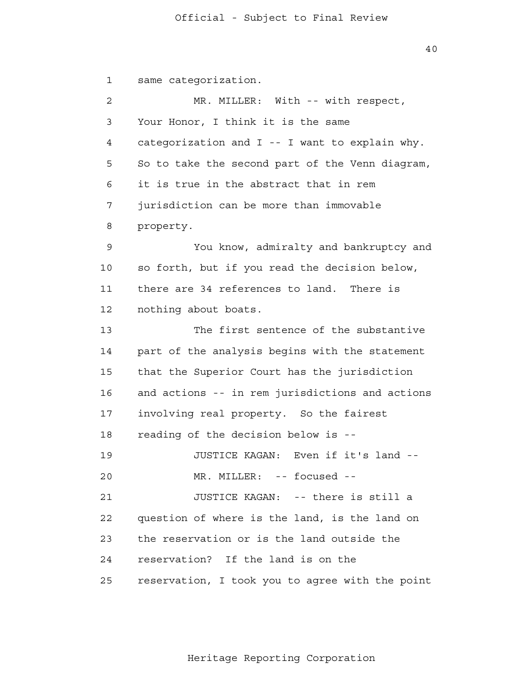1 2 3 4 **5**  6 7 8 9 10 11 12 13 14 15 16 17 18 19 20 21 **22**  23 24 25 same categorization. MR. MILLER: With -- with respect, Your Honor, I think it is the same categorization and I -- I want to explain why. So to take the second part of the Venn diagram, it is true in the abstract that in rem jurisdiction can be more than immovable property. You know, admiralty and bankruptcy and so forth, but if you read the decision below, there are 34 references to land. There is nothing about boats. The first sentence of the substantive part of the analysis begins with the statement that the Superior Court has the jurisdiction and actions -- in rem jurisdictions and actions involving real property. So the fairest reading of the decision below is - JUSTICE KAGAN: Even if it's land - MR. MILLER: -- focused --JUSTICE KAGAN: -- there is still a question of where is the land, is the land on the reservation or is the land outside the reservation? If the land is on the reservation, I took you to agree with the point

40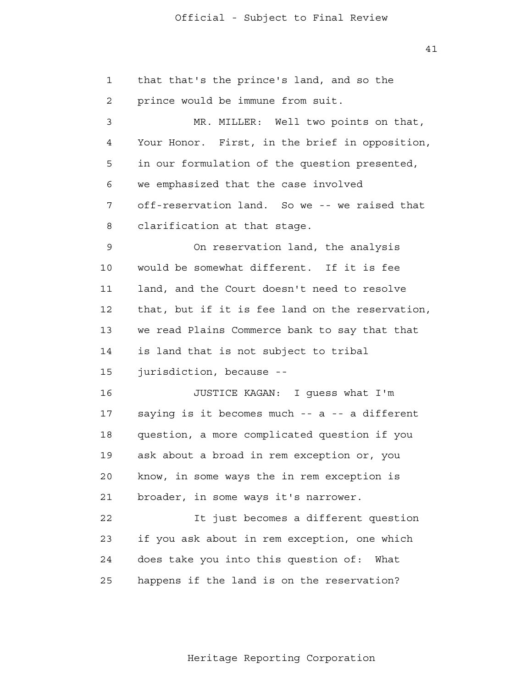1 2 3 4 **5**  6 7 8 9 10 11 12 13 14 15 16 17 18 19 20 21 22 23 24 25 that that's the prince's land, and so the prince would be immune from suit. MR. MILLER: Well two points on that, Your Honor. First, in the brief in opposition, in our formulation of the question presented, we emphasized that the case involved off-reservation land. So we -- we raised that clarification at that stage. On reservation land, the analysis would be somewhat different. If it is fee land, and the Court doesn't need to resolve that, but if it is fee land on the reservation, we read Plains Commerce bank to say that that is land that is not subject to tribal jurisdiction, because - JUSTICE KAGAN: I guess what I'm saying is it becomes much -- a -- a different question, a more complicated question if you ask about a broad in rem exception or, you know, in some ways the in rem exception is broader, in some ways it's narrower. It just becomes a different question if you ask about in rem exception, one which does take you into this question of: What happens if the land is on the reservation?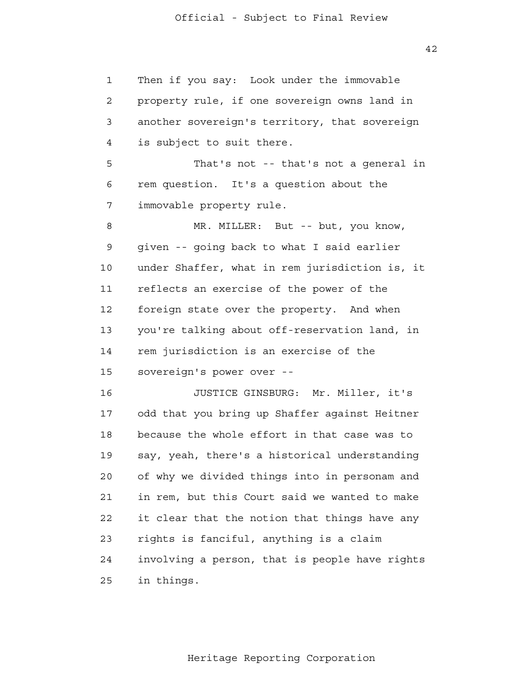1 2 3 4 **5**  6 7 8 9 10 11 12 13 14 15 16 17 18 Then if you say: Look under the immovable property rule, if one sovereign owns land in another sovereign's territory, that sovereign is subject to suit there. That's not -- that's not a general in rem question. It's a question about the immovable property rule. MR. MILLER: But -- but, you know, given -- going back to what I said earlier under Shaffer, what in rem jurisdiction is, it reflects an exercise of the power of the foreign state over the property. And when you're talking about off-reservation land, in rem jurisdiction is an exercise of the sovereign's power over - JUSTICE GINSBURG: Mr. Miller, it's odd that you bring up Shaffer against Heitner because the whole effort in that case was to

> 19 20 21 22 23 24 25 say, yeah, there's a historical understanding of why we divided things into in personam and in rem, but this Court said we wanted to make it clear that the notion that things have any rights is fanciful, anything is a claim involving a person, that is people have rights in things.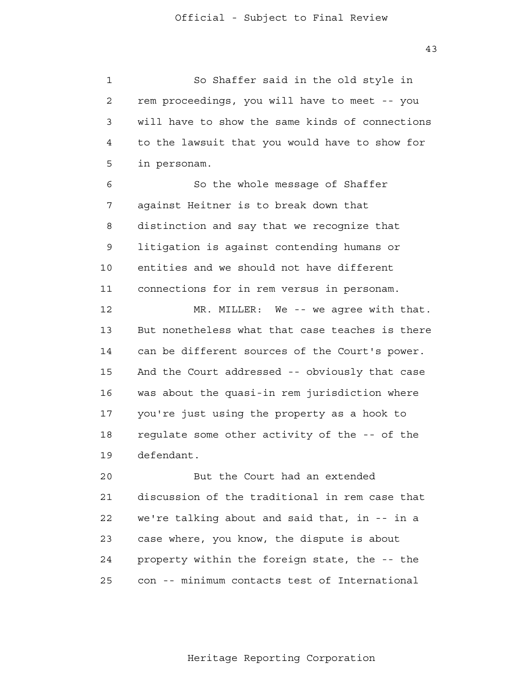43

 1 2 3 4 **5**  6 7 8 9 10 11 12 13 14 15 16 17 18 19 20 21 22 23 24 <u>25</u> So Shaffer said in the old style in rem proceedings, you will have to meet -- you will have to show the same kinds of connections to the lawsuit that you would have to show for in personam. So the whole message of Shaffer against Heitner is to break down that distinction and say that we recognize that litigation is against contending humans or entities and we should not have different connections for in rem versus in personam. MR. MILLER: We -- we agree with that. But nonetheless what that case teaches is there can be different sources of the Court's power. And the Court addressed -- obviously that case was about the quasi-in rem jurisdiction where you're just using the property as a hook to regulate some other activity of the -- of the defendant. But the Court had an extended discussion of the traditional in rem case that we're talking about and said that, in -- in a case where, you know, the dispute is about property within the foreign state, the -- the con -- minimum contacts test of International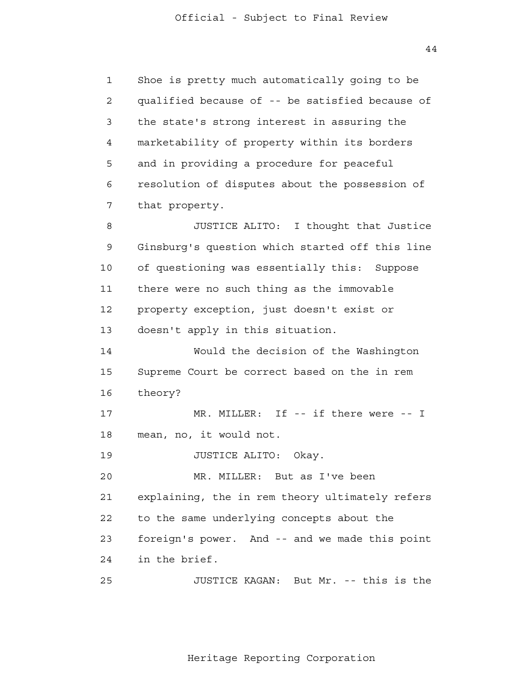44

 1 2 3 4 **5**  6 7 8 9 10 11 12 13 14 15 16 17 18 19 20 21 22 23 24 25 Shoe is pretty much automatically going to be qualified because of -- be satisfied because of the state's strong interest in assuring the marketability of property within its borders and in providing a procedure for peaceful resolution of disputes about the possession of that property. JUSTICE ALITO: I thought that Justice Ginsburg's question which started off this line of questioning was essentially this: Suppose there were no such thing as the immovable property exception, just doesn't exist or doesn't apply in this situation. Would the decision of the Washington Supreme Court be correct based on the in rem theory? MR. MILLER: If -- if there were -- I mean, no, it would not. JUSTICE ALITO: Okay. MR. MILLER: But as I've been explaining, the in rem theory ultimately refers to the same underlying concepts about the foreign's power. And -- and we made this point in the brief. JUSTICE KAGAN: But Mr. -- this is the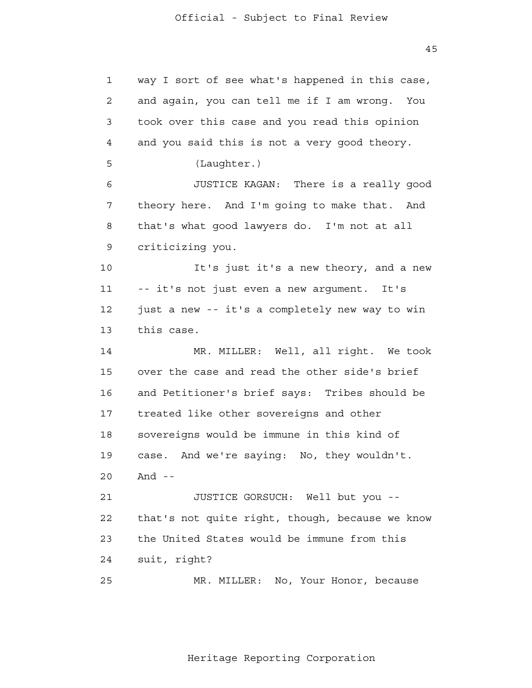1 2 3 4 **5**  6 7 8 9 10 11 12 13 14 15 16 17 18 19 20 21 22 23 24 25 way I sort of see what's happened in this case, and again, you can tell me if I am wrong. You took over this case and you read this opinion and you said this is not a very good theory. (Laughter.) JUSTICE KAGAN: There is a really good theory here. And I'm going to make that. And that's what good lawyers do. I'm not at all criticizing you. It's just it's a new theory, and a new -- it's not just even a new argument. It's just a new -- it's a completely new way to win this case. MR. MILLER: Well, all right. We took over the case and read the other side's brief and Petitioner's brief says: Tribes should be treated like other sovereigns and other sovereigns would be immune in this kind of case. And we're saying: No, they wouldn't. And  $-$ JUSTICE GORSUCH: Well but you that's not quite right, though, because we know the United States would be immune from this suit, right? MR. MILLER: No, Your Honor, because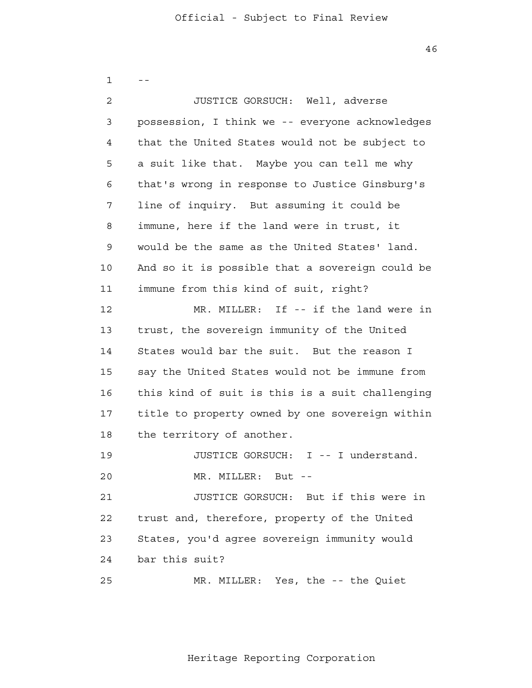46

| $\mathbf 1$  |                                                 |
|--------------|-------------------------------------------------|
| $\mathbf{2}$ | JUSTICE GORSUCH: Well, adverse                  |
| 3            | possession, I think we -- everyone acknowledges |
| 4            | that the United States would not be subject to  |
| 5            | a suit like that. Maybe you can tell me why     |
| 6            | that's wrong in response to Justice Ginsburg's  |
| 7            | line of inquiry. But assuming it could be       |
| 8            | immune, here if the land were in trust, it      |
| 9            | would be the same as the United States' land.   |
| 10           | And so it is possible that a sovereign could be |
| 11           | immune from this kind of suit, right?           |
| 12           | MR. MILLER: If -- if the land were in           |
| 13           | trust, the sovereign immunity of the United     |
| 14           | States would bar the suit. But the reason I     |
| 15           | say the United States would not be immune from  |
| 16           | this kind of suit is this is a suit challenging |
| 17           | title to property owned by one sovereign within |
| 18           | the territory of another.                       |
| 19           | JUSTICE GORSUCH:<br>I -- I understand.          |
| 20           | MR. MILLER: But --                              |
| 21           | JUSTICE GORSUCH: But if this were in            |
| 22           | trust and, therefore, property of the United    |
| 23           | States, you'd agree sovereign immunity would    |
| 24           | bar this suit?                                  |
| 25           | MR. MILLER: Yes, the -- the Quiet               |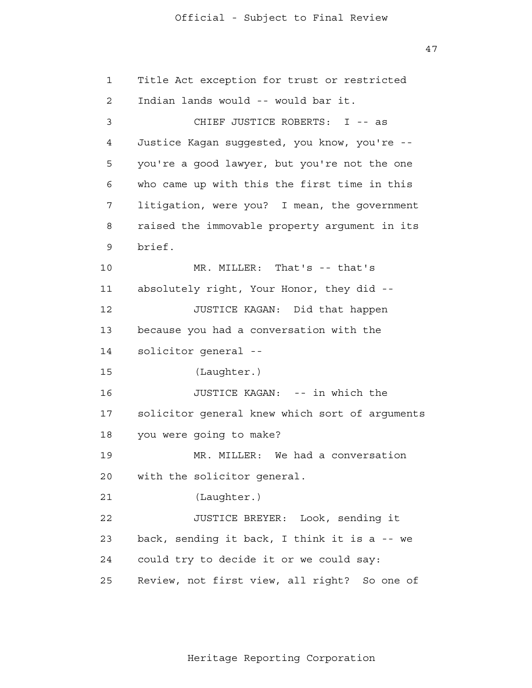47

| 1              | Title Act exception for trust or restricted     |
|----------------|-------------------------------------------------|
| $\overline{2}$ | Indian lands would -- would bar it.             |
| $\mathfrak{Z}$ | CHIEF JUSTICE ROBERTS: I -- as                  |
| 4              | Justice Kagan suggested, you know, you're --    |
| 5              | you're a good lawyer, but you're not the one    |
| 6              | who came up with this the first time in this    |
| 7              | litigation, were you? I mean, the government    |
| 8              | raised the immovable property argument in its   |
| 9              | brief.                                          |
| 10             | MR. MILLER: That's -- that's                    |
| 11             | absolutely right, Your Honor, they did --       |
| 12             | JUSTICE KAGAN: Did that happen                  |
| 13             | because you had a conversation with the         |
| 14             | solicitor general --                            |
| 15             | (Laughter.)                                     |
| 16             | JUSTICE KAGAN: -- in which the                  |
| 17             | solicitor general knew which sort of arguments  |
| 18             | you were going to make?                         |
| 19             | MR. MILLER: We had a conversation               |
| 20             | with the solicitor general.                     |
| 21             | (Laughter.)                                     |
| 22             | JUSTICE BREYER: Look, sending it                |
| 23             | back, sending it back, I think it is a -- we    |
| 24             | could try to decide it or we could say:         |
| 25             | Review, not first view, all right?<br>So one of |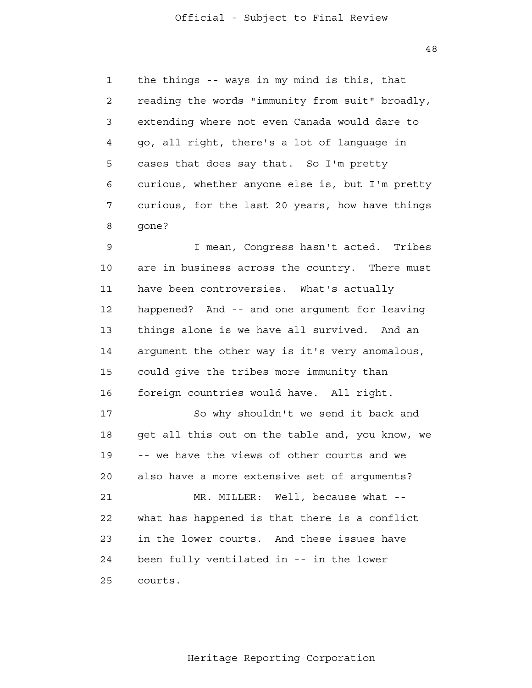48

 1 2 3 4 **5**  6 7 8 the things -- ways in my mind is this, that reading the words "immunity from suit" broadly, extending where not even Canada would dare to go, all right, there's a lot of language in cases that does say that. So I'm pretty curious, whether anyone else is, but I'm pretty curious, for the last 20 years, how have things gone?

 9 10 11 12 13 14 15 16 17 18 I mean, Congress hasn't acted. Tribes are in business across the country. There must have been controversies. What's actually happened? And -- and one argument for leaving things alone is we have all survived. And an argument the other way is it's very anomalous, could give the tribes more immunity than foreign countries would have. All right. So why shouldn't we send it back and get all this out on the table and, you know, we

 19 20 21 **22**  23 24 <u>25</u> -- we have the views of other courts and we also have a more extensive set of arguments? MR. MILLER: Well, because what -what has happened is that there is a conflict in the lower courts. And these issues have been fully ventilated in -- in the lower courts.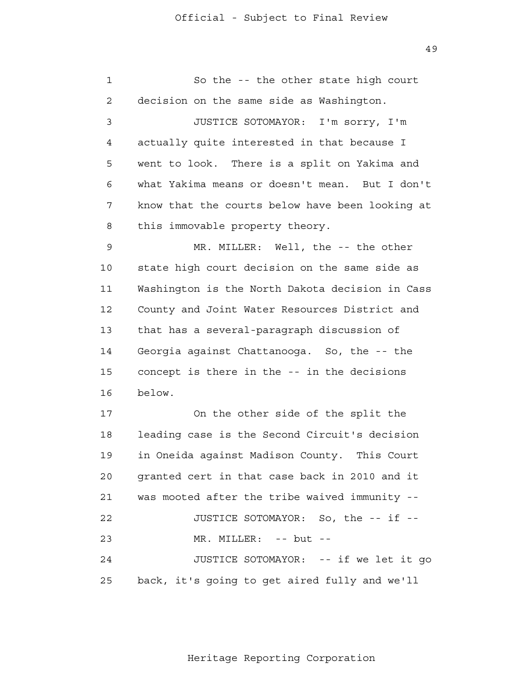49

| 1              | So the -- the other state high court            |
|----------------|-------------------------------------------------|
| $\overline{a}$ | decision on the same side as Washington.        |
| 3              | JUSTICE SOTOMAYOR: I'm sorry, I'm               |
| 4              | actually quite interested in that because I     |
| 5              | went to look. There is a split on Yakima and    |
| 6              | what Yakima means or doesn't mean. But I don't  |
| 7              | know that the courts below have been looking at |
| 8              | this immovable property theory.                 |
| 9              | MR. MILLER: Well, the -- the other              |
| 10             | state high court decision on the same side as   |
| 11             | Washington is the North Dakota decision in Cass |
| 12             | County and Joint Water Resources District and   |
| 13             | that has a several-paragraph discussion of      |
| 14             | Georgia against Chattanooga. So, the -- the     |
| 15             | concept is there in the -- in the decisions     |
| 16             | below.                                          |
| 17             | On the other side of the split the              |
| 18             | leading case is the Second Circuit's decision   |
| 19             | in Oneida against Madison County. This Court    |
| 20             | granted cert in that case back in 2010 and it   |
| 21             | was mooted after the tribe waived immunity --   |
| 22             | JUSTICE SOTOMAYOR: So, the -- if --             |
| 23             | MR. MILLER: -- but --                           |
| 24             | JUSTICE SOTOMAYOR: -- if we let it go           |
| 25             | back, it's going to get aired fully and we'll   |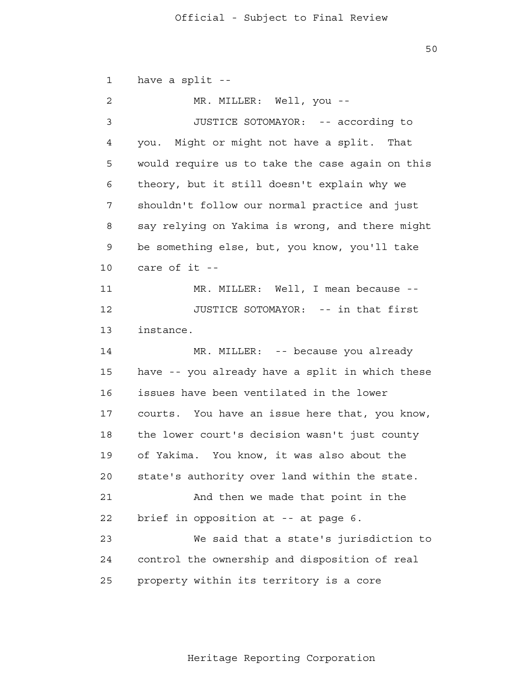1 2 3 4 **5**  6 7 8 9 10 11 12 13 14 15 16 17 18 19 20 21 22 23 24 25 have a split - MR. MILLER: Well, you --JUSTICE SOTOMAYOR: -- according to you. Might or might not have a split. That would require us to take the case again on this theory, but it still doesn't explain why we shouldn't follow our normal practice and just say relying on Yakima is wrong, and there might be something else, but, you know, you'll take care of it - MR. MILLER: Well, I mean because --JUSTICE SOTOMAYOR: -- in that first instance. MR. MILLER: -- because you already have -- you already have a split in which these issues have been ventilated in the lower courts. You have an issue here that, you know, the lower court's decision wasn't just county of Yakima. You know, it was also about the state's authority over land within the state. And then we made that point in the brief in opposition at -- at page 6. We said that a state's jurisdiction to control the ownership and disposition of real property within its territory is a core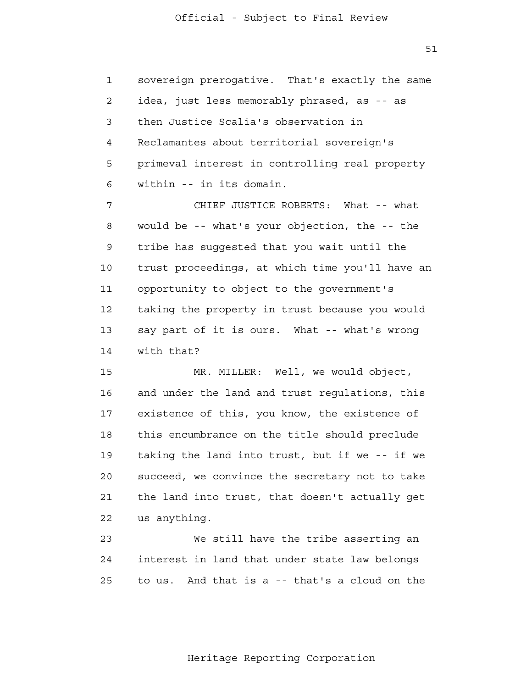1 2 3 4 **5**  6 sovereign prerogative. That's exactly the same idea, just less memorably phrased, as -- as then Justice Scalia's observation in Reclamantes about territorial sovereign's primeval interest in controlling real property within -- in its domain.

 7 8 9 10 11 12 13 14 CHIEF JUSTICE ROBERTS: What -- what would be -- what's your objection, the -- the tribe has suggested that you wait until the trust proceedings, at which time you'll have an opportunity to object to the government's taking the property in trust because you would say part of it is ours. What -- what's wrong with that?

> 15 16 17 18 19 20 21 22 MR. MILLER: Well, we would object, and under the land and trust regulations, this existence of this, you know, the existence of this encumbrance on the title should preclude taking the land into trust, but if we -- if we succeed, we convince the secretary not to take the land into trust, that doesn't actually get us anything.

 23 24 <u>25</u> We still have the tribe asserting an interest in land that under state law belongs to us. And that is a -- that's a cloud on the

51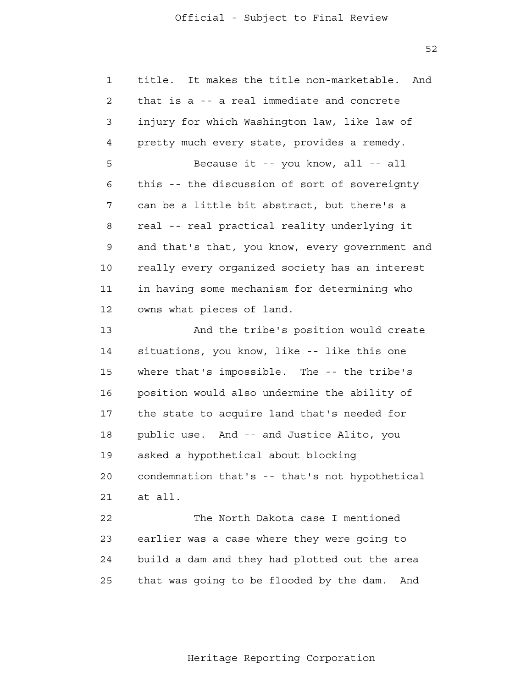52

| $\mathbf{1}$ | It makes the title non-marketable.<br>title.<br>And |
|--------------|-----------------------------------------------------|
| 2            | that is a -- a real immediate and concrete          |
| 3            | injury for which Washington law, like law of        |
| 4            | pretty much every state, provides a remedy.         |
| 5            | Because it -- you know, all -- all                  |
| 6            | this -- the discussion of sort of sovereignty       |
| 7            | can be a little bit abstract, but there's a         |
| 8            | real -- real practical reality underlying it        |
| 9            | and that's that, you know, every government and     |
| 10           | really every organized society has an interest      |
| 11           | in having some mechanism for determining who        |
| 12           | owns what pieces of land.                           |
| 13           | And the tribe's position would create               |
| 14           | situations, you know, like -- like this one         |
| 15           | where that's impossible. The -- the tribe's         |
| 16           | position would also undermine the ability of        |
| 17           | the state to acquire land that's needed for         |
| 18           | public use. And -- and Justice Alito, you           |
| 19           | asked a hypothetical about blocking                 |
| 20           | condemnation that's -- that's not hypothetical      |
| 21           | at all.                                             |
| 22           | The North Dakota case I mentioned                   |
| 23           | earlier was a case where they were going to         |
| 24           | build a dam and they had plotted out the area       |
| 25           | that was going to be flooded by the dam.<br>And     |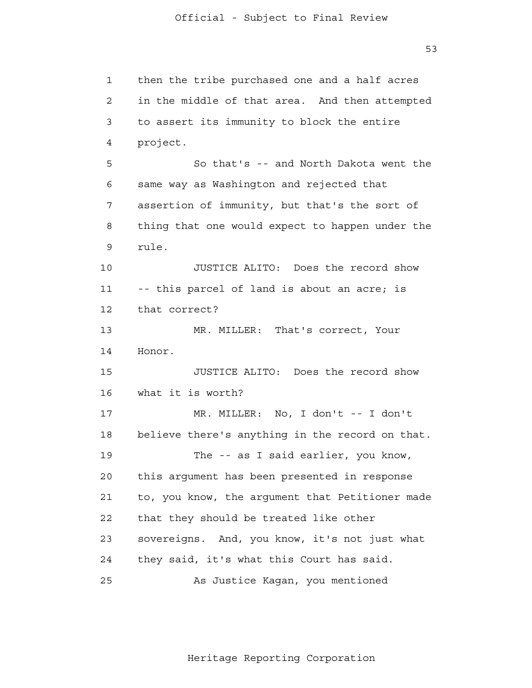53

 1 2 3 4 **5**  6 7 8 9 10 11 12 13 14 15 16 17 18 19 20 21 22 23 24 25 then the tribe purchased one and a half acres in the middle of that area. And then attempted to assert its immunity to block the entire project. So that's -- and North Dakota went the same way as Washington and rejected that assertion of immunity, but that's the sort of thing that one would expect to happen under the rule. JUSTICE ALITO: Does the record show -- this parcel of land is about an acre; is that correct? MR. MILLER: That's correct, Your Honor. JUSTICE ALITO: Does the record show what it is worth? MR. MILLER: No, I don't -- I don't believe there's anything in the record on that. The -- as I said earlier, you know, this argument has been presented in response to, you know, the argument that Petitioner made that they should be treated like other sovereigns. And, you know, it's not just what they said, it's what this Court has said. As Justice Kagan, you mentioned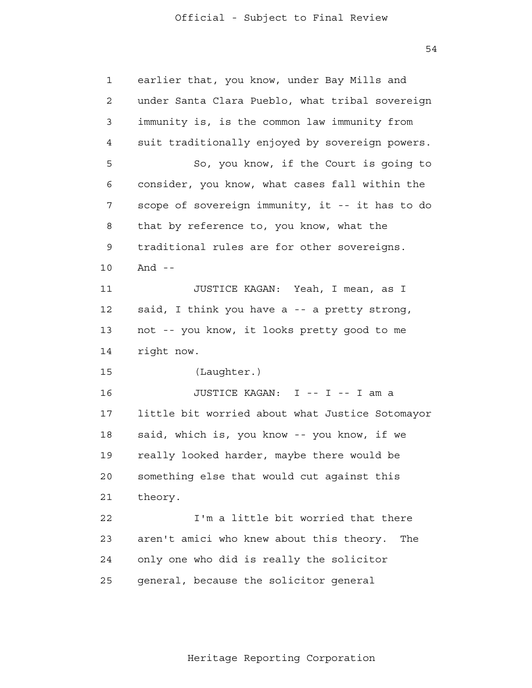54

| 1              | earlier that, you know, under Bay Mills and     |
|----------------|-------------------------------------------------|
| $\overline{2}$ | under Santa Clara Pueblo, what tribal sovereign |
| 3              | immunity is, is the common law immunity from    |
| 4              | suit traditionally enjoyed by sovereign powers. |
| 5              | So, you know, if the Court is going to          |
| 6              | consider, you know, what cases fall within the  |
| 7              | scope of sovereign immunity, it -- it has to do |
| 8              | that by reference to, you know, what the        |
| 9              | traditional rules are for other sovereigns.     |
| 10             | And $-$                                         |
| 11             | JUSTICE KAGAN: Yeah, I mean, as I               |
| 12             | said, I think you have a -- a pretty strong,    |
| 13             | not -- you know, it looks pretty good to me     |
| 14             | right now.                                      |
| 15             | (Laughter.)                                     |
| 16             | JUSTICE KAGAN: I -- I -- I am a                 |
| 17             | little bit worried about what Justice Sotomayor |
| 18             | said, which is, you know -- you know, if we     |
| 19             | really looked harder, maybe there would be      |
| 20             | something else that would cut against this      |
| 21             | theory.                                         |
| 22             | I'm a little bit worried that there             |
| 23             | aren't amici who knew about this theory.<br>The |
| 24             | only one who did is really the solicitor        |
| 25             | general, because the solicitor general          |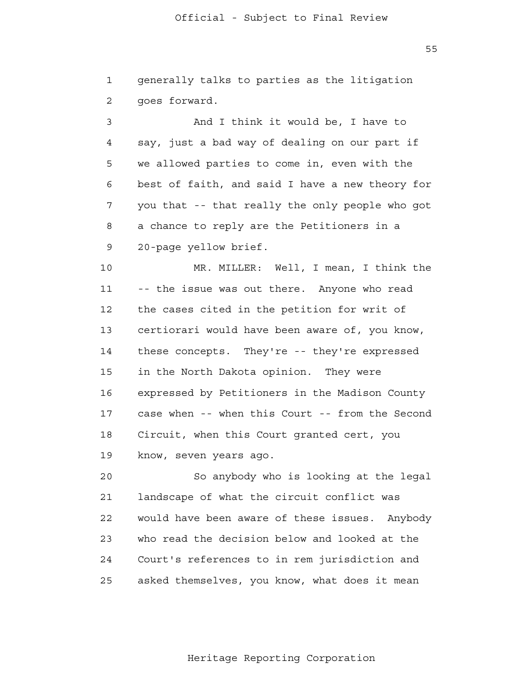$55$ 

|               |  |  | generally talks to parties as the litigation |
|---------------|--|--|----------------------------------------------|
| qoes forward. |  |  |                                              |

 3 4 **5**  6 7 8 9 And I think it would be, I have to say, just a bad way of dealing on our part if we allowed parties to come in, even with the best of faith, and said I have a new theory for you that -- that really the only people who got a chance to reply are the Petitioners in a 20-page yellow brief.

 10 11 12 13 14 15 16 17 18 19 MR. MILLER: Well, I mean, I think the -- the issue was out there. Anyone who read the cases cited in the petition for writ of certiorari would have been aware of, you know, these concepts. They're -- they're expressed in the North Dakota opinion. They were expressed by Petitioners in the Madison County case when -- when this Court -- from the Second Circuit, when this Court granted cert, you know, seven years ago.

> 20 21 22 23 24 25 So anybody who is looking at the legal landscape of what the circuit conflict was would have been aware of these issues. Anybody who read the decision below and looked at the Court's references to in rem jurisdiction and asked themselves, you know, what does it mean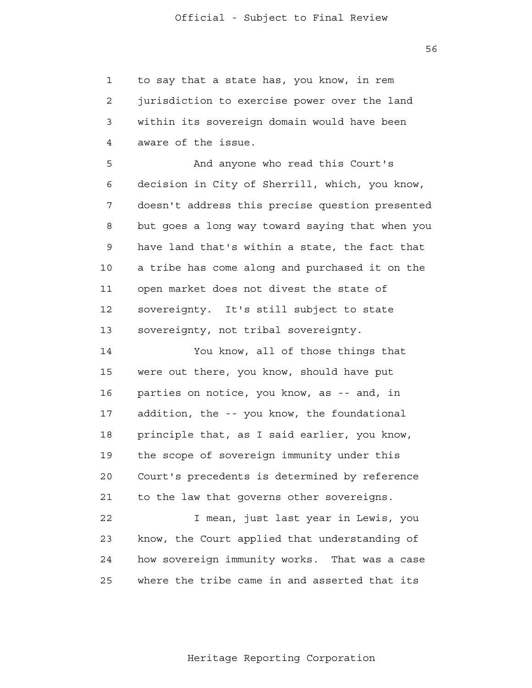1 2 3 4 to say that a state has, you know, in rem jurisdiction to exercise power over the land within its sovereign domain would have been aware of the issue.

**5**  6 7 8 9 10 11 12 13 And anyone who read this Court's decision in City of Sherrill, which, you know, doesn't address this precise question presented but goes a long way toward saying that when you have land that's within a state, the fact that a tribe has come along and purchased it on the open market does not divest the state of sovereignty. It's still subject to state sovereignty, not tribal sovereignty.

 14 15 16 17 18 19 20 21 22 You know, all of those things that were out there, you know, should have put parties on notice, you know, as -- and, in addition, the -- you know, the foundational principle that, as I said earlier, you know, the scope of sovereign immunity under this Court's precedents is determined by reference to the law that governs other sovereigns. I mean, just last year in Lewis, you

 23 24 <u>25</u> know, the Court applied that understanding of how sovereign immunity works. That was a case where the tribe came in and asserted that its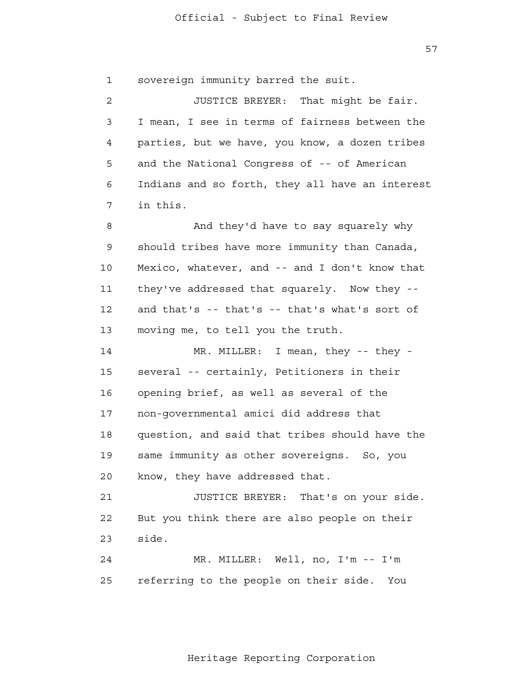57

 1 sovereign immunity barred the suit.

 2 3 4 **5**  6 7 JUSTICE BREYER: That might be fair. I mean, I see in terms of fairness between the parties, but we have, you know, a dozen tribes and the National Congress of -- of American Indians and so forth, they all have an interest in this.

 8 9 10 11 12 13 And they'd have to say squarely why should tribes have more immunity than Canada, Mexico, whatever, and -- and I don't know that they've addressed that squarely. Now they and that's -- that's -- that's what's sort of moving me, to tell you the truth.

> 14 15 16 17 18 19 20 MR. MILLER: I mean, they -- they several -- certainly, Petitioners in their opening brief, as well as several of the non-governmental amici did address that question, and said that tribes should have the same immunity as other sovereigns. So, you know, they have addressed that.

 21 **22**  23 JUSTICE BREYER: That's on your side. But you think there are also people on their side.

> 24 25 MR. MILLER: Well, no, I'm -- I'm referring to the people on their side. You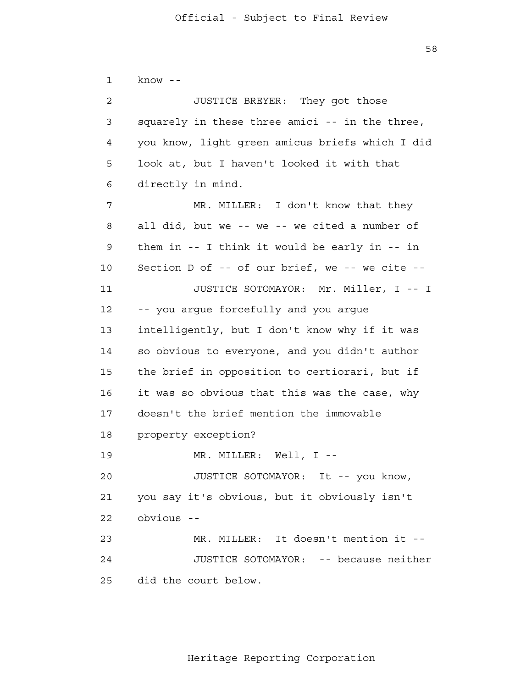1 2 3 4 **5**  6 7 8 9 10 11 12 13 14 15 16 17 18 19 20 21 22 23 24 25 know - JUSTICE BREYER: They got those squarely in these three amici -- in the three, you know, light green amicus briefs which I did look at, but I haven't looked it with that directly in mind. MR. MILLER: I don't know that they all did, but we -- we -- we cited a number of them in -- I think it would be early in -- in Section D of -- of our brief, we -- we cite - JUSTICE SOTOMAYOR: Mr. Miller, I -- I -- you argue forcefully and you argue intelligently, but I don't know why if it was so obvious to everyone, and you didn't author the brief in opposition to certiorari, but if it was so obvious that this was the case, why doesn't the brief mention the immovable property exception? MR. MILLER: Well, I --JUSTICE SOTOMAYOR: It -- you know, you say it's obvious, but it obviously isn't obvious - MR. MILLER: It doesn't mention it - JUSTICE SOTOMAYOR: -- because neither did the court below.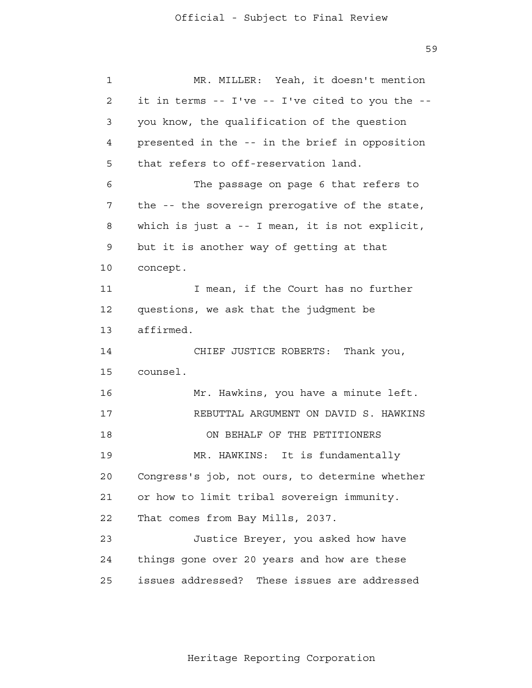59

 1 2 3 4 **5**  6 7 8 9 10 11 12 13 14 15 16 17 18 19 20 21 **22**  23 24 <u>25</u> MR. MILLER: Yeah, it doesn't mention it in terms -- I've -- I've cited to you the you know, the qualification of the question presented in the -- in the brief in opposition that refers to off-reservation land. The passage on page 6 that refers to the -- the sovereign prerogative of the state, which is just a -- I mean, it is not explicit, but it is another way of getting at that concept. I mean, if the Court has no further questions, we ask that the judgment be affirmed. CHIEF JUSTICE ROBERTS: Thank you, counsel. Mr. Hawkins, you have a minute left. REBUTTAL ARGUMENT ON DAVID S. HAWKINS ON BEHALF OF THE PETITIONERS MR. HAWKINS: It is fundamentally Congress's job, not ours, to determine whether or how to limit tribal sovereign immunity. That comes from Bay Mills, 2037. Justice Breyer, you asked how have things gone over 20 years and how are these issues addressed? These issues are addressed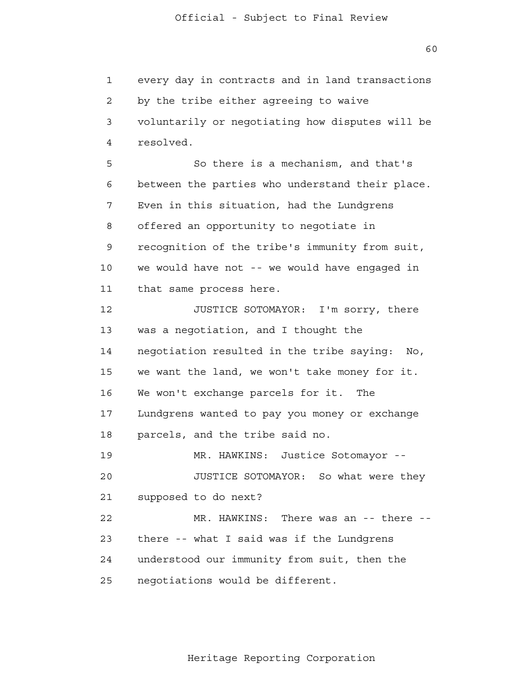60

 1 2 3 4 **5**  6 7 8 9 10 11 12 13 14 15 16 17 18 19 20 21 22 23 24 25 every day in contracts and in land transactions by the tribe either agreeing to waive voluntarily or negotiating how disputes will be resolved. So there is a mechanism, and that's between the parties who understand their place. Even in this situation, had the Lundgrens offered an opportunity to negotiate in recognition of the tribe's immunity from suit, we would have not -- we would have engaged in that same process here. JUSTICE SOTOMAYOR: I'm sorry, there was a negotiation, and I thought the negotiation resulted in the tribe saying: No, we want the land, we won't take money for it. We won't exchange parcels for it. The Lundgrens wanted to pay you money or exchange parcels, and the tribe said no. MR. HAWKINS: Justice Sotomayor - JUSTICE SOTOMAYOR: So what were they supposed to do next? MR. HAWKINS: There was an -- there -there -- what I said was if the Lundgrens understood our immunity from suit, then the negotiations would be different.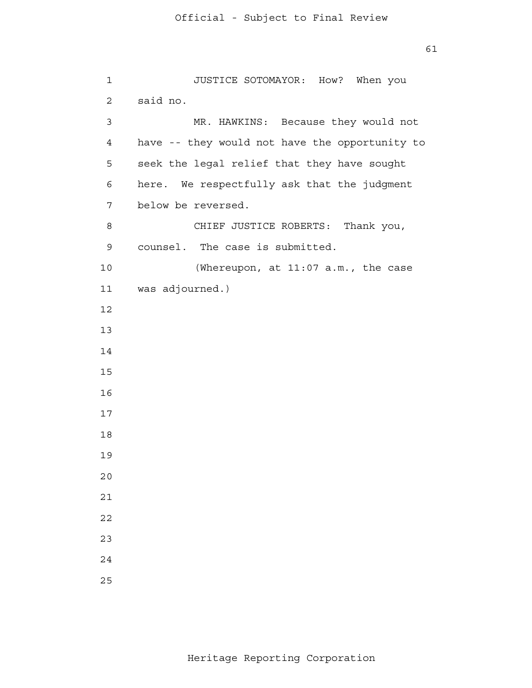```
 1 
 2 
 3 
 4 
5
 6 
            7 
 8 
 9 
           10 
           11 
           12
           13
           14
           15
           16
           17
           18
           19
           20
           21
           22
           23
           24
           25
                      JUSTICE SOTOMAYOR: How? When you
               said no.
                       MR. HAWKINS: Because they would not
               have -- they would not have the opportunity to
               seek the legal relief that they have sought
               here. We respectfully ask that the judgment
               below be reversed.
                       CHIEF JUSTICE ROBERTS: Thank you,
               counsel. The case is submitted.
                       (Whereupon, at 11:07 a.m., the case
              was adjourned.)
```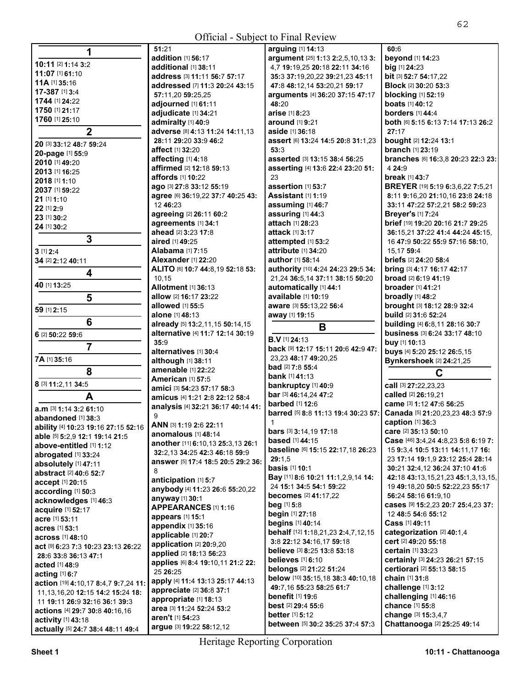**All Contracts** 

|                                        | 51:21                                        | arguing [1] 14:13                                                   | 60:6                                                                    |
|----------------------------------------|----------------------------------------------|---------------------------------------------------------------------|-------------------------------------------------------------------------|
|                                        | addition [1] 56:17                           | argument [25] 1:13 2:2,5,10,13 3:                                   | beyond [1] 14:23                                                        |
| 10:11 [2] 1:14 3:2                     | additional [1] 38:11                         | 4,7 19:19,25 20:18 22:11 34:16                                      | big [1] 24:23                                                           |
| 11:07 [1] 61:10                        | address [3] 11:11 56:7 57:17                 | 35:3 37:19,20,22 39:21,23 45:11                                     | bit [3] 52:7 54:17,22                                                   |
| <b>11A</b> [1] <b>35:16</b>            | addressed [7] 11:3 20:24 43:15               | 47:8 48:12,14 53:20,21 59:17                                        | <b>Block [2] 30:20 53:3</b>                                             |
| 17-387 [1] 3:4                         | 57:11,20 59:25,25                            | arguments [4] 36:20 37:15 47:17                                     | <b>blocking</b> [1] 52:19                                               |
| 1744 [1] 24:22                         | adjourned [1] 61:11                          | 48:20                                                               | <b>boats</b> [1] <b>40:12</b>                                           |
| 1750 [1] 21:17                         | adjudicate [1] 34:21                         | arise [1] 8:23                                                      | <b>borders</b> [1] 44:4                                                 |
| 1760 [1] 25:10                         | admiralty [1] 40:9                           | around [1] 9:21                                                     | both [6] 5:15 6:13 7:14 17:13 26:2                                      |
| $\overline{2}$                         | adverse [8] 4:13 11:24 14:11,13              | aside [1] 36:18                                                     | 27:17                                                                   |
|                                        | 28:11 29:20 33:9 46:2                        | assert [6] 13:24 14:5 20:8 31:1,23                                  | bought [2] 12:24 13:1                                                   |
| 20 [3] 33:12 48:7 59:24                | affect [1] 32:20                             | 53:3                                                                | <b>branch</b> [1] 23:19                                                 |
| 20-page [1] 55:9                       | affecting [1] 4:18                           | asserted [3] 13:15 38:4 56:25                                       | branches [6] 16:3,8 20:23 22:3 23:                                      |
| 2010 [1] 49:20                         | affirmed [2] 12:18 59:13                     | asserting [4] 13:6 22:4 23:20 51:                                   | 4 24:9                                                                  |
| 2013 [1] 16:25                         | affords [1] 10:22                            | 23                                                                  | break [1] 43:7                                                          |
| 2018 [1] 1:10                          | ago [3] 27:8 33:12 55:19                     | assertion [1] 53:7                                                  | BREYER [19] 5:19 6:3,6,22 7:5,21                                        |
| 2037 [1] 59:22                         | agree [6] 36:19,22 37:7 40:25 43:            | Assistant [1] 1:19                                                  | 8:11 9:16,20 21:10,16 23:8 24:18                                        |
| 21 [1] 1:10                            | 12 46:23                                     | assuming [1] 46:7                                                   | 33:11 47:22 57:2,21 58:2 59:23                                          |
| 22 [1] 2:9                             | agreeing [2] 26:11 60:2                      | assuring [1] 44:3                                                   | <b>Breyer's [1] 7:24</b>                                                |
| 23 [1] 30:2                            |                                              | attach [1] 28:23                                                    |                                                                         |
| 24 [1] 30:2                            | agreements [1] 34:1                          |                                                                     | brief [19] 19:20 20:16 21:7 29:25                                       |
| 3                                      | ahead [2] 3:23 17:8                          | attack [1] 3:17                                                     | 36:15,21 37:22 41:4 44:24 45:15,                                        |
|                                        | aired [1] 49:25                              | attempted [1] 53:2                                                  | 16 47:9 50:22 55:9 57:16 58:10,                                         |
| 3 [1] 2:4                              | <b>Alabama</b> [1] 7:15                      | attribute [1] 34:20                                                 | 15.17 59:4                                                              |
| 34 [2] 2:12 40:11                      | <b>Alexander</b> [1] 22:20                   | author [1] 58:14                                                    | briefs [2] 24:20 58:4                                                   |
| $\overline{\mathbf{4}}$                | ALITO [6] 10:7 44:8,19 52:18 53:             | authority [10] 4:24 24:23 29:5 34:                                  | bring [3] 4:17 16:17 42:17                                              |
| 40 [1] 13:25                           | 10,15                                        | 21,24 36:5,14 37:11 38:15 50:20                                     | <b>broad</b> [2] 6:19 41:19                                             |
|                                        | <b>Allotment [1] 36:13</b>                   | automatically [1] 44:1                                              | <b>broader</b> [1] <b>41:</b> 21                                        |
| 5                                      | <b>allow</b> [2] <b>16:17 23:22</b>          | available [1] 10:19                                                 | broadly [1] 48:2                                                        |
| 59 [1] 2:15                            | <b>allowed</b> [1] <b>55:5</b>               | aware [3] 55:13,22 56:4                                             | brought [3] 18:12 28:9 32:4                                             |
| 6                                      | alone [1] 48:13                              | away [1] 19:15                                                      | build [2] 31:6 52:24                                                    |
|                                        | already [5] 13:2, 11, 15 50:14, 15           | B                                                                   | building [4] 6:8,11 28:16 30:7                                          |
| 6 [2] 50:22 59:6                       | alternative [4] 11:7 12:14 30:19             | <b>B.V</b> [1] 24:13                                                | business [3] 6:24 33:17 48:10                                           |
| $\overline{7}$                         | 35:9                                         | back [9] 12:17 15:11 20:6 42:9 47:                                  | buy [1] 10:13                                                           |
|                                        | alternatives [1] 30:4                        | 23,23 48:17 49:20,25                                                | buys [4] 5:20 25:12 26:5,15                                             |
| 7A [1] 35:16                           | although [1] 38:11                           | <b>bad</b> [2] $7:85:3$                                             | Bynkershoek [2] 24:21,25                                                |
| 8                                      | amenable [1] 22:22                           | <b>bank</b> [1] <b>41:13</b>                                        | C                                                                       |
| 8 [3] 11:2,11 34:5                     | <b>American [1] 57:5</b>                     | bankruptcy [1] 40:9                                                 | call [3] 27:22,23,23                                                    |
|                                        | amici [3] 54:23 57:17 58:3                   | bar [3] 46:14,24 47:2                                               | called [2] 26:19,21                                                     |
| A                                      | amicus [4] 1:21 2:8 22:12 58:4               | <b>barbed</b> [1] 12:6                                              | came [3] 1:12 47:6 56:25                                                |
| $a.m$ [3] 1:14 3:2 61:10               | analysis [4] 32:21 36:17 40:14 41:           | barred [5] 8:8 11:13 19:4 30:23 57:                                 | Canada [5] 21:20,23,23 48:3 57:9                                        |
| abandoned [1] 38:3                     | 9                                            | 1                                                                   | caption [1] 36:3                                                        |
| ability [4] 10:23 19:16 27:15 52:16    | ANN [3] 1:19 2:6 22:11                       |                                                                     |                                                                         |
| able [5] 5:2,9 12:1 19:14 21:5         | anomalous [1] 48:14                          | bars [3] 3:14,19 17:18<br><b>based</b> [1] 44:15                    | care [2] 35:13 50:10                                                    |
| above-entitled [1] 1:12                | another [11] 6:10,13 25:3,13 26:1            |                                                                     | Case [46] 3:4,24 4:8,23 5:8 6:19 7:<br>15 9:3.4 10:5 13:11 14:11 17 16: |
| abrogated [1] 33:24                    | 32:2,13 34:25 42:3 46:18 59:9                | baseline [6] 15:15 22:17,18 26:23                                   |                                                                         |
| absolutely [1] 47:11                   | answer [5] 17:4 18:5 20:5 29:2 36:           | 29:1,5                                                              | 23 17:14 19:1,9 23:12 25:4 28:14                                        |
| abstract [2] 40:6 52:7                 | 8                                            | <b>basis</b> [1] 10:1                                               | 30:21 32:4,12 36:24 37:10 41:6                                          |
| accept [1] 20:15                       | anticipation [1] 5:7                         | Bay [11] 8:6 10:21 11:1,2,9,14 14:                                  | 42:18 43:13,15,21,23 45:1,3,13,15,                                      |
| according [1] 50:3                     | anybody [4] 11:23 26:6 55:20,22              | 24 15:1 34:5 54:1 59:22<br><b>becomes</b> [2] 41:17,22              | 19 49:18,20 50:5 52:22,23 55:17                                         |
| acknowledges [1] 46:3                  | anyway [1] 30:1                              |                                                                     | 56:24 58:16 61:9,10                                                     |
| acquire [1] 52:17                      | APPEARANCES [1] 1:16                         | <b>beg</b> [1] 5:8                                                  | cases [9] 15:2,23 20:7 25:4,23 37:                                      |
| acre [1] 53:11                         | appears [1] 15:1                             | begin [1] 27:18                                                     | 12 48:5 54:6 55:12                                                      |
| acres [1] 53:1                         | appendix [1] 35:16                           | begins [1] 40:14                                                    | Cass [1] 49:11                                                          |
| <b>across</b> [1] 48:10                | applicable [1] 20:7                          | <b>behalf</b> [12] <b>1:18,21,23 <b>2:4,7,12,15</b></b>             | categorization [2] 40:1.4                                               |
| act [9] 6:23 7:3 10:23 23:13 26:22     | application [2] 20:9,20                      | 3:8 22:12 34:16,17 59:18                                            | cert [2] 49:20 55:18                                                    |
| 28:6 33:8 36:13 47:1                   | applied [2] 18:13 56:23                      | believe [3] 8:25 13:8 53:18                                         | certain [1] 33:23                                                       |
| <b>acted</b> [1] <b>48:9</b>           | applies [6] 8:4 19:10,11 21:2 22:            | believes [1] 6:10                                                   | certainly [3] 24:23 26:21 57:15                                         |
| acting $[1]$ 6:7                       | 25 26:25                                     | belongs [2] 21:22 51:24                                             | certiorari [2] 55:13 58:15                                              |
| action [19] 4:10,17 8:4,7 9:7,24 11:   | apply [4] 11:4 13:13 25:17 44:13             | below [10] 35:15,18 38:3 40:10,18                                   | chain [1] 31:8                                                          |
| 11, 13, 16, 20 12: 15 14: 2 15: 24 18: |                                              | 49:7,16 55:23 58:25 61:7                                            | challenge [1] 3:12                                                      |
|                                        | appreciate [2] 36:8 37:1                     |                                                                     |                                                                         |
| 11 19:11 26:9 32:16 36:1 39:3          | appropriate [1] 18:13                        | benefit [1] 19:6                                                    | challenging [1] 46:16                                                   |
| actions [4] 29:7 30:8 40:16,16         | area [3] 11:24 52:24 53:2                    | <b>best</b> [2] $29:455:6$                                          | chance [1] 55:8                                                         |
| activity [1] 43:18                     | aren't [1] 54:23<br>argue [3] 19:22 58:12,12 | <b>better</b> $[1]$ 5:12<br><b>between</b> [5] 30:2 35:25 37:4 57:3 | change [3] 15:3,4,7<br>Chattanooga [2] 25:25 49:14                      |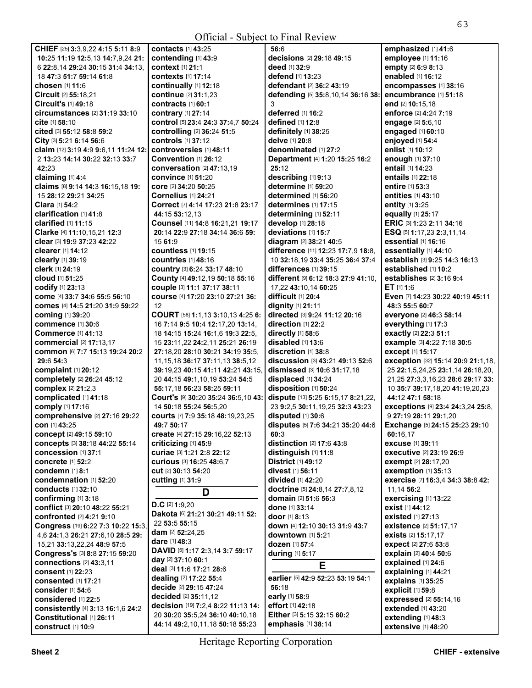| <b>Official - Subject to Final Review</b>                                        |                                                                     |                                        |                                                |  |
|----------------------------------------------------------------------------------|---------------------------------------------------------------------|----------------------------------------|------------------------------------------------|--|
| CHIEF [25] 3:3,9,22 4:15 5:11 8:9                                                | contacts [1] 43:25                                                  | 56:6                                   | emphasized [1] 41:6                            |  |
| 10:25 11:19 12:5,13 14:7,9,24 21:                                                | contending [1] 43:9                                                 | decisions [2] 29:18 49:15              | employee [1] 11:16                             |  |
| 6 22:8,14 29:24 30:15 31:4 34:13,                                                | context [1] 21:1                                                    | deed [1] 32:9                          | empty [2] 6:9 8:13                             |  |
| 18 47:3 51:7 59:14 61:8                                                          | <b>contexts</b> [1] 17:14                                           | <b>defend</b> [1] <b>13:23</b>         | enabled [1] 16:12                              |  |
| chosen [1] 11:6                                                                  | continually [1] 12:18                                               | defendant [2] 36:2 43:19               | encompasses [1] 38:16                          |  |
| Circuit [2] 55:18,21                                                             | continue [2] 31:1,23                                                | defending [5] 35:8,10,14 36:16 38:     | encumbrance [1] 51:18                          |  |
| Circuit's $[1]$ 49:18                                                            | contracts [1] 60:1                                                  | 3                                      | end [2] 10:15,18                               |  |
| circumstances [2] 31:19 33:10                                                    | <b>contrary</b> [1] 27:14                                           | deferred [1] 16:2                      | enforce [2] 4:24 7:19                          |  |
| cite [1] 58:10                                                                   | control [5] 23:4 24:3 37:4,7 50:24                                  | defined [1] 12:8                       | engage [2] 5:6,10                              |  |
| cited [3] 55:12 58:8 59:2                                                        | controlling [2] 36:24 51:5                                          | definitely [1] 38:25                   | engaged [1] 60:10                              |  |
| City [3] 5:21 6:14 56:6                                                          | controls [1] 37:12                                                  | delve [1] 20:8                         | enjoyed [1] 54:4                               |  |
| claim [12] 3:19 4:9 9:6,11 11:24 12:                                             | controversies [1] 48:11                                             | denominated [1] 27:2                   | enlist [1] 10:12                               |  |
| 2 13:23 14:14 30:22 32:13 33:7                                                   | Convention [1] 26:12                                                | Department [4] 1:20 15:25 16:2         | enough [1] 37:10                               |  |
| 42:23                                                                            | <b>conversation</b> [2] 47:13,19                                    | 25:12                                  | <b>entail</b> [1] <b>14:23</b>                 |  |
| claiming [1] 4:4                                                                 | <b>convince</b> [1] 51:20                                           | describing [1] 9:13                    | <b>entails</b> [1] 22:18                       |  |
| claims [8] 9:14 14:3 16:15,18 19:                                                | core [2] 34:20 50:25                                                | determine [1] 59:20                    | entire [1] 53:3                                |  |
| 15 28:12 29:21 34:25                                                             | <b>Cornelius</b> [1] 24:21                                          | determined [1] 56:20                   | <b>entities</b> [1] 43:10                      |  |
| Clara [1] 54:2                                                                   | Correct [7] 4:14 17:23 21:8 23:17                                   | determines $[1]$ 17:15                 | entity [1] 3:25                                |  |
| clarification [1] 41:8                                                           | 44:15 53:12.13                                                      | determining [1] 52:11                  | equally [1] 25:17                              |  |
| clarified [1] 11:15                                                              | Counsel [11] 14:8 16:21,21 19:17                                    | develop [1] 28:18                      | ERIC [3] 1:23 2:11 34:16                       |  |
| Clarke [4] 11:10, 15, 21 12:3                                                    | 20:14 22:9 27:18 34:14 36:6 59:                                     | deviations [1] 15:7                    | ESQ [5] 1:17,23 2:3,11,14                      |  |
| clear [3] 19:9 37:23 42:22                                                       | 15 61:9                                                             | diagram [2] 38:21 40:5                 | essential [1] 16:16                            |  |
| clearer [1] 14:12                                                                | <b>countless</b> [1] <b>19:15</b>                                   | difference [11] 12:23 17:7,9 18:8,     | essentially [1] 44:10                          |  |
| clearly [1] 39:19                                                                | <b>countries</b> [1] 48:16                                          | 10 32:18.19 33:4 35:25 36:4 37:4       | establish [3] 9:25 14:3 16:13                  |  |
| clerk [1] 24:19                                                                  | COUNTY [3] 6:24 33:17 48:10                                         | differences [1] 39:15                  | established [1] 10:2                           |  |
| <b>cloud</b> [1] <b>51:25</b>                                                    | County [4] 49:12,19 50:18 55:16                                     | different [9] 6:12 18:3 27:9 41:10,    | establishes [2] 3:16 9:4                       |  |
| codify [1] 23:13                                                                 | couple [3] 11:1 37:17 38:11                                         | 17,22 43:10,14 60:25                   | ET [1] 1:6                                     |  |
| come [4] 33:7 34:6 55:5 56:10                                                    | course [4] 17:20 23:10 27:21 36:                                    | difficult [1] 20:4                     | Even [7] 14:23 30:22 40:19 45:11               |  |
| comes [4] 14:5 21:20 31:9 59:22                                                  | 12                                                                  | dignity [1] 21:11                      | 48:3 55:5 60:7                                 |  |
| coming [1] 39:20                                                                 | COURT [58] 1:1,13 3:10,13 4:25 6:                                   | directed [3] 9:24 11:12 20:16          | everyone [2] 46:3 58:14                        |  |
| commence [1] 30:6                                                                | 16 7:14 9:5 10:4 12:17,20 13:14,                                    | direction [1] 22:2                     | everything [1] 17:3                            |  |
| <b>Commerce</b> [1] 41:13                                                        | 18 14:15 15:24 16:1,6 19:3 22:5,<br>15 23:11,22 24:2,11 25:21 26:19 | directly [1] 58:6<br>disabled [1] 13:6 | exactly [2] 22:3 51:1                          |  |
| <b>commercial</b> [2] <b>17:13</b> ,17<br><b>common</b> [6] 7:7 15:13 19:24 20:2 | 27:18,20 28:10 30:21 34:19 35:5,                                    | discretion [1] 38:8                    | example [3] 4:22 7:18 30:5<br>except [1] 15:17 |  |
| 29:6 54:3                                                                        | 11, 15, 18 36: 17 37: 11, 13 38: 5, 12                              | discussion [3] 43:21 49:13 52:6        | exception [32] 15:14 20:9 21:1,18,             |  |
| complaint [1] 20:12                                                              | 39:19,23 40:15 41:11 42:21 43:15,                                   | dismissed [3] 10:6 31:17,18            | 25 22:1,5,24,25 23:1,14 26:18,20,              |  |
| completely [2] 26:24 45:12                                                       | 20 44:15 49:1,10,19 53:24 54:5                                      | displaced [1] 34:24                    | 21,25 27:3,3,16,23 28:6 29:17 33:              |  |
| complex [2] 21:2,3                                                               | 55:17,18 56:23 58:25 59:11                                          | disposition [1] 50:24                  | 10 35:7 39:17,18,20 41:19,20,23                |  |
| complicated [1] 41:18                                                            | Court's [9] 30:20 35:24 36:5,10 43:                                 | dispute [13] 5:25 6:15,17 8:21,22,     | 44:12 47:1 58:18                               |  |
| comply [1] 17:16                                                                 | 14 50:18 55:24 56:5,20                                              | 23 9:2.5 30:11.19.25 32:3 43:23        | exceptions [9] 23:4 24:3,24 25:8,              |  |
| comprehensive [2] 27:16 29:22                                                    | courts [7] 7:9 35:18 48:19,23,25                                    | disputed $[1]$ 30:6                    | 9 27:19 28:11 29:1,20                          |  |
| con $[1]$ 43:25                                                                  | 49:7 50:17                                                          | disputes [5] 7:6 34:21 35:20 44:6      | <b>Exchange</b> [5] 24:15 25:23 29:10          |  |
| concept [2] 49:15 59:10                                                          | create [4] 27:15 29:16,22 52:13                                     | 60:3                                   | 60:16.17                                       |  |
| concepts [3] 38:18 44:22 55:14                                                   | criticizing [1] 45:9                                                | distinction [2] 17:6 43:8              | excuse [1] 39:11                               |  |
| <b>concession</b> [1] 37:1                                                       | curiae [3] 1:21 2:8 22:12                                           | distinguish [1] 11:8                   | <b>executive</b> [2] 23:19 26:9                |  |
| concrete [1] 52:2                                                                | curious [3] 16:25 48:6.7                                            | <b>District [1] 49:12</b>              | exempt [2] 28:17,20                            |  |
| condemn [1] 8:1                                                                  | cut <sup>[2]</sup> 30:13 54:20                                      | <b>divest</b> [1] 56:11                | exemption [1] 35:13                            |  |
| condemnation [1] 52:20                                                           | <b>cutting [1] 31:9</b>                                             | divided [1] 42:20                      | exercise [7] 16:3,4 34:3 38:8 42:              |  |
| <b>conducts</b> [1] 32:10                                                        | D                                                                   | doctrine [5] 24:8,14 27:7,8,12         | 11.14 56:2                                     |  |
| confirming [1] 3:18                                                              |                                                                     | domain [2] 51:6 56:3                   | exercising [1] 13:22                           |  |
| conflict [3] 20:10 48:22 55:21                                                   | $D.C$ [2] 1:9,20                                                    | done [1] 33:14                         | exist [1] 44:12                                |  |
| confronted [2] 4:21 9:10                                                         | Dakota [6] 21:21 30:21 49:11 52:<br>22 53:5 55:15                   | door [1] 8:13                          | existed [1] 27:13                              |  |
| Congress [19] 6:22 7:3 10:22 15:3,                                               | <b>dam</b> [2] <b>52:24,25</b>                                      | down [4] 12:10 30:13 31:9 43:7         | existence [2] 51:17,17                         |  |
| 4,6 24:1,3 26:21 27:6,10 28:5 29:                                                | <b>dare</b> [1] <b>48:3</b>                                         | downtown [1] 5:21                      | exists [2] 15:17,17                            |  |
| 15,21 33:13,22,24 48:9 57:5                                                      | DAVID [5] 1:17 2:3,14 3:7 59:17                                     | dozen [1] 57:4                         | expect [2] 27:6 53:8                           |  |
| Congress's [3] 8:8 27:15 59:20                                                   | day [2] 37:10 60:1                                                  | <b>during</b> [1] <b>5:17</b>          | explain [2] 40:4 50:6                          |  |
| connections [2] 43:3,11                                                          | deal [3] 11:6 17:21 28:6                                            | Е                                      | explained [1] 24:6                             |  |
| consent [1] 22:23                                                                | dealing [2] 17:22 55:4                                              | earlier [5] 42:9 52:23 53:19 54:1      | explaining [1] 44:21                           |  |
| consented [1] 17:21                                                              | decide [2] 29:15 47:24                                              | 56:18                                  | explains [1] 35:25                             |  |
| consider [1] 54:6                                                                | decided [2] 35:11,12                                                | early [1] 58:9                         | explicit [1] 59:8                              |  |
| considered [1] 22:5                                                              | decision [19] 7:2,4 8:22 11:13 14:                                  | effort [1] 42:18                       | expressed [2] 55:14,16<br>extended [1] 43:20   |  |
| consistently [4] 3:13 16:1,6 24:2<br>Constitutional [1] 26:11                    | 20 30:20 35:5,24 36:10 40:10,18                                     | Either [3] 5:15 32:15 60:2             | extending [1] 48:3                             |  |
| construct [1] 10.9                                                               | 44:14 49:2,10,11,18 50:18 55:23                                     | emphasis [1] 38:14                     | extensive [1] 48:20                            |  |

Heritage Reporting Corporation

**extensive** [1] **48:**20

**construct** [1] **10:**9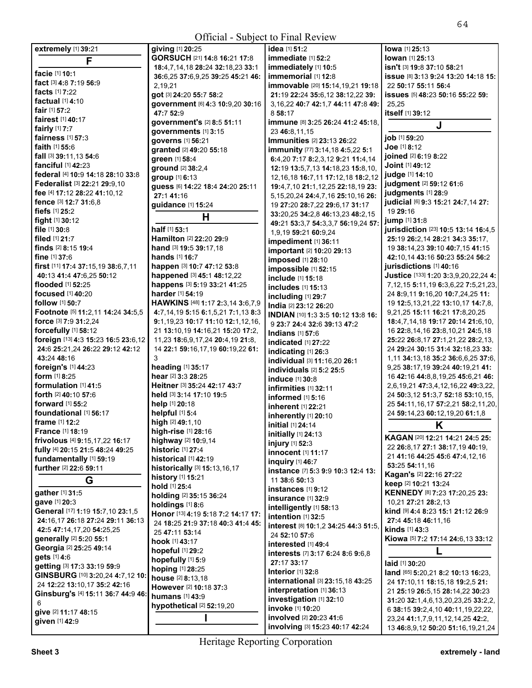| <b>Official</b> - Subject to Final Review |                                                        |                                                            |                                               |
|-------------------------------------------|--------------------------------------------------------|------------------------------------------------------------|-----------------------------------------------|
| extremely [1] 39:21                       | giving [1] 20:25                                       | idea [1] 51:2                                              | lowa [1] 25:13                                |
| F                                         | GORSUCH [21] 14:8 16:21 17:8                           | immediate [1] 52:2                                         | lowan [1] 25:13                               |
|                                           | 18:4,7,14,18 28:24 32:18,23 33:1                       | immediately [1] 10:5                                       | isn't [3] 19:8 37:10 58:21                    |
| facie [1] 10:1                            | 36:6,25 37:6,9,25 39:25 45:21 46:                      | immemorial [1] 12:8                                        | issue [8] 3:13 9:24 13:20 14:18 15:           |
| fact [3] 4:8 7:19 56:9                    | 2,19,21                                                | immovable [20] 15:14, 19, 21 19:18                         | 22 50:17 55:11 56:4                           |
| facts $[1]$ 7:22                          | got [3] 24:20 55:7 58:2                                | 21:19 22:24 35:6.12 38:12.22 39:                           | issues [5] 48:23 50:16 55:22 59:              |
| factual $[1]$ 4:10                        | government [6] 4:3 10:9,20 30:16                       | 3, 16, 22 40: 7 42: 1, 7 44: 11 47: 8 49:                  | 25,25                                         |
| fair [1] 57:2                             | 47:7 52:9                                              | 858:17                                                     | itself [1] 39:12                              |
| <b>fairest</b> [1] 40:17                  | government's [2] 8:5 51:11                             | immune [8] 3:25 26:24 41:2 45:18,                          | J                                             |
| <b>fairly</b> $[1]$ 7:7                   | governments [1] 3:15                                   | 23 46:8,11,15                                              |                                               |
| fairness [1] 57:3                         | governs [1] 56:21                                      | Immunities [2] 23:13 26:22                                 | job [1] 59:20                                 |
| faith [1] 55:6<br>fall [3] 39:11.13 54:6  | granted [2] 49:20 55:18                                | <b>immunity</b> [77] <b>3:14,18 4:5,22 5:1</b>             | Joe [1] 8:12                                  |
| fanciful [1] 42:23                        | green [1] 58:4                                         | 6:4,20 7:17 8:2,3,12 9:21 11:4,14                          | joined [2] 6:19 8:22<br>Joint [1] 49:12       |
| federal [4] 10:9 14:18 28:10 33:8         | ground [2] 38:2,4                                      | 12:19 13:5,7,13 14:18,23 15:8,10,                          | judge [1] 14:10                               |
| Federalist [3] 22:21 29:9,10              | group [1] 6:13                                         | 12, 16, 18 16: 7, 11 17: 12, 18 18: 2, 12                  | judgment [2] 59:12 61:6                       |
| fee [4] 17:12 28:22 41:10,12              | guess [6] 14:22 18:4 24:20 25:11                       | 19:4,7,10 21:1,12,25 22:18,19 23:                          | judgments [1] 28:9                            |
| fence [3] 12:7 31:6,8                     | 27:141:16                                              | 5, 15, 20, 24 24: 4, 7, 16 25: 10, 16 26:                  | judicial [6] 9:3 15:21 24:7,14 27:            |
| fiefs $[1]$ 25:2                          | guidance [1] 15:24                                     | 19 27:20 28:7,22 29:6,17 31:17                             | 19 29:16                                      |
| <b>fight</b> $[1]$ 30:12                  | н                                                      | 33:20,25 34:2,8 46:13,23 48:2,15                           | jump [1] 31:8                                 |
| file $[1]$ 30:8                           | half [1] 53:1                                          | 49:21 53:3,7 54:3,3,7 56:19,24 57:                         | jurisdiction [23] 10:5 13:14 16:4,5           |
| filed [1] 21:7                            | Hamilton [2] 22:20 29:9                                | 1,9,19 59:21 60:9,24                                       | 25:19 26:2,14 28:21 34:3 35:17,               |
| finds $[2]$ 8:15 19:4                     | hand [3] 19:5 39:17,18                                 | impediment [1] 36:11                                       | 19 38:14,23 39:10 40:7,15 41:15               |
| fine $[1]$ 37:6                           | hands $[1]$ 16:7                                       | important [2] 10:20 29:13                                  | 42:10.14 43:16 50:23 55:24 56:2               |
| first [11] 17:4 37:15,19 38:6,7,11        | happen [3] 10:7 47:12 53:8                             | imposed [1] 28:10<br>impossible [1] 52:15                  | jurisdictions [1] 40:16                       |
| 40:13 41:4 47:6,25 50:12                  | happened [3] 45:1 48:12,22                             | include [1] 15:18                                          | Justice [133] 1:20 3:3,9,20,22,24 4:          |
| flooded [1] 52:25                         | happens [3] 5:19 33:21 41:25                           | includes [1] 15:13                                         | 7, 12, 15 5: 11, 19 6: 3, 6, 22 7: 5, 21, 23, |
| <b>focused</b> [1] 40:20                  | <b>harder</b> [1] <b>54:19</b>                         | including [1] 29:7                                         | 24 8:9,11 9:16,20 10:7,24,25 11:              |
| <b>follow</b> [1] <b>50:7</b>             | HAWKINS [48] 1:17 2:3,14 3:6,7,9                       | India [2] 23:12 26:20                                      | 19 12:5, 13, 21, 22 13: 10, 17 14: 7, 8,      |
| Footnote [5] 11:2,11 14:24 34:5,5         | 4:7,14,19 5:15 6:1,5,21 7:1,13 8:3                     | INDIAN [10] 1:3 3:5 10:12 13:8 16:                         | 9,21,25 15:11 16:21 17:8,20,25                |
| <b>force</b> [3] <b>7:9 31:2.24</b>       | 9:1,19,23 10:17 11:10 12:1,12,16,                      | 9 23:7 24:4 32:6 39:13 47:2                                | 18:4,7,14,18 19:17 20:14 21:6,10,             |
| forcefully [1] 58:12                      | 21 13:10,19 14:16,21 15:20 17:2,                       | <b>Indians</b> [1] 57:6                                    | 16 22:8, 14, 16 23:8, 10, 21 24:5, 18         |
| foreign [13] 4:3 15:23 16:5 23:6,12       | 11,23 18:6,9,17,24 20:4,19 21:8,                       | <b>indicated</b> [1] 27:22                                 | 25:22 26:8,17 27:1,21,22 28:2,13,             |
| 24:6 25:21,24 26:22 29:12 42:12           | 14 22:1 59:16,17,19 60:19,22 61:                       | indicating [1] 26:3                                        | 24 29:24 30:15 31:4 32:18,23 33:              |
| 43:24 48:16                               | 3                                                      | individual [3] 11:16,20 26:1                               | 1,11 34:13,18 35:2 36:6,6,25 37:6,            |
| foreign's [1] 44:23                       | heading [1] 35:17                                      | individuals [2] 5:2 25:5                                   | 9,25 38:17,19 39:24 40:19,21 41:              |
| form [1] 8:25                             | hear [2] 3:3 28:25                                     | induce [1] 30:8                                            | 16 42:16 44:8,8,19,25 45:6,21 46:             |
| formulation $[1]$ 41:5                    | Heitner [3] 35:24 42:17 43:7                           | infirmities [1] 32:11                                      | 2,6,19,21 47:3,4,12,16,22 49:3,22,            |
| forth [2] 40:10 57:6                      | held [3] 3:14 17:10 19:5                               | informed [1] 5:16                                          | 24 50:3,12 51:3,7 52:18 53:10,15,             |
| forward $[1]$ 55:2                        | help [1] 20:18                                         | <b>inherent</b> [1] 22:21                                  | 25 54:11, 16, 17 57: 2, 21 58: 2, 11, 20,     |
| foundational [1] 56:17                    | helpful [1] 5:4                                        | inherently [1] 20:10                                       | 24 59:14,23 60:12,19,20 61:1,8                |
| <b>frame</b> $[1]$ 12:2                   | high [2] 49:1,10                                       | initial [1] 24:14                                          | K                                             |
| <b>France</b> [1] 18:19                   | high-rise [1] 28:16                                    | initially [1] 24:13                                        | KAGAN [20] 12:21 14:21 24:5 25:               |
| frivolous [4] 9:15,17,22 16:17            | highway [2] 10:9,14                                    | injury [1] 52:3                                            | 22 26:8,17 27:1 38:17,19 40:19,               |
| fully [4] 20:15 21:5 48:24 49:25          | historic [1] 27:4                                      | innocent [1] 11:17                                         | 21 41:16 44:25 45:6 47:4,12,16                |
| fundamentally [1] 59:19                   | historical $[1]$ 42:19                                 | inguiry [1] 46:7                                           | 53:25 54:11.16                                |
| further [2] 22:6 59:11                    | historically [3] 15:13,16,17                           | instance [7] 5:3 9:9 10:3 12:4 13:                         | Kagan's [2] 22:16 27:22                       |
| G                                         | history [1] 15:21                                      | 11 38:6 50:13                                              | keep [2] 10:21 13:24                          |
| gather [1] 31:5                           | hold [1] 25:4                                          | <b>instances</b> [1] 9:12                                  | <b>KENNEDY [8] 7:23 17:20,25 23:</b>          |
| gave [1] 20:3                             | holding [2] 35:15 36:24                                | insurance [1] 32:9                                         | 10,21 27:21 28:2,13                           |
| General [17] 1:19 15:7,10 23:1,5          | holdings [1] 8:6<br>Honor [13] 4:19 5:18 7:2 14:17 17: | intelligently [1] 58:13                                    | kind [9] 4:4 8:23 15:1 21:12 26:9             |
| 24:16,17 26:18 27:24 29:11 36:13          | 24 18:25 21:9 37:18 40:3 41:4 45:                      | intention [1] 32:5                                         | 27:4 45:18 46:11.16                           |
| 42:5 47:14,17,20 54:25,25                 | 25 47:11 53:14                                         | interest [8] 10:1,2 34:25 44:3 51:5,                       | kinds [1] 43:3                                |
| generally [2] 5:20 55:1                   | <b>hook</b> [1] <b>43:</b> 17                          | 24 52:10 57:6                                              | Kiowa [5] 7:2 17:14 24:6,13 33:12             |
| Georgia [2] 25:25 49:14                   | hopeful [1] 29:2                                       | interested [1] 49:4                                        |                                               |
| gets [1] 4:6                              | hopefully [1] 5:9                                      | interests [7] 3:17 6:24 8:6 9:6,8                          |                                               |
| getting [3] 17:3 33:19 59:9               | hoping [1] 28:25                                       | 27:17 33:17                                                | laid [1] 30:20                                |
| GINSBURG [10] 3:20,24 4:7,12 10:          | house [2] 8:13,18                                      | Interior [1] 32:8                                          | land [65] 5:20,21 8:2 10:13 16:23,            |
| 24 12:22 13:10,17 35:2 42:16              | However [2] 10:18 37:3                                 | international [3] 23:15,18 43:25                           | 24 17:10,11 18:15,18 19:2,5 21:               |
| Ginsburg's [4] 15:11 36:7 44:9 46:        | humans [1] 43:9                                        | interpretation [1] 36:13                                   | 21 25:19 26:5,15 28:14,22 30:23               |
| 6                                         | hypothetical [2] 52:19,20                              | investigation [1] 32:10                                    | 31:20 32:1,4,6,13,20,23,25 33:2,2,            |
| give [2] 11:17 48:15                      |                                                        | invoke [1] 10:20                                           | 6 38:15 39:2,4,10 40:11,19,22,22,             |
| given [1] 42:9                            |                                                        | involved [2] 20:23 41:6<br>involving [3] 15:23 40:17 42:24 | 23,24 41:1,7,9,11,12,14,25 42:2,              |
|                                           |                                                        |                                                            | 13 46:8,9,12 50:20 51:16,19,21,24             |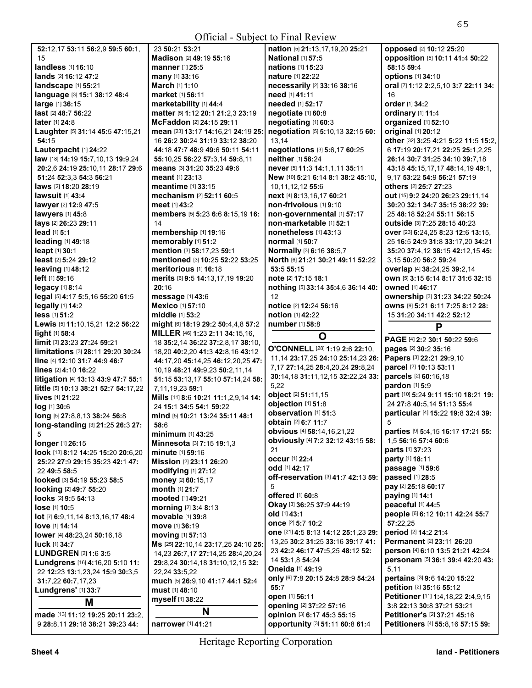| 52:12,17 53:11 56:2,9 59:5 60:1,                                  | 23 50:21 5                 |
|-------------------------------------------------------------------|----------------------------|
| 15                                                                | <b>Madison</b> [2          |
| <b>landless</b> [1] <b>16:1</b> 0                                 | manner [1]                 |
| <b>lands</b> [2] 16:12 47:2                                       | many [1] 33                |
| landscape [1] 55:21                                               | March [1] 1                |
| language [3] 15:1 38:12 48:4                                      | market [1]                 |
| large [1] 36:15                                                   | marketabi                  |
| last [2] 48:7 56:22<br>later [1] 24:8                             | matter [5] 1<br>McFaddor   |
| Laughter [5] 31:14 45:5 47:15,21                                  | mean [23] 1                |
| 54:15                                                             | 16 26:2 30:                |
| Lauterpacht [1] 24:22                                             | 44:18 47:7                 |
| law [18] 14:19 15:7,10,13 19:9,24                                 | 55:10,25 5                 |
| 20:2,6 24:19 25:10,11 28:17 29:6                                  | means [3] 3                |
| 51:24 52:3.3 54:3 56:21                                           | meant [1] 2                |
| laws [2] 18:20 28:19                                              | meantime                   |
| <b>lawsuit</b> [1] 43:4                                           | mechanis⊧                  |
| lawyer [2] 12:9 47:5                                              | meet [1] 43:               |
| lawyers [1] 45:8                                                  | members                    |
| lays [2] 26:23 29:11                                              | 14                         |
| lead [1] 5:1                                                      | membersh                   |
| leading [1] 49:18                                                 | memorabl                   |
| leapt [1] 30:1                                                    | mention ⊠                  |
| least [2] 5:24 29:12                                              | mentioned                  |
| leaving [1] 48:12<br>left [1] 59:16                               | meritoriou<br>merits [6] 9 |
| legacy [1] 8:14                                                   | 20:16                      |
| legal [5] 4:17 5:5,16 55:20 61:5                                  | message I                  |
| legally [1] 14:2                                                  | Mexico <sup>[1]</sup>      |
| less [1] 51:2                                                     | middle [1]                 |
| Lewis [5] 11:10, 15, 21 12: 2 56: 22                              | might [6] 18               |
| light [1] 58:4                                                    | <b>MILLER</b> [46          |
| <b>limit</b> [3] 23:23 27:24 59:21                                | 18 35:2,14                 |
| <b>limitations</b> [3] <b>28:11 29:20 30:24</b>                   | 18,20 40:2.                |
| line [4] 12:10 31:7 44:9 46:7                                     | 44:17,204                  |
| lines [2] 4:10 16:22                                              | 10,19 48:2                 |
| litigation [4] 13:13 43:9 47:7 55:1                               | 51:15 53:1                 |
| little [5] 10:13 38:21 52:7 54:17,22                              | 7,11,19,23                 |
| lives [1] 21:22                                                   | Mills [11] 8:              |
| loa [1] 30:6                                                      | 24 15:1 34:                |
| long [5] 27:8,8,13 38:24 56:8<br>long-standing [3] 21:25 26:3 27: | mind [5] 10<br>58:6        |
| 5                                                                 | minimum                    |
| longer [1] 26:15                                                  | Minnesota                  |
| look [13] 8:12 14:25 15:20 20:6.20                                | minute [1] !               |
| 25:22 27:9 29:15 35:23 42:1 47:                                   | <b>Mission</b> [2]         |
| 22 49:5 58:5                                                      | modifying                  |
| looked [3] 54:19 55:23 58:5                                       | money [2] 6                |
| looking [2] 49:7 55:20                                            | month [1] 2                |
| <b>looks</b> [2] <b>9:5 54:13</b>                                 | mooted [1]                 |
| lose [1] 10:5                                                     | morning <sup>[2</sup>      |
| lot [7] 6:9,11,14 8:13,16,17 48:4                                 | <b>movable</b> l'          |
| love [1] 14:14                                                    | move [1] 36                |
| lower [4] 48:23,24 50:16,18                                       | moving [1]                 |
| <b>luck</b> [1] <b>34:7</b>                                       | Ms [25] 22:1               |
| <b>LUNDGREN [2] 1:6 3:5</b>                                       | 14,23 26:7,                |
| Lundgrens [16] 4:16,20 5:10 11:                                   | 29:8,24 30:                |
| 22 12:23 13:1,23,24 15:9 30:3,5<br>31:7,22 60:7,17,23             | 22,24 33:5,<br>much [5] 26 |
| Lundgrens' [1] 33:7                                               | must [1] 48:               |
|                                                                   | myself [1] 3               |
| М                                                                 |                            |
| made [13] 11:12 19:25 20:11 23:2.                                 |                            |

| 23 50:21 53:21                                                          | na  |
|-------------------------------------------------------------------------|-----|
| Madison [2] 49:19 55:16                                                 | Na  |
| manner [1] 25:5                                                         | na  |
| <b>many</b> [1] <b>33:</b> 16                                           | na  |
| March [1] 1:10                                                          | ne  |
| <b>market</b> [1] 56:11                                                 | ne  |
| marketability [1] 44:4                                                  | ne  |
| matter [5] 1:12 20:1 21:2,3 23:19                                       | ne  |
| McFaddon [2] 24:15 29:11                                                | ne  |
| mean [23] 13:17 14:16,21 24:19 25:                                      | ne  |
| 16 26:2 30:24 31:19 33:12 38:20                                         | 13  |
| 44:18 47:7 48:9 49:6 50:11 54:11                                        | ne  |
| 55:10.25 56:22 57:3.14 59:8.11                                          | ne  |
| means [3] 31:20 35:23 49:6                                              | ne  |
| meant [1] 23:13                                                         | Ne  |
| <b>meantime</b> [1] <b>33:</b> 15                                       | 10  |
| mechanism [2] 52:11 60:5                                                | ne  |
| meet [1] 43:2                                                           | no  |
| members [5] 5:23 6:6 8:15,19 16:                                        | no  |
| 14                                                                      | no  |
| membership [1] 19:16                                                    | no  |
| memorably [1] 51:2                                                      | no  |
| mention [3] 58:17,23 59:1                                               | Nc  |
| mentioned [3] 10:25 52:22 53:25                                         | Nc  |
| meritorious [1] 16:18                                                   | 53  |
| <b>merits</b> [6] <b>9:</b> 5 14:13,17,19 1 <b>9:</b> 20                | no  |
| 20:16                                                                   | no  |
| message [1] 43:6                                                        | 12  |
| Mexico [1] 57:10                                                        | no  |
| middle [1] 53:2                                                         | no  |
| might [6] 18:19 29:2 50:4,4,8 57:2                                      | nu  |
| <b>MILLER</b> [46] 1:23 2:11 34:15,16,                                  |     |
| 18 35:2,14 36:22 37:2,8,17 38:10,                                       | О'  |
| 18,20 40:2,20 41:3 42:8,16 43:12                                        | 11  |
| 44:17,20 45:14,25 46:12,20,25 47:                                       | 7,  |
| 10.19 48:21 49:9.23 50:2.11.14                                          | 30  |
| 51:15 53:13,17 55:10 57:14,24 58:                                       | 5,  |
| 7,11,19,23 59:1                                                         | ob  |
| Mills [11] 8:6 10:21 11:1,2,9,14 14:                                    | ob  |
| 24 15:1 34:5 54:1 59:22                                                 | ob  |
| mind ।51 10:21 13:24 35:11 48:1                                         | ob  |
| 58:6                                                                    | ob  |
| <b>minimum</b> [1] <b>43:</b> 25                                        | ob  |
| Minnesota [3] 7:15 19:1,3                                               | 21  |
| <b>minute</b> [1] <b>59:</b> 16                                         | ос  |
|                                                                         | od  |
| <b>modifying</b> [1] <b>27:</b> 12                                      | ofl |
| money [2] 60:15,17                                                      | 5   |
| <b>month</b> [1] 21:7                                                   | ofl |
| <b>mooted</b> [1] <b>49:</b> 21                                         | O۱  |
| morning [2] 3:4 8:13                                                    | olo |
| <b>movable</b> [1] 39:8                                                 | on  |
| move [1] 36:19<br><b>movina</b> [1] <b>57:</b> 13                       | on  |
|                                                                         | 13  |
| Ms [25] 22:10,14 23:17,25 24:10 25:                                     | 23  |
| 14,23 26:7,17 27:14,25 28:4,20,24<br>29:8,24 30:14,18 31:10,12,15 32:   | 14  |
| 22,24 33:5,22                                                           | Οr  |
| <b>much</b> [5] <b>26:</b> 9,10 <b>41:</b> 17 <b>44:</b> 1 <b>52:</b> 4 | on  |
| <b>must</b> [1] <b>48:</b> 10                                           | 55  |
| <b>myself</b> [1] <b>38:</b> 22                                         | op  |
|                                                                         | op  |
| N                                                                       |     |

**All Contracts nation** [5] **21:**13,17,19,20 **25:**21 **National** [1] **57:**5 **nations** [1] **15:**23 **nature** [1] **22:**22 **necessarily** [2] **33:**16 **38:**16 **need** [1] **41:**11 **needed** [1] **52:**17 **negotiate** [1] **60:**8 **negotiating** [1] **60:**3 **negotiation** [5] **5:**10,13 **32:**15 **60:**  13,14 **negotiations** [3] **5:**6,17 **60:**25 **neither** [1] **58:**24 **never** [5] **11:**3 **14:**1,1,11 **35:**11 **New** [10] **5:**21 **6:**14 **8:**1 **38:**2 **45:**10, 10,11,12,12 **55:**6 **next** [4] **8:**13,16,17 **60:**21 **non-frivolous** [1] **9:**10 **non-governmental** [1] **57:**17 **non-marketable** [1] **52:**1 **nonetheless** [1] **43:**13 **normal** [1] **50:**7 **Normally** [3] **6:**16 **38:**5,7 **North** [6] **21:**21 **30:**21 **49:**11 **52:**22 **53:**5 **55:**15 **note** [2] **17:**15 **18:**1 **nothing** [5] **33:**14 **35:**4,6 **36:**14 **40:**  12 **notice** [2] **12:**24 **56:**16 **notion** [1] **42:**22 **number** [1] **58:**8 **O O'CONNELL** [28] **1:**19 **2:**6 **22:**10, 11,14 **23:**17,25 **24:**10 **25:**14,23 **26:**  7,17 **27:**14,25 **28:**4,20,24 **29:**8,24 **30:**14,18 **31:**11,12,15 **32:**22,24 **33:**  22 **object** [2] **51:**11,15 **objection** [1] **51:**8 **observation** [1] **51:**3 **obtain** [2] **6:**7 **11:**7 **obvious** [4] **58:**14,16,21,22 **obviously** [4] **7:**2 **32:**12 **43:**15 **58:**  21 **occur** [1] **22:**4 **odd** [1] **42:**17 **off-reservation** [3] **41:**7 **42:**13 **59: offered** [1] **60:**8 **Okay** [3] **36:**25 **37:**9 **44:**19 **old** [1] **43:**1 **once** [2] **5:**7 **10:**2 **one** [21] **4:**5 **8:**13 **14:**12 **25:**1,23 **29:**  13,25 **30:**2 **31:**25 **33:**16 **39:**17 **41:**  23 **42:**2 **46:**17 **47:**5,25 **48:**12 **52:**  14 **53:**1,8 **54:**24 **Oneida** [1] **49:**19 **only** [6] **7:**8 **20:**15 **24:**8 **28:**9 **54:**24 **55:**7 **open** [1] **56:**11 **opening** [2] **37:**22 **57:**16 **opinion** [3] **6:**17 **45:**3 **55:**15

**opposed** [2] **10:**12 **25:**20 **opposition** [5] **10:**11 **41:**4 **50:**22 **58:**15 **59:**4 **options** [1] **34:**10 **oral** [7] **1:**12 **2:**2,5,10 **3:**7 **22:**11 **34:**  16 **order** [1] **34:**2 **ordinary** [1] **11:**4 **organized** [1] **52:**10 **original** [1] **20:**12 **other** [32] **3:**25 **4:**21 **5:**22 **11:**5 **15:**2, 6 **17:**19 **20:**17,21 **22:**25 **25:**1,2,25 **26:**14 **30:**7 **31:**25 **34:**10 **39:**7,18 **43:**18 **45:**15,17,17 **48:**14,19 **49:**1, 9,17 **53:**22 **54:**9 **56:**21 **57:**19 **others** [2] **25:**7 **27:**23 **out** [15] **9:**2 **24:**20 **26:**23 **29:**11,14 **30:**20 **32:**1 **34:**7 **35:**15 **38:**22 **39:**  25 **48:**18 **52:**24 **55:**11 **56:**15 **outside** [3] **7:**25 **28:**15 **40:**23 **over** [23] **6:**24,25 **8:**23 **12:**6 **13:**15, 25 **16:**5 **24:**9 **31:**8 **33:**17,20 **34:**21 **35:**20 **37:**4,12 **38:**15 **42:**12,15 **45:**  3,15 **50:**20 **56:**2 **59:**24 **overlap** [4] **38:**24,25 **39:**2,14 **own** [5] **3:**15 **6:**14 **8:**17 **31:**6 **32:**15 **owned** [1] **46:**17 **ownership** [3] **31:**23 **34:**22 **50:**24 **owns** [9] **5:**21 **6:**11 **7:**25 **8:**12 **28:**  15 **31:**20 **34:**11 **42:**2 **52:**12 **P PAGE** [4] **2:**2 **30:**1 **50:**22 **59:**6 **pages** [2] **30:**2 **35:**16 **Papers** [3] **22:**21 **29:**9,10 **parcel** [2] **10:**13 **53:**11 **parcels** [2] **60:**16,18 **pardon** [1] **5:**9 **part** [10] **5:**24 **9:**11 **15:**10 **18:**21 **19:**  24 **27:**8 **40:**5,14 **51:**13 **55:**4 **particular** [4] **15:**22 **19:**8 **32:**4 **39:**  5 **parties** [9] **5:**4,15 **16:**17 **17:**21 **55:**  1,5 **56:**16 **57:**4 **60:**6 **parts** [1] **37:**23 **party** [1] **18:**11 **passage** [1] **59:**6 **passed** [1] **28:**5 **pay** [2] **25:**18 **60:**17 **paying** [1] **14:**1 **peaceful** [1] **44:**5 **people** [6] **6:**12 **10:**11 **42:**24 **55:**7 **57:**22,25 **period** [2] **14:**2 **21:**4 **Permanent** [2] **23:**11 **26:**20 **person** [4] **6:**10 **13:**5 **21:**21 **42:**24 **personam** [5] **36:**1 **39:**4 **42:**20 **43:**  5,11 **pertains** [3] **9:**6 **14:**20 **15:**22 **petition** [2] **35:**16 **55:**12 **Petitioner** [11] **1:**4,18,22 **2:**4,9,15 **3:**8 **22:**13 **30:**8 **37:**21 **53:**21 **Petitioner's** [2] **37:**21 **45:**16 **Petitioners** [4] **55:**8,16 **57:**15 **59:** 

**opportunity** [3] **51:**11 **60:**8 **61:**4

**narrower** [1] **41:**21

9 **28:**8,11 **29:**18 **38:**21 **39:**23 **44:**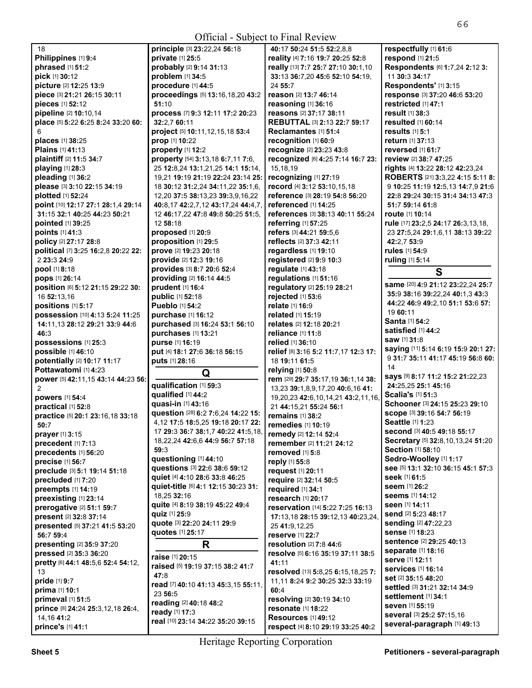| <b>Official - Subject to Final Review</b>       |                                                     |                                                  |                                            |
|-------------------------------------------------|-----------------------------------------------------|--------------------------------------------------|--------------------------------------------|
| 18                                              | principle [3] 23:22,24 56:18                        | 40:17 50:24 51:5 52:2,8,8                        | respectfully [1] 61:6                      |
| Philippines [1] 9:4                             | private [1] 25:5                                    | reality [4] 7:16 19:7 20:25 52:8                 | respond [1] 21:5                           |
| phrased [1] 51:2                                | probably [2] 9:14 31:13                             | really [13] 7:7 25:7 27:10 30:1,10               | Respondents [6] 1:7,24 2:12 3:             |
| pick [1] 30:12                                  | problem [1] 34:5                                    | 33:13 36:7,20 45:6 52:10 54:19,                  | 11 30:3 34:17                              |
| picture [2] 12:25 13:9                          | procedure [1] 44:5                                  | 24 55:7                                          | Respondents' [1] 3:15                      |
| piece [3] 21:21 26:15 30:11                     | proceedings [5] 13:16,18,20 43:2                    | reason [2] 13:7 46:14                            | response [3] 37:20 46:6 53:20              |
| pieces [1] 52:12                                | 51:10                                               | reasoning [1] 36:16                              | restricted [1] 47:1                        |
| pipeline [2] 10:10,14                           | process [7] 9:3 12:11 17:2 20:23                    | reasons [2] 37:17 38:11                          | result [1] 38:3                            |
| place [5] 5:22 6:25 8:24 33:20 60:              | 32:2.7 60:11                                        | REBUTTAL [3] 2:13 22:7 59:17                     | resulted [1] 60:14                         |
| 6                                               | project [5] 10:11,12,15,18 53:4                     | Reclamantes [1] 51:4                             | results [1] 5:1                            |
| places [1] 38:25                                | prop [1] 10:22                                      | recognition [1] 60:9                             | return [1] 37:13                           |
| <b>Plains</b> [1] 41:13                         | properly [1] 12:2                                   | recognize [2] 23:23 43:8                         | reversed [1] 61:7                          |
| plaintiff [2] 11:5 34:7                         | property [54] 3:13,18 6:7,11 7:6,                   | recognized [6] 4:25 7:14 16:7 23:                | review [2] 38:7 47:25                      |
| playing [1] 28:3                                | 25 12:8,24 13:1,21,25 14:1 15:14,                   | 15,18,19                                         | rights [4] 13:22 28:12 42:23,24            |
| pleading [1] 36:2                               | 19,21 19:19 21:19 22:24 23:14 25:                   | recognizing [1] 27:19                            | ROBERTS [21] 3:3,22 4:15 5:11 8:           |
| please [3] 3:10 22:15 34:19                     | 18 30:12 31:2,24 34:11,22 35:1,6,                   | record [4] 3:12 53:10,15,18                      | 9 10:25 11:19 12:5,13 14:7,9 21:6          |
| plotted [1] 52:24                               | 12,20 37:5 38:13,23 39:3,9,16,22                    | reference [3] 28:19 54:8 56:20                   | 22:8 29:24 30:15 31:4 34:13 47:3           |
| point [10] 12:17 27:1 28:1,4 29:14              | 40:8,17 42:2,7,12 43:17,24 44:4,7,                  | <b>referenced</b> [1] 14:25                      | 51:7 59:14 61:8                            |
| 31:15 32:1 40:25 44:23 50:21                    | 12 46:17,22 47:8 49:8 50:25 51:5,                   | references [3] 38:13 40:11 55:24                 | <b>route</b> [1] <b>10:14</b>              |
| pointed [1] 39:25                               | 12 58:18                                            | referring [1] 57:25                              | rule [17] 23:2,5 24:17 26:3,13,18,         |
| points [1] 41:3                                 | proposed [1] 20:9                                   | refers [3] 44:21 59:5,6                          | 23 27:5,24 29:1,6,11 38:13 39:22           |
| policy [2] 27:17 28:8                           | proposition [1] 29:5                                | reflects [2] 37:3 42:11                          | 42:2,7 53:9                                |
| political [7] 3:25 16:2,8 20:22 22:             | prove [2] 19:23 20:18                               | regardless [1] 19:10                             | rules [1] 54:9                             |
| 2 23:3 24:9                                     | provide [2] 12:3 19:16                              | registered [2] 9:9 10:3                          | ruling [1] 5:14                            |
| pool [1] 8:18                                   | provides [3] 8:7 20:6 52:4                          | regulate [1] 43:18                               | S                                          |
| pops [1] 26:14                                  | providing [2] 16:14 44:5                            | regulations [1] 51:16                            |                                            |
| position [6] 5:12 21:15 29:22 30:               | prudent [1] 16:4                                    | regulatory [2] 25:19 28:21                       | same [20] 4:9 21:12 23:22,24 25:7          |
| 16 52:13.16                                     | public [1] 52:18                                    | rejected [1] 53:6                                | 35:9 38:16 39:22,24 40:1,3 43:3            |
| positions [1] 5:17                              | <b>Pueblo [1] 54:2</b>                              | relate [1] 16:9                                  | 44:22 46:9 49:2,10 51:1 53:6 57:           |
| possession [10] 4:13 5:24 11:25                 | purchase [1] 16:12                                  | related [1] 15:19                                | 19 60:11                                   |
| 14:11,13 28:12 29:21 33:9 44:6                  | purchased [3] 16:24 53:1 56:10                      | relates [2] 12:18 20:21                          | <b>Santa [1] 54:2</b>                      |
| 46:3                                            | purchases [1] 13:21                                 | reliance [1] 11:8                                | satisfied [1] 44:2                         |
| possessions [1] 25:3                            | purse [1] 16:19                                     | relied [1] 36:10                                 | saw [1] 31:8                               |
| possible [1] 46:10                              | put [4] 18:1 27:6 36:18 56:15                       | relief [8] 3:16 5:2 11:7,17 12:3 17:             | saying [11] 5:14 6:19 15:9 20:1 27:        |
| potentially [2] 10:17 11:17                     | puts [1] 28:16                                      | 18 19:11 61:5                                    | 9 31:7 35:11 41:17 45:19 56:8 60:          |
| Pottawatomi [1] 4:23                            | Q                                                   | relying [1] 50:8                                 | 14                                         |
| power [5] 42:11,15 43:14 44:23 56:              | qualification [1] 59:3                              | rem [29] 29:7 35:17,19 36:1,14 38:               | says [9] 8:17 11:2 15:2 21:22,23           |
| 2                                               | qualified [1] 44:2                                  | 13,23 39:1,8,9,17,20 40:6,16 41:                 | 24:25,25 25:1 45:16<br>Scalia's [1] 51:3   |
| powers [1] 54:4                                 |                                                     |                                                  |                                            |
| practical [1] 52:8                              |                                                     | 19,20,23 42:6,10,14,21 43:2,11,16,               |                                            |
|                                                 | quasi-in [1] 43:16                                  | 21 44:15,21 55:24 56:1                           | Schooner [3] 24:15 25:23 29:10             |
| practice [5] 20:1 23:16,18 33:18                | question [28] 6:2 7:6,24 14:22 15:                  | remains [1] 38:2                                 | SCOPe [3] 39:16 54:7 56:19                 |
| 50:7                                            | 4,12 17:5 18:5,25 19:18 20:17 22:                   | remedies $[1]$ 10:19                             | <b>Seattle [1] 1:23</b>                    |
| prayer [1] 3:15                                 | 17 29:3 36:7 38:1,7 40:22 41:5,18,                  | remedy [2] 12:14 52:4                            | Second [3] 40:5 49:18 55:17                |
| precedent [1] 7:13                              | 18,22,24 42:6,6 44:9 56:7 57:18                     | remember [2] 11:21 24:12                         | Secretary [5] 32:8,10,13,24 51:20          |
| precedents [1] 56:20                            | 59:3                                                | removed $[1]$ 5:8                                | Section [1] 58:10                          |
| precise [1] 56:7                                | questioning [1] 44:10                               | reply [1] 55:8                                   | Sedro-Woolley [1] 1:17                     |
| preclude [3] 5:1 19:14 51:18                    | questions [3] 22:6 38:6 59:12                       | request [1] 20:11                                | see [5] 13:1 32:10 36:15 45:1 57:3         |
| precluded [1] 7:20                              | quiet [4] 4:10 28:6 33:8 46:25                      | require [2] 32:14 50:5                           | <b>seek</b> [1] 61:5                       |
| preempts [1] 14:19                              | quiet-title [6] 4:1 12:15 30:23 31:                 | required [1] 34:1                                | <b>seem</b> [1] 26:2                       |
| preexisting [1] 23:14                           | 18,25 32:16                                         | research [1] 20:17                               | <b>seems</b> [1] 14:12                     |
| prerogative [2] 51:1 59:7                       | quite [4] 8:19 38:19 45:22 49:4                     | reservation [14] 5:22 7:25 16:13                 | seen [1] 14:11                             |
| present [2] 32:8 37:14                          | quiz [1] 25:9                                       | 17:13,18 28:15 39:12,13 40:23,24,                | send [2] 5:23 48:17                        |
| presented [5] 37:21 41:5 53:20                  | quote [3] 22:20 24:11 29:9                          | 25 41:9,12,25                                    | <b>sending [2] 47:22,23</b>                |
| 56:7 59:4                                       | quotes [1] 25:17                                    | <b>reserve</b> [1] 22:7                          | sense [1] 18:23                            |
| presenting [2] 35:9 37:20                       | R.                                                  | resolution [2] 7:8 44:6                          | <b>sentence</b> [2] 29:25 40:13            |
| pressed [2] 35:3 36:20                          | raise [1] 20:15                                     | resolve [5] 6:16 35:19 37:11 38:5                | separate [1] 18:16<br>serve [1] 12:11      |
| pretty [6] 44:1 48:5,6 52:4 54:12,              | raised [5] 19:19 37:15 38:2 41:7                    | 41:11                                            | <b>services</b> [1] 16:14                  |
| 13                                              | 47:8                                                | resolved [13] 5:8,25 6:15,18,25 7:               | <b>set</b> [2] <b>35:15 48:20</b>          |
| pride [1] 9:7                                   | read [7] 40:10 41:13 45:3,15 55:11,                 | 11,11 8:24 9:2 30:25 32:3 33:19                  | <b>settled</b> [3] <b>31:21 32:14 34:9</b> |
| prima [1] 10:1                                  | 23 56:5                                             | 60:4                                             | settlement [1] 34:1                        |
| primeval [1] 51:5                               | reading [2] 40:18 48:2                              | resolving [2] 30:19 34:10                        | seven [1] 55:19                            |
| prince [8] 24:24 25:3,12,18 26:4,<br>14,16 41:2 | ready [1] 17:3<br>real [10] 23:14 34:22 35:20 39:15 | resonate [1] 18:22<br><b>Resources</b> [1] 49:12 | several [3] 25:2 57:15,16                  |

**respect** [4] **8:**10 **29:**19 **33:**25 **40:**2

**prince's** [1] **41:**1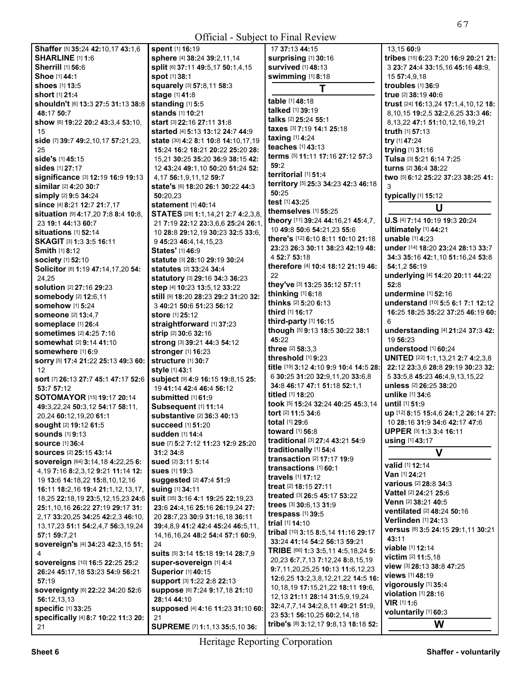| Official - Subject to Final Review        |                                         |                                        |                                           |
|-------------------------------------------|-----------------------------------------|----------------------------------------|-------------------------------------------|
| Shaffer [5] 35:24 42:10,17 43:1,6         | spent [1] 16:19                         | 17 37:13 44:15                         | 13.15 60:9                                |
| <b>SHARLINE [1] 1:6</b>                   | sphere [4] 38:24 39:2,11,14             | surprising [1] 30:16                   | tribes [15] 6:23 7:20 16:9 20:21 21:      |
| <b>Sherrill</b> [1] 56:6                  | split [6] 37:11 49:5,17 50:1,4,15       | survived [1] 48:13                     | 3 23:7 24:4 33:15,16 45:16 48:9,          |
| Shoe [1] 44:1                             | <b>spot</b> [1] 38:1                    | swimming [1] 8:18                      | 15 57:4,9,18                              |
| shoes [1] 13:5                            | squarely [3] 57:8,11 58:3               | T                                      | troubles [1] 36:9                         |
| short [1] 21:4                            | stage [1] 41:8                          |                                        | true [2] 38:19 40:6                       |
| shouldn't [6] 13:3 27:5 31:13 38:8        | standing [1] 5:5                        | table [1] 48:18                        | trust [24] 16:13,24 17:1,4,10,12 18:      |
| 48:17 50:7                                | stands [1] 10:21                        | talked [1] 39:19                       | 8, 10, 15 19: 2, 5 32: 2, 6, 25 33: 3 46: |
| show [6] 19:22 20:2 43:3,4 53:10,         | start [3] 22:16 27:11 31:8              | talks [2] 25:24 55:1                   | 8, 13, 22 47:1 51:10, 12, 16, 19, 21      |
| 15                                        | started [4] 5:13 13:12 24:7 44:9        | taxes [3] 7:19 14:1 25:18              | truth [1] 57:13                           |
| side [7] 39:7 49:2,10,17 57:21,23,        | state [30] 4:2 8:1 10:8 14:10,17,19     | taxing [1] 4:24                        | try [1] 47:24                             |
| 25                                        | 15:24 16:2 18:21 20:22 25:20 28:        | teaches [1] 43:13                      | trying [1] 31:16                          |
| side's [1] 45:15                          | 15,21 30:25 35:20 36:9 38:15 42:        | terms [5] 11:11 17:16 27:12 57:3       | Tulsa [3] 5:21 6:14 7:25                  |
| sides [1] 27:17                           | 12 43:24 49:1,10 50:20 51:24 52:        | 59:2                                   | turns [2] 36:4 38:22                      |
| significance [3] 12:19 16:9 19:13         | 4,17 56:1,9,11,12 59:7                  | territorial [1] 51:4                   | two [5] 6:12 25:22 37:23 38:25 41:        |
| similar [2] 4:20 30:7                     | state's [6] 18:20 26:1 30:22 44:3       | territory [5] 25:3 34:23 42:3 46:18    | 3                                         |
| simply [2] 9:5 34:24                      | 50:20,23                                | 50:25                                  | typically [1] 15:12                       |
| since [4] 8:21 12:7 21:7,17               | <b>statement</b> [1] 40:14              | test [1] 43:25                         |                                           |
| situation [9] 4:17,20 7:8 8:4 10:8,       | STATES [28] 1:1,14,21 2:7 4:2,3,8,      | themselves [1] 55:25                   | U                                         |
| 23 19:1 44:13 60:7                        | 21 7:19 22:12 23:3,6,6 25:24 26:1,      | theory [11] 39:24 44:16,21 45:4,7,     | U.S [4] 7:14 10:19 19:3 20:24             |
| situations [1] 52:14                      | 10 28:8 29:12,19 30:23 32:5 33:6,       | 10 49:8 50:6 54:21,23 55:6             | ultimately [1] 44:21                      |
| SKAGIT [3] 1:3 3:5 16:11                  | 9 45:23 46:4,14,15,23                   | there's [12] 6:10 8:11 10:10 21:18     | unable [1] 4:23                           |
| <b>Smith [1] 8:12</b>                     | <b>States'</b> [1] 46:9                 | 23:23 26:3 30:11 38:23 42:19 48:       | under [14] 18:20 23:24 28:13 33:7         |
|                                           | statute [3] 28:10 29:19 30:24           | 4 52:7 53:18                           | 34:3 35:16 42:1,10 51:16,24 53:8          |
| <b>society</b> [1] 52:10                  |                                         | therefore [4] 10:4 18:12 21:19 46:     | 54:1,2 56:19                              |
| Solicitor [6] 1:19 47:14,17,20 54:        | <b>statutes</b> [2] 33:24 34:4          | 22                                     | underlying [4] 14:20 20:11 44:22          |
| 24,25                                     | statutory [3] 29:16 34:3 36:23          | they've [3] 13:25 35:12 57:11          | 52:8                                      |
| solution [2] 27:16 29:23                  | step [4] 10:23 13:5,12 33:22            | thinking [1] 6:18                      | undermine [1] 52:16                       |
| somebody [2] 12:6,11                      | still [9] 18:20 28:23 29:2 31:20 32:    | thinks [2] 5:20 6:13                   | understand [10] 5:5 6:1 7:1 12:12         |
| <b>somehow</b> [1] 5:24                   | 3 40:21 50:6 51:23 56:12                | third [1] 16:17                        | 16:25 18:25 35:22 37:25 46:19 60:         |
| <b>someone</b> [2] 13:4,7                 | <b>store</b> [1] <b>25:</b> 12          | third-party [1] 16:15                  | 6                                         |
| someplace [1] 26:4                        | straightforward [1] 37:23               | though [5] 9:13 18:5 30:22 38:1        | understanding [4] 21:24 37:3 42:          |
| <b>sometimes</b> [2] 4:25 7:16            | strip [2] 30:6 32:16                    | 45:22                                  | 19 56:23                                  |
| somewhat [2] 9:14 41:10                   | strong [3] 39:21 44:3 54:12             | three [2] 58:3.3                       | understood [1] 60:24                      |
| somewhere [1] 6:9                         | stronger [1] 16:23                      | threshold [1] 9:23                     | UNITED [22] 1:1,13,21 2:7 4:2,3,8         |
| sorry [5] 17:4 21:22 25:13 49:3 60:       | structure [1] 30:7                      | title [19] 3:12 4:10 9:9 10:4 14:5 28: | 22:12 23:3,6 28:8 29:19 30:23 32:         |
| 12                                        | style [1] 43:1                          | 6 30:25 31:20 32:9,11,20 33:6,8        | 5 33:5,8 45:23 46:4,9,13,15,22            |
| sort [7] 26:13 27:7 45:1 47:17 52:6       | subject [9] 4:9 16:15 19:8,15 25:       | 34:8 46:17 47:1 51:18 52:1,1           | unless [2] 26:25 38:20                    |
| 53:7 57:12                                | 19 41:14 42:4 46:4 56:12                | titled [1] 18:20                       | unlike [1] 34:6                           |
| SOTOMAYOR [15] 19:17 20:14                | submitted [1] 61:9                      | took [5] 15:24 32:24 40:25 45:3.14     | until [1] 51:9                            |
| 49:3,22,24 50:3,12 54:17 58:11,           | Subsequent [1] 11:14                    | tort [2] 11:5 34:6                     | up [12] 8:15 15:4,6 24:1,2 26:14 27:      |
| 20,24 60:12,19,20 61:1                    | substantive [2] 36:3 40:13              | total [1] 29:6                         | 10 28:16 31:9 34:6 42:17 47:6             |
| SOught [2] 19:12 61:5                     | <b>succeed</b> [1] <b>51:</b> 20        | toward [1] 56:8                        | UPPER [3] 1:3 3:4 16:11                   |
| <b>sounds</b> [1] 9:13                    | sudden [1] 14:4                         | traditional [3] 27:4 43:21 54:9        | using [1] 43:17                           |
| <b>source [1] 36:4</b>                    | sue [7] 5:2 7:12 11:23 12:9 25:20       | traditionally [1] 54:4                 |                                           |
| SOUICES [2] 25:15 43:14                   | 31:2 34:8                               | transaction [2] 17:17 19:9             | V                                         |
| sovereign [64] 3:14,18 4:22,25 6:         | sued [2] 3:11 5:14                      | transactions [1] 60:1                  | valid [1] 12:14                           |
| 4, 19 7: 16 8: 2, 3, 12 9: 21 11: 14 12:  | <b>sues</b> [1] <b>19:</b> 3            | travels [1] 17:12                      | Van [1] 24:21                             |
| 19 13:6 14:18,22 15:8,10,12,16            | suggested [2] 47:4 51:9                 | treat [2] 18:15 27:11                  | various [2] 28:8 34:3                     |
| 16:11 18:2,16 19:4 21:1,12,13,17,         | <b>suing [1] 34:11</b>                  |                                        | Vattel [2] 24:21 25:6                     |
| 18,25 22:18,19 23:5,12,15,23 24:6         | suit [35] 3:16 4:1 19:25 22:19,23       | treated [3] 26:5 45:17 53:22           | Venn [2] 38:21 40:5                       |
| 25:1,10,16 26:22 27:19 29:17 31:          | 23:6 24:4,16 25:16 26:19,24 27:         | trees $[3]$ 30:6, 13 31:9              | ventilated [2] 48:24 50:16                |
| 2,17 33:20,25 34:25 42:2,3 46:10,         | 20 28:7,23 30:9 31:16,18 36:11          | trespass [1] 39:5                      | Verlinden [1] 24:13                       |
| 13, 17, 23 51:1 54: 2, 4, 7 56: 3, 19, 24 | 39:4,8,9 41:2 42:4 45:24 46:5,11,       | trial [1] 14:10                        | versus [6] 3:5 24:15 29:1,11 30:21        |
| 57:1 59:7,21                              | 14, 16, 16, 24 48: 2 54: 4 57: 1 60: 9, | tribal [10] 3:15 8:5,14 11:16 29:17    | 43:11                                     |
| sovereign's [4] 34:23 42:3,15 51:         | 24                                      | 33:24 41:14 54:2 56:13 59:21           | viable [1] 12:14                          |
| 4                                         | suits [5] 3:14 15:18 19:14 28:7,9       | TRIBE [66] 1:3 3:5,11 4:5,18,24 5:     | <b>victim</b> $[2]$ 11:5,18               |
| sovereigns [10] 16:5 22:25 25:2           | super-sovereign [1] 4:4                 | 20,23 6:7,7,13 7:12,24 8:8,15,19       | view [3] 28:13 38:8 47:25                 |
| 26:24 45:17,18 53:23 54:9 56:21           | <b>Superior [1] 40:15</b>               | 9:7,11,20,25,25 10:13 11:6,12,23       | views [1] 48:19                           |
| 57:19                                     | support [3] 1:22 2:8 22:13              | 12:6,25 13:2,3,8,12,21,22 14:5 16:     | vigorously [1] 35:4                       |
| sovereignty [6] 22:22 34:20 52:6          | Suppose [6] 7:24 9:17,18 21:10          | 10,18,19 17:15,21,22 18:11 19:6,       | violation [1] 28:16                       |
| 56:12,13,13                               | 28:14 44:10                             | 12, 13 21: 11 28: 14 31: 5, 9, 19, 24  | <b>VIR</b> $[1]$ 1:6                      |
| <b>specific [1] 33:25</b>                 | supposed [4] 4:16 11:23 31:10 60:       | 32:4,7,7,14 34:2,8,11 49:21 51:9,      | voluntarily [1] 60:3                      |
| specifically [4] 8:7 10:22 11:3 20:       | 21                                      | 23 53:1 56:10,25 60:2,14,18            |                                           |
| 21                                        | SUPREME [7] 1:1,13 35:5,10 36:          | tribe's [8] 3:12,17 9:8,13 18:18 52:   | W                                         |